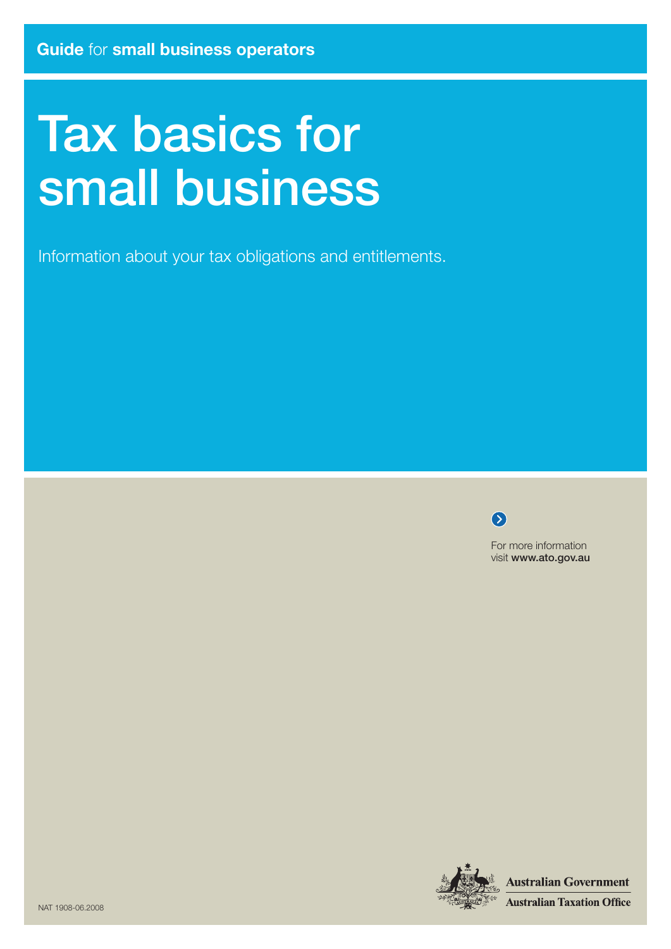# Tax basics for small business

Information about your tax obligations and entitlements.

 $\bullet$ 

For more information visit www.ato.gov.au



**Australian Government Australian Taxation Office**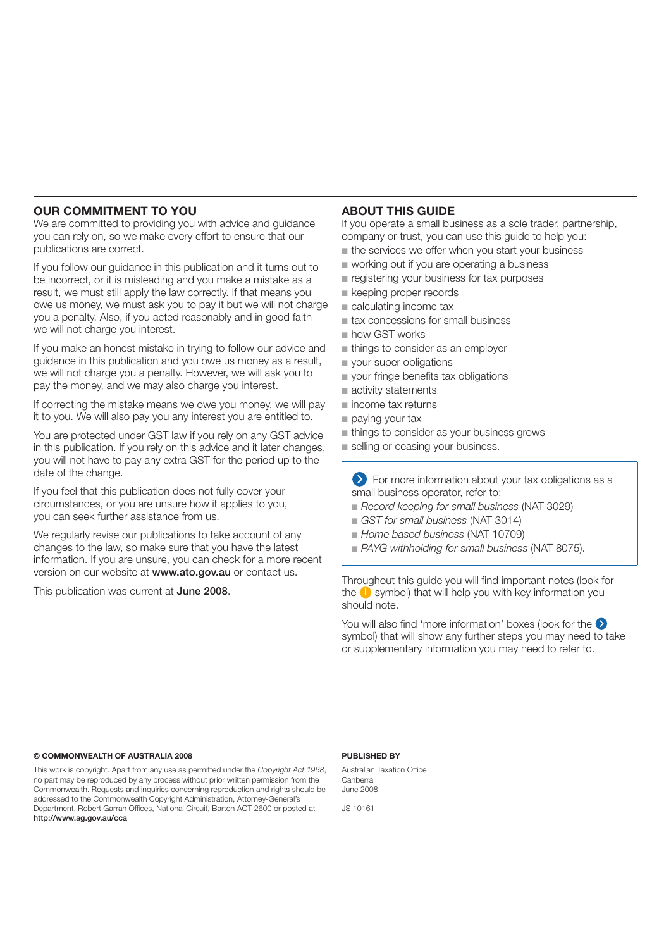#### **Our commitment to you**

We are committed to providing you with advice and guidance you can rely on, so we make every effort to ensure that our publications are correct.

If you follow our guidance in this publication and it turns out to be incorrect, or it is misleading and you make a mistake as a result, we must still apply the law correctly. If that means you owe us money, we must ask you to pay it but we will not charge you a penalty. Also, if you acted reasonably and in good faith we will not charge you interest.

If you make an honest mistake in trying to follow our advice and guidance in this publication and you owe us money as a result, we will not charge you a penalty. However, we will ask you to pay the money, and we may also charge you interest.

If correcting the mistake means we owe you money, we will pay it to you. We will also pay you any interest you are entitled to.

You are protected under GST law if you rely on any GST advice in this publication. If you rely on this advice and it later changes, you will not have to pay any extra GST for the period up to the date of the change.

If you feel that this publication does not fully cover your circumstances, or you are unsure how it applies to you, you can seek further assistance from us.

We regularly revise our publications to take account of any changes to the law, so make sure that you have the latest information. If you are unsure, you can check for a more recent version on our website at www.ato.gov.au or contact us.

This publication was current at June 2008.

#### **ABOUT THIS GUIDE**

If you operate a small business as a sole trader, partnership, company or trust, you can use this guide to help you:

- the services we offer when you start your business
- working out if you are operating a business
- registering your business for tax purposes
- keeping proper records
- calculating income tax
- tax concessions for small business
- how GST works
- things to consider as an employer
- your super obligations
- your fringe benefits tax obligations
- activity statements
- income tax returns
- paying your tax
- things to consider as your business grows
- selling or ceasing your business.

**EXT** For more information about your tax obligations as a small business operator, refer to:

- Record keeping for small business (NAT 3029)
- *GST for small business* (NAT 3014)
- *Home based business* (NAT 10709) ■
- PAYG withholding for small business (NAT 8075).

Throughout this guide you will find important notes (look for the  $\bigcirc$  symbol) that will help you with key information you should note.

You will also find 'more information' boxes (look for the  $\bigcirc$ symbol) that will show any further steps you may need to take or supplementary information you may need to refer to.

#### **© Commonwealth of Australia 2008**

This work is copyright. Apart from any use as permitted under the *Copyright Act 1968*, no part may be reproduced by any process without prior written permission from the Commonwealth. Requests and inquiries concerning reproduction and rights should be addressed to the Commonwealth Copyright Administration, Attorney-General's Department, Robert Garran Offices, National Circuit, Barton ACT 2600 or posted at http://www.ag.gov.au/cca

#### **Published by**

Australian Taxation Office Canberra June 2008

JS 10161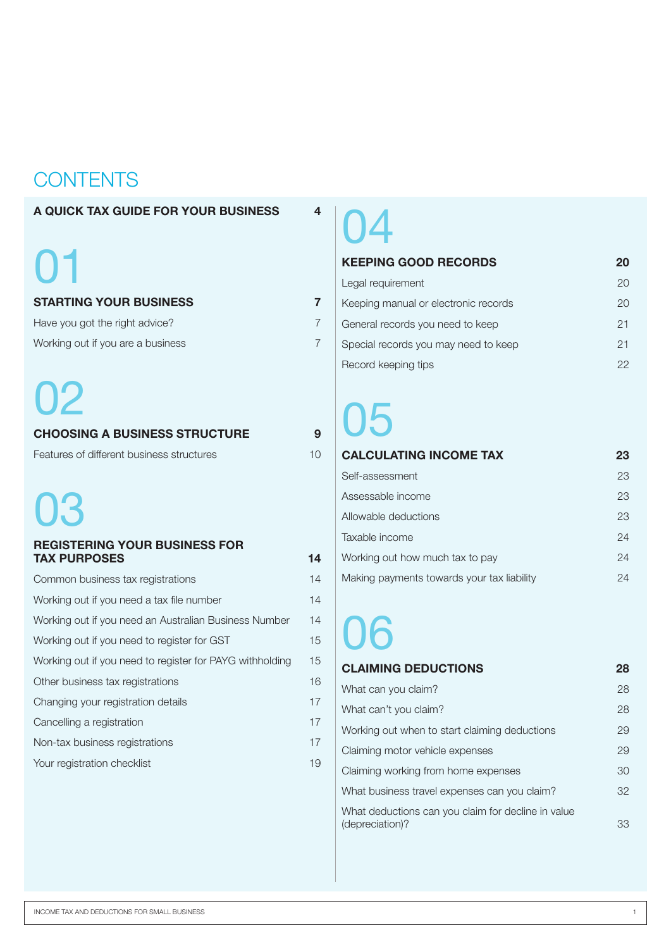## **CONTENTS**

#### **A quick tax guide for your business 4**

# 01

#### **starting your business 7**

| Have you got the right advice?    |  |
|-----------------------------------|--|
| Working out if you are a business |  |

## 02

#### **choosing a business structure 9** Features of different business structures 10

# 03

#### **registering your business for tax purposes 14**

| Common business tax registrations                        | 14 |
|----------------------------------------------------------|----|
| Working out if you need a tax file number                | 14 |
| Working out if you need an Australian Business Number    | 14 |
| Working out if you need to register for GST              | 15 |
| Working out if you need to register for PAYG withholding | 15 |
| Other business tax registrations                         | 16 |
| Changing your registration details                       | 17 |
| Cancelling a registration                                | 17 |
| Non-tax business registrations                           | 17 |
| Your registration checklist                              | 19 |

# 04

#### **keeping good records 20**

| Legal requirement                    | (2() |
|--------------------------------------|------|
| Keeping manual or electronic records | 20   |
| General records you need to keep     | 21   |
| Special records you may need to keep | 21   |
| Record keeping tips                  | クク   |

# 05

| <b>CALCULATING INCOME TAX</b>              | 23 |
|--------------------------------------------|----|
| Self-assessment                            | 23 |
| Assessable income                          | 23 |
| Allowable deductions                       | 23 |
| Taxable income                             | 24 |
| Working out how much tax to pay            | 24 |
| Making payments towards your tax liability | 24 |

# 06

#### **claiming deductions 28** What can you claim? 28 What can't you claim? 28 Working out when to start claiming deductions 29 Claiming motor vehicle expenses 29 Claiming working from home expenses 30 What business travel expenses can you claim? 32 What deductions can you claim for decline in value (depreciation)? 33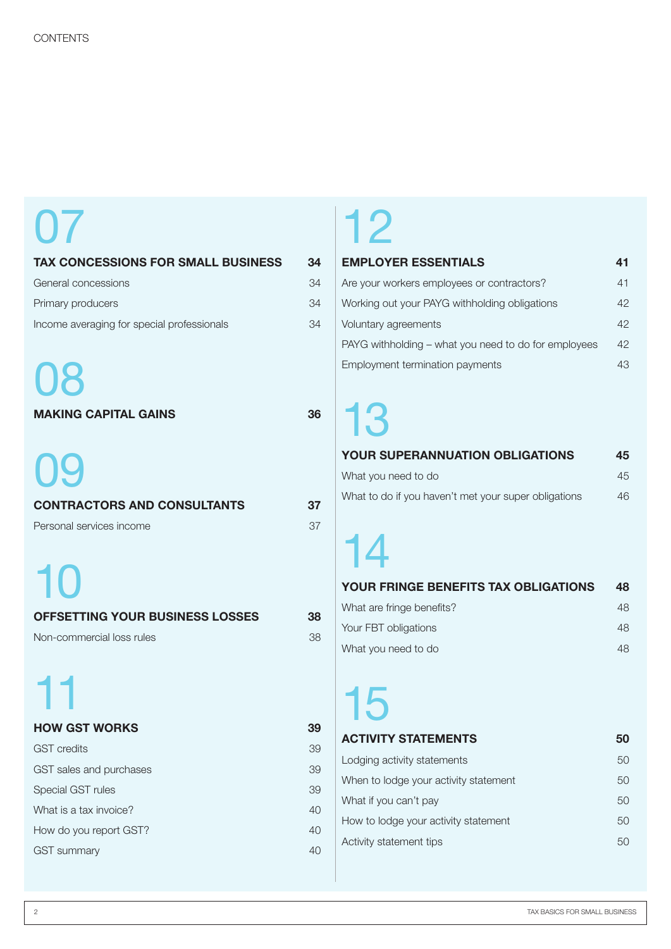# 07

| <b>TAX CONCESSIONS FOR SMALL BUSINESS</b>                            | 34       |
|----------------------------------------------------------------------|----------|
| General concessions                                                  | 34       |
| Primary producers                                                    | 34       |
| Income averaging for special professionals                           | 34       |
| 08<br><b>MAKING CAPITAL GAINS</b>                                    | 36       |
| 09<br><b>CONTRACTORS AND CONSULTANTS</b><br>Personal services income | 37<br>37 |
| 10<br>OFFSETTING YOUR BUSINESS LOSSES                                | 38       |
| Non-commercial loss rules                                            | 38       |
| 11                                                                   |          |
| <b>HOW GST WORKS</b>                                                 | 39       |
| <b>GST</b> credits                                                   | 39       |
| GST sales and purchases                                              | 39       |
| Special GST rules                                                    | 39       |
| What is a tax invoice?                                               | 40       |
| How do you report GST?                                               | 40       |
| <b>GST</b> summary                                                   | 40       |

## 12

#### **employer essentials 41**

| Are your workers employees or contractors?           | 41 |
|------------------------------------------------------|----|
| Working out your PAYG withholding obligations        | 42 |
| Voluntary agreements                                 | 42 |
| PAYG withholding – what you need to do for employees | 42 |
| Employment termination payments                      | 43 |

# 13

#### **your superannuation obligations 45**

| What you need to do                                  | 45 |
|------------------------------------------------------|----|
| What to do if you haven't met your super obligations | 46 |

# 14

| <b>YOUR FRINGE BENEFITS TAX OBLIGATIONS</b> | 48  |
|---------------------------------------------|-----|
| What are fringe benefits?                   | 48  |
| Your FBT obligations                        | 48  |
| What you need to do                         | 48. |

# 15

#### **activity statements 50**

| Lodging activity statements           | 50  |
|---------------------------------------|-----|
| When to lodge your activity statement | 50  |
| What if you can't pay                 | 50  |
| How to lodge your activity statement  | 50  |
| Activity statement tips               | 50. |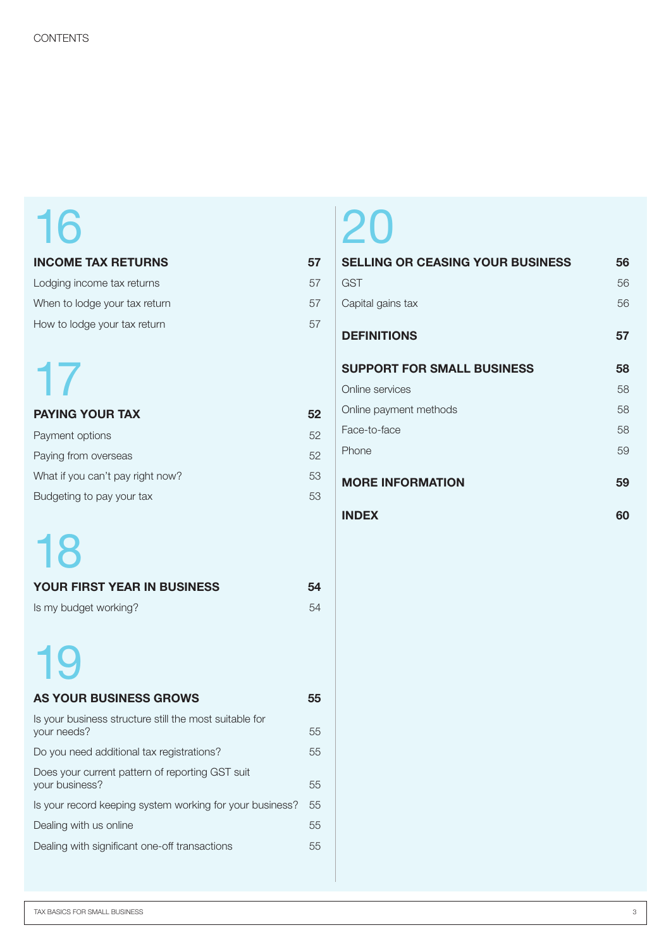# 16

#### **income tax returns 57**

| Lodging income tax returns    | 57 |
|-------------------------------|----|
| When to lodge your tax return | 5/ |
| How to lodge your tax return  | 5/ |

# 17

| <b>PAYING YOUR TAX</b>           | 52 |
|----------------------------------|----|
| Payment options                  | 52 |
| Paying from overseas             | 52 |
| What if you can't pay right now? | 53 |
| Budgeting to pay your tax        | 53 |

# 18

| <b>YOUR FIRST YEAR IN BUSINESS</b> | 54 |
|------------------------------------|----|
| Is my budget working?              | 54 |

# 19

| <b>AS YOUR BUSINESS GROWS</b>                                         | 55 |
|-----------------------------------------------------------------------|----|
| Is your business structure still the most suitable for<br>your needs? | 55 |
| Do you need additional tax registrations?                             | 55 |
| Does your current pattern of reporting GST suit<br>your business?     | 55 |
| Is your record keeping system working for your business?              | 55 |
| Dealing with us online                                                | 55 |
| Dealing with significant one-off transactions                         | 55 |
|                                                                       |    |

# 20

| <b>SELLING OR CEASING YOUR BUSINESS</b> | 56 |
|-----------------------------------------|----|
| <b>GST</b>                              | 56 |
| Capital gains tax                       | 56 |
| <b>DEFINITIONS</b>                      | 57 |
| <b>SUPPORT FOR SMALL BUSINESS</b>       | 58 |
| Online services                         | 58 |
| Online payment methods                  | 58 |
| Face-to-face                            | 58 |
| Phone                                   | 59 |
| <b>MORE INFORMATION</b>                 | 59 |
| <b>INDEX</b>                            | 60 |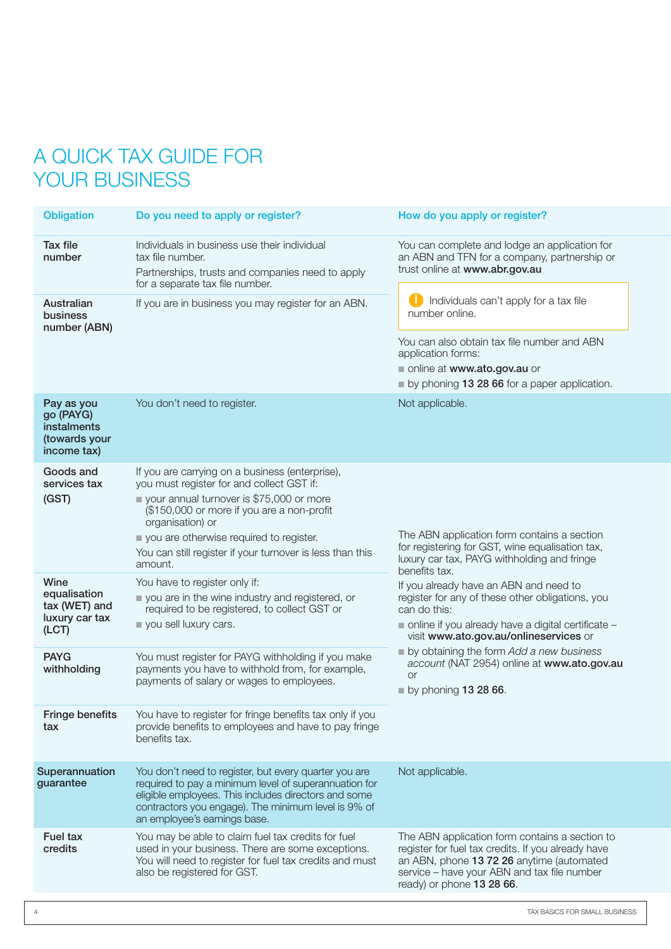## A QUICK TAX GUIDE FOR YOUR BUSINESS

| <b>Obligation</b>                                                      | Do you need to apply or register?                                                                                                                                                                                                                                                                                             | How do you apply or register?                                                                                                                                                                                                 |
|------------------------------------------------------------------------|-------------------------------------------------------------------------------------------------------------------------------------------------------------------------------------------------------------------------------------------------------------------------------------------------------------------------------|-------------------------------------------------------------------------------------------------------------------------------------------------------------------------------------------------------------------------------|
| Tax file<br>number                                                     | Individuals in business use their individual<br>tax file number.<br>Partnerships, trusts and companies need to apply<br>for a separate tax file number.                                                                                                                                                                       | You can complete and lodge an application for<br>an ABN and TFN for a company, partnership or<br>trust online at www.abr.gov.au                                                                                               |
| Australian<br><b>business</b><br>number (ABN)                          | If you are in business you may register for an ABN.                                                                                                                                                                                                                                                                           | Individuals can't apply for a tax file<br>number online.                                                                                                                                                                      |
|                                                                        |                                                                                                                                                                                                                                                                                                                               | You can also obtain tax file number and ABN<br>application forms:<br>online at www.ato.gov.au or<br>by phoning 13 28 66 for a paper application.                                                                              |
| Pay as you<br>go (PAYG)<br>instalments<br>(towards your<br>income tax) | You don't need to register.                                                                                                                                                                                                                                                                                                   | Not applicable.                                                                                                                                                                                                               |
| Goods and<br>services tax<br>(GST)                                     | If you are carrying on a business (enterprise),<br>you must register for and collect GST if:<br>vour annual turnover is \$75,000 or more<br>(\$150,000 or more if you are a non-profit<br>organisation) or<br>you are otherwise required to register.<br>You can still register if your turnover is less than this<br>amount. | The ABN application form contains a section<br>for registering for GST, wine equalisation tax,<br>luxury car tax, PAYG withholding and fringe<br>benefits tax.                                                                |
| Wine<br>equalisation<br>tax (WET) and<br>luxury car tax<br>(ICT)       | You have to register only if:<br>you are in the wine industry and registered, or<br>required to be registered, to collect GST or<br>you sell luxury cars.                                                                                                                                                                     | If you already have an ABN and need to<br>register for any of these other obligations, you<br>can do this:<br>online if you already have a digital certificate -<br>visit www.ato.gov.au/onlineservices or                    |
| <b>PAYG</b><br>withholding                                             | You must register for PAYG withholding if you make<br>payments you have to withhold from, for example,<br>payments of salary or wages to employees.                                                                                                                                                                           | by obtaining the form Add a new business<br>account (NAT 2954) online at www.ato.gov.au<br><b>or</b><br>by phoning $132866$ .                                                                                                 |
| Fringe benefits<br>tax                                                 | You have to register for fringe benefits tax only if you<br>provide benefits to employees and have to pay fringe<br>benefits tax.                                                                                                                                                                                             |                                                                                                                                                                                                                               |
| Superannuation<br>guarantee                                            | You don't need to register, but every quarter you are<br>required to pay a minimum level of superannuation for<br>eligible employees. This includes directors and some<br>contractors you engage). The minimum level is 9% of<br>an employee's earnings base.                                                                 | Not applicable.                                                                                                                                                                                                               |
| <b>Fuel tax</b><br>credits                                             | You may be able to claim fuel tax credits for fuel<br>used in your business. There are some exceptions.<br>You will need to register for fuel tax credits and must<br>also be registered for GST.                                                                                                                             | The ABN application form contains a section to<br>register for fuel tax credits. If you already have<br>an ABN, phone 13 72 26 anytime (automated<br>service - have your ABN and tax file number<br>ready) or phone 13 28 66. |
|                                                                        |                                                                                                                                                                                                                                                                                                                               |                                                                                                                                                                                                                               |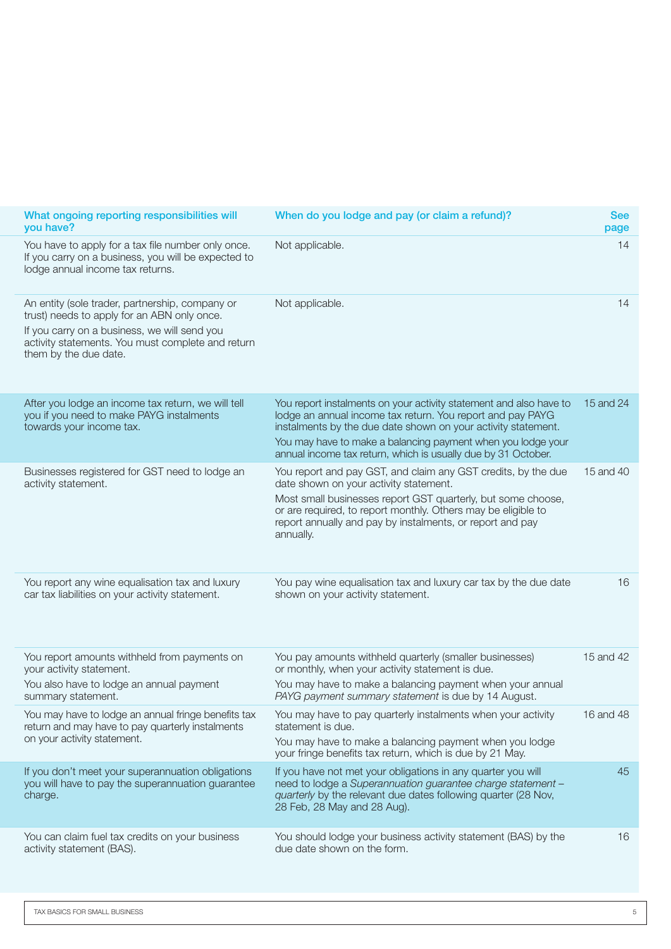| When do you lodge and pay (or claim a refund)?<br><b>See</b><br>page                                                                                                                                                                                                                                                                         | What ongoing reporting responsibilities will<br>you have?                                                                                                                                                                    |
|----------------------------------------------------------------------------------------------------------------------------------------------------------------------------------------------------------------------------------------------------------------------------------------------------------------------------------------------|------------------------------------------------------------------------------------------------------------------------------------------------------------------------------------------------------------------------------|
| Not applicable.                                                                                                                                                                                                                                                                                                                              | You have to apply for a tax file number only once.<br>If you carry on a business, you will be expected to<br>lodge annual income tax returns.                                                                                |
| Not applicable.                                                                                                                                                                                                                                                                                                                              | An entity (sole trader, partnership, company or<br>trust) needs to apply for an ABN only once.<br>If you carry on a business, we will send you<br>activity statements. You must complete and return<br>them by the due date. |
| You report instalments on your activity statement and also have to 15 and 24<br>lodge an annual income tax return. You report and pay PAYG<br>instalments by the due date shown on your activity statement.<br>You may have to make a balancing payment when you lodge your<br>annual income tax return, which is usually due by 31 October. | After you lodge an income tax return, we will tell<br>you if you need to make PAYG instalments<br>towards your income tax.                                                                                                   |
| 15 and 40<br>You report and pay GST, and claim any GST credits, by the due<br>date shown on your activity statement.<br>Most small businesses report GST quarterly, but some choose,<br>or are required, to report monthly. Others may be eligible to<br>report annually and pay by instalments, or report and pay<br>annually.              | Businesses registered for GST need to lodge an<br>activity statement.                                                                                                                                                        |
| You pay wine equalisation tax and luxury car tax by the due date<br>shown on your activity statement.                                                                                                                                                                                                                                        | You report any wine equalisation tax and luxury<br>car tax liabilities on your activity statement.                                                                                                                           |
| 15 and 42<br>You pay amounts withheld quarterly (smaller businesses)<br>or monthly, when your activity statement is due.<br>You may have to make a balancing payment when your annual<br>PAYG payment summary statement is due by 14 August.                                                                                                 | You report amounts withheld from payments on<br>your activity statement.<br>You also have to lodge an annual payment<br>summary statement.                                                                                   |
| You may have to lodge an annual fringe benefits tax You may have to pay quarterly instalments when your activity 16 and 48<br>statement is due.<br>You may have to make a balancing payment when you lodge<br>your fringe benefits tax return, which is due by 21 May.                                                                       | return and may have to pay quarterly instalments<br>on your activity statement.                                                                                                                                              |
| If you have not met your obligations in any quarter you will<br>need to lodge a Superannuation guarantee charge statement -<br>quarterly by the relevant due dates following quarter (28 Nov,<br>28 Feb, 28 May and 28 Aug).                                                                                                                 | If you don't meet your superannuation obligations<br>you will have to pay the superannuation guarantee<br>charge.                                                                                                            |
| You should lodge your business activity statement (BAS) by the<br>due date shown on the form.                                                                                                                                                                                                                                                | You can claim fuel tax credits on your business<br>activity statement (BAS).                                                                                                                                                 |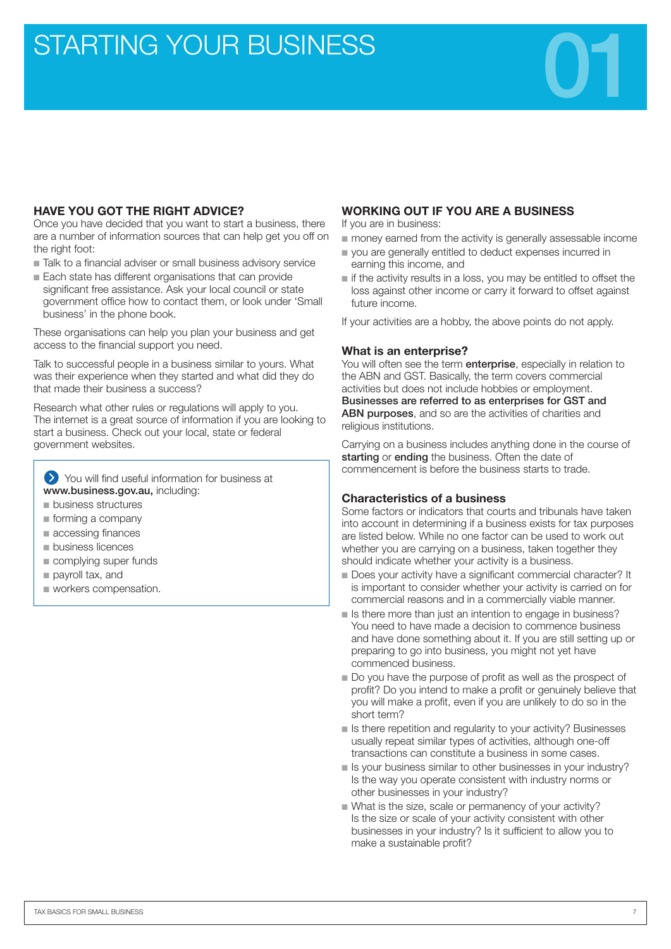## STARTING YOUR BUSINESS

#### **HAVE YOU GOT THE RIGHT ADVICE?**

Once you have decided that you want to start a business, there are a number of information sources that can help get you off on the right foot:

- Talk to a financial adviser or small business advisory service
- Each state has different organisations that can provide significant free assistance. Ask your local council or state government office how to contact them, or look under 'Small business' in the phone book.

These organisations can help you plan your business and get access to the financial support you need.

Talk to successful people in a business similar to yours. What was their experience when they started and what did they do that made their business a success?

Research what other rules or regulations will apply to you. The internet is a great source of information if you are looking to start a business. Check out your local, state or federal government websites.

You will find useful information for business at www.business.gov.au, including:

- business structures
- forming a company
- accessing finances
- business licences
- complying super funds
- payroll tax, and
- workers compensation.

#### **WORKING OUT IF YOU ARE A BUSINESS**

If you are in business:

- money earned from the activity is generally assessable income
- you are generally entitled to deduct expenses incurred in earning this income, and
- if the activity results in a loss, you may be entitled to offset the loss against other income or carry it forward to offset against future income.

If your activities are a hobby, the above points do not apply.

#### **What is an enterprise?**

You will often see the term **enterprise**, especially in relation to the ABN and GST. Basically, the term covers commercial activities but does not include hobbies or employment. Businesses are referred to as enterprises for GST and ABN purposes, and so are the activities of charities and religious institutions.

Carrying on a business includes anything done in the course of starting or ending the business. Often the date of commencement is before the business starts to trade.

#### **Characteristics of a business**

Some factors or indicators that courts and tribunals have taken into account in determining if a business exists for tax purposes are listed below. While no one factor can be used to work out whether you are carrying on a business, taken together they should indicate whether your activity is a business.

- Does your activity have a significant commercial character? It is important to consider whether your activity is carried on for commercial reasons and in a commercially viable manner.
- Is there more than just an intention to engage in business? You need to have made a decision to commence business and have done something about it. If you are still setting up or preparing to go into business, you might not yet have commenced business.
- Do you have the purpose of profit as well as the prospect of profit? Do you intend to make a profit or genuinely believe that you will make a profit, even if you are unlikely to do so in the short term?
- Is there repetition and regularity to your activity? Businesses usually repeat similar types of activities, although one-off transactions can constitute a business in some cases.
- Is your business similar to other businesses in your industry? Is the way you operate consistent with industry norms or other businesses in your industry?
- What is the size, scale or permanency of your activity? Is the size or scale of your activity consistent with other businesses in your industry? Is it sufficient to allow you to make a sustainable profit?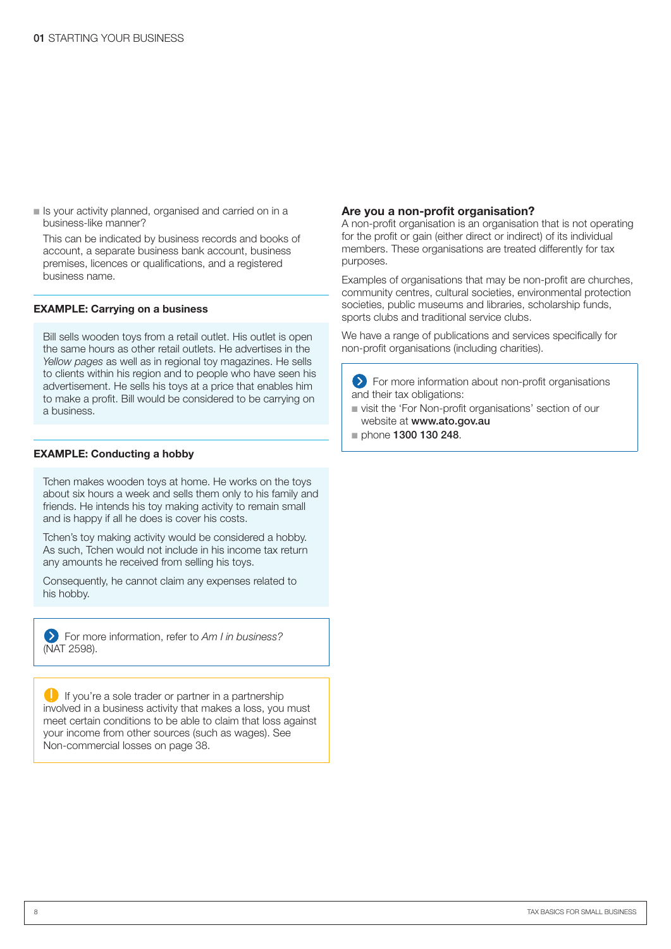**Example is your activity planned, organised and carried on in a <b>Are you a non-profit organisation?** business-like manner?

This can be indicated by business records and books of account, a separate business bank account, business premises, licences or qualifications, and a registered business name.

#### **EXAMPLE: Carrying on a business**

Bill sells wooden toys from a retail outlet. His outlet is open the same hours as other retail outlets. He advertises in the *Yellow pages* as well as in regional toy magazines. He sells to clients within his region and to people who have seen his advertisement. He sells his toys at a price that enables him to make a profit. Bill would be considered to be carrying on a business.

#### **EXAMPLE: Conducting a hobby**

Tchen makes wooden toys at home. He works on the toys about six hours a week and sells them only to his family and friends. He intends his toy making activity to remain small and is happy if all he does is cover his costs.

Tchen's toy making activity would be considered a hobby. As such, Tchen would not include in his income tax return any amounts he received from selling his toys.

Consequently, he cannot claim any expenses related to his hobby.

For more information, refer to *Am I in business?* (NAT 2598).

If you're a sole trader or partner in a partnership involved in a business activity that makes a loss, you must meet certain conditions to be able to claim that loss against your income from other sources (such as wages). See Non-commercial losses on page 38.

A non-profit organisation is an organisation that is not operating for the profit or gain (either direct or indirect) of its individual members. These organisations are treated differently for tax purposes.

Examples of organisations that may be non-profit are churches, community centres, cultural societies, environmental protection societies, public museums and libraries, scholarship funds, sports clubs and traditional service clubs.

We have a range of publications and services specifically for non-profit organisations (including charities).

For more information about non-profit organisations and their tax obligations:

- visit the 'For Non-profit organisations' section of our website at www.ato.gov.au
- phone 1300 130 248.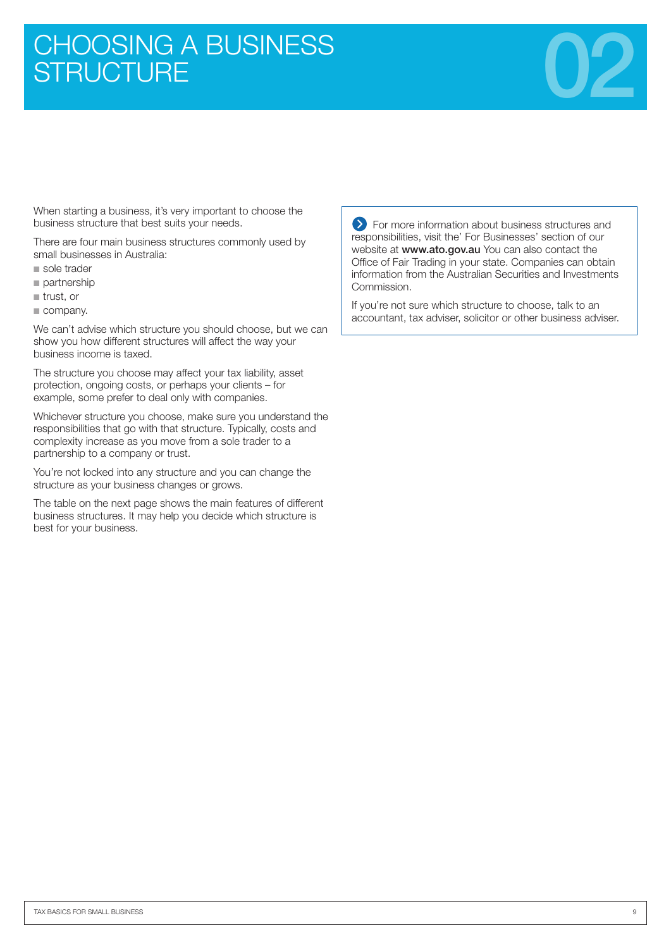# CHOOSING A BUSINESS<br>STRUCTURE



When starting a business, it's very important to choose the business structure that best suits your needs.

There are four main business structures commonly used by small businesses in Australia:

- sole trader
- partnership
- trust, or
- company.

We can't advise which structure you should choose, but we can show you how different structures will affect the way your business income is taxed.

The structure you choose may affect your tax liability, asset protection, ongoing costs, or perhaps your clients – for example, some prefer to deal only with companies.

Whichever structure you choose, make sure you understand the responsibilities that go with that structure. Typically, costs and complexity increase as you move from a sole trader to a partnership to a company or trust.

You're not locked into any structure and you can change the structure as your business changes or grows.

The table on the next page shows the main features of different business structures. It may help you decide which structure is best for your business.

**EXT** For more information about business structures and responsibilities, visit the' For Businesses' section of our website at www.ato.gov.au You can also contact the Office of Fair Trading in your state. Companies can obtain information from the Australian Securities and Investments Commission.

If you're not sure which structure to choose, talk to an accountant, tax adviser, solicitor or other business adviser.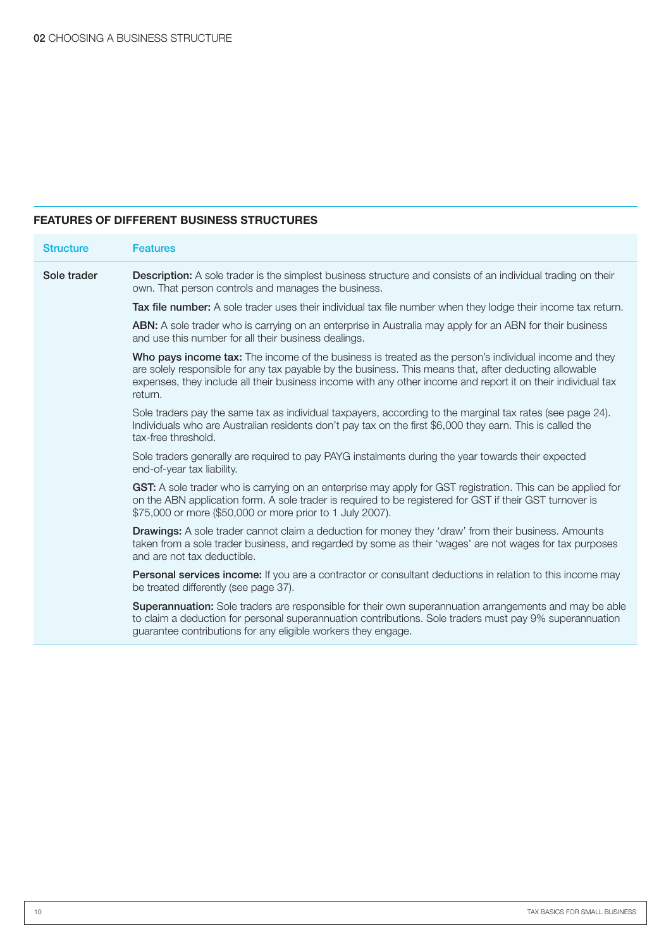#### **FEATURES OF DIFFERENT BUSINESS STRUCTURES**

| <b>Structure</b> | <b>Features</b>                                                                                                                                                                                                                                                                                                                            |
|------------------|--------------------------------------------------------------------------------------------------------------------------------------------------------------------------------------------------------------------------------------------------------------------------------------------------------------------------------------------|
| Sole trader      | <b>Description:</b> A sole trader is the simplest business structure and consists of an individual trading on their<br>own. That person controls and manages the business.                                                                                                                                                                 |
|                  | Tax file number: A sole trader uses their individual tax file number when they lodge their income tax return.                                                                                                                                                                                                                              |
|                  | ABN: A sole trader who is carrying on an enterprise in Australia may apply for an ABN for their business<br>and use this number for all their business dealings.                                                                                                                                                                           |
|                  | Who pays income tax: The income of the business is treated as the person's individual income and they<br>are solely responsible for any tax payable by the business. This means that, after deducting allowable<br>expenses, they include all their business income with any other income and report it on their individual tax<br>return. |
|                  | Sole traders pay the same tax as individual taxpayers, according to the marginal tax rates (see page 24).<br>Individuals who are Australian residents don't pay tax on the first \$6,000 they earn. This is called the<br>tax-free threshold.                                                                                              |
|                  | Sole traders generally are required to pay PAYG instalments during the year towards their expected<br>end-of-year tax liability.                                                                                                                                                                                                           |
|                  | GST: A sole trader who is carrying on an enterprise may apply for GST registration. This can be applied for<br>on the ABN application form. A sole trader is required to be registered for GST if their GST turnover is<br>\$75,000 or more (\$50,000 or more prior to 1 July 2007).                                                       |
|                  | <b>Drawings:</b> A sole trader cannot claim a deduction for money they 'draw' from their business. Amounts<br>taken from a sole trader business, and regarded by some as their 'wages' are not wages for tax purposes<br>and are not tax deductible.                                                                                       |
|                  | Personal services income: If you are a contractor or consultant deductions in relation to this income may<br>be treated differently (see page 37).                                                                                                                                                                                         |
|                  | Superannuation: Sole traders are responsible for their own superannuation arrangements and may be able<br>to claim a deduction for personal superannuation contributions. Sole traders must pay 9% superannuation<br>guarantee contributions for any eligible workers they engage.                                                         |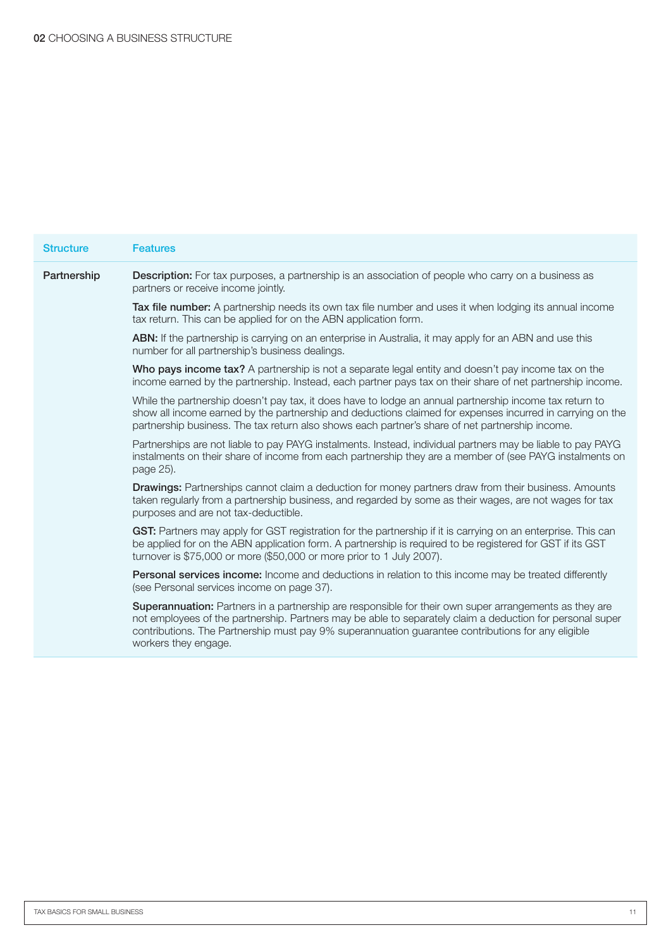| <b>Structure</b> | <b>Features</b>                                                                                                                                                                                                                                                                                                                                   |
|------------------|---------------------------------------------------------------------------------------------------------------------------------------------------------------------------------------------------------------------------------------------------------------------------------------------------------------------------------------------------|
| Partnership      | <b>Description:</b> For tax purposes, a partnership is an association of people who carry on a business as<br>partners or receive income jointly.                                                                                                                                                                                                 |
|                  | Tax file number: A partnership needs its own tax file number and uses it when lodging its annual income<br>tax return. This can be applied for on the ABN application form.                                                                                                                                                                       |
|                  | <b>ABN:</b> If the partnership is carrying on an enterprise in Australia, it may apply for an ABN and use this<br>number for all partnership's business dealings.                                                                                                                                                                                 |
|                  | Who pays income tax? A partnership is not a separate legal entity and doesn't pay income tax on the<br>income earned by the partnership. Instead, each partner pays tax on their share of net partnership income.                                                                                                                                 |
|                  | While the partnership doesn't pay tax, it does have to lodge an annual partnership income tax return to<br>show all income earned by the partnership and deductions claimed for expenses incurred in carrying on the<br>partnership business. The tax return also shows each partner's share of net partnership income.                           |
|                  | Partnerships are not liable to pay PAYG instalments. Instead, individual partners may be liable to pay PAYG<br>instalments on their share of income from each partnership they are a member of (see PAYG instalments on<br>page 25).                                                                                                              |
|                  | Drawings: Partnerships cannot claim a deduction for money partners draw from their business. Amounts<br>taken regularly from a partnership business, and regarded by some as their wages, are not wages for tax<br>purposes and are not tax-deductible.                                                                                           |
|                  | GST: Partners may apply for GST registration for the partnership if it is carrying on an enterprise. This can<br>be applied for on the ABN application form. A partnership is required to be registered for GST if its GST<br>turnover is \$75,000 or more (\$50,000 or more prior to 1 July 2007).                                               |
|                  | Personal services income: Income and deductions in relation to this income may be treated differently<br>(see Personal services income on page 37).                                                                                                                                                                                               |
|                  | Superannuation: Partners in a partnership are responsible for their own super arrangements as they are<br>not employees of the partnership. Partners may be able to separately claim a deduction for personal super<br>contributions. The Partnership must pay 9% superannuation guarantee contributions for any eligible<br>workers they engage. |
|                  |                                                                                                                                                                                                                                                                                                                                                   |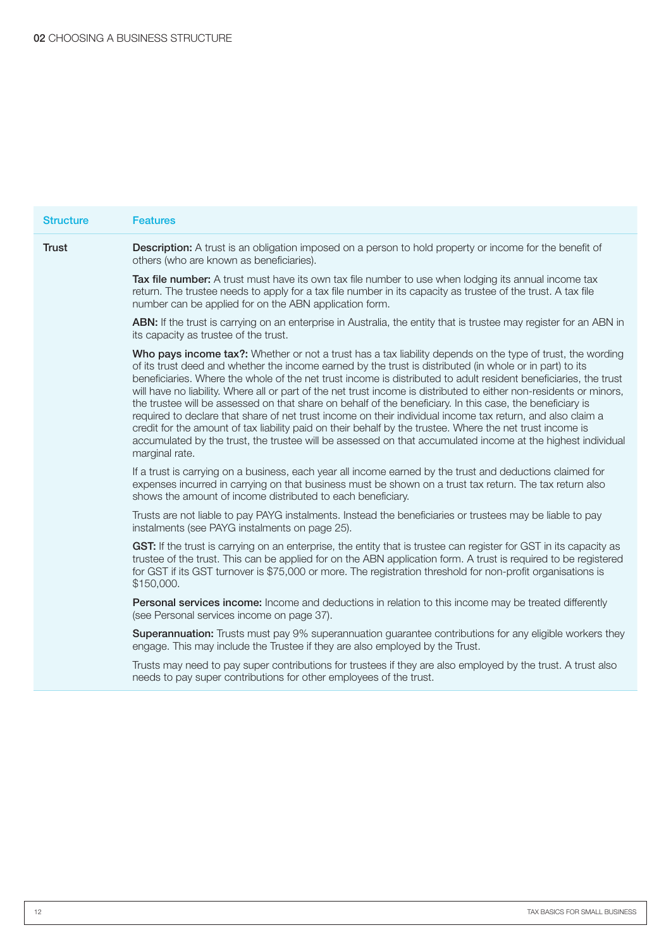| <b>Structure</b> | <b>Features</b>                                                                                                                                                                                                                                                                                                                                                                                                                                                                                                                                                                                                                                                                                                                                                                                                                                                                                                                            |
|------------------|--------------------------------------------------------------------------------------------------------------------------------------------------------------------------------------------------------------------------------------------------------------------------------------------------------------------------------------------------------------------------------------------------------------------------------------------------------------------------------------------------------------------------------------------------------------------------------------------------------------------------------------------------------------------------------------------------------------------------------------------------------------------------------------------------------------------------------------------------------------------------------------------------------------------------------------------|
| <b>Trust</b>     | <b>Description:</b> A trust is an obligation imposed on a person to hold property or income for the benefit of<br>others (who are known as beneficiaries).                                                                                                                                                                                                                                                                                                                                                                                                                                                                                                                                                                                                                                                                                                                                                                                 |
|                  | Tax file number: A trust must have its own tax file number to use when lodging its annual income tax<br>return. The trustee needs to apply for a tax file number in its capacity as trustee of the trust. A tax file<br>number can be applied for on the ABN application form.                                                                                                                                                                                                                                                                                                                                                                                                                                                                                                                                                                                                                                                             |
|                  | ABN: If the trust is carrying on an enterprise in Australia, the entity that is trustee may register for an ABN in<br>its capacity as trustee of the trust.                                                                                                                                                                                                                                                                                                                                                                                                                                                                                                                                                                                                                                                                                                                                                                                |
|                  | Who pays income tax?: Whether or not a trust has a tax liability depends on the type of trust, the wording<br>of its trust deed and whether the income earned by the trust is distributed (in whole or in part) to its<br>beneficiaries. Where the whole of the net trust income is distributed to adult resident beneficiaries, the trust<br>will have no liability. Where all or part of the net trust income is distributed to either non-residents or minors,<br>the trustee will be assessed on that share on behalf of the beneficiary. In this case, the beneficiary is<br>required to declare that share of net trust income on their individual income tax return, and also claim a<br>credit for the amount of tax liability paid on their behalf by the trustee. Where the net trust income is<br>accumulated by the trust, the trustee will be assessed on that accumulated income at the highest individual<br>marginal rate. |
|                  | If a trust is carrying on a business, each year all income earned by the trust and deductions claimed for<br>expenses incurred in carrying on that business must be shown on a trust tax return. The tax return also<br>shows the amount of income distributed to each beneficiary.                                                                                                                                                                                                                                                                                                                                                                                                                                                                                                                                                                                                                                                        |
|                  | Trusts are not liable to pay PAYG instalments. Instead the beneficiaries or trustees may be liable to pay<br>instalments (see PAYG instalments on page 25).                                                                                                                                                                                                                                                                                                                                                                                                                                                                                                                                                                                                                                                                                                                                                                                |
|                  | GST: If the trust is carrying on an enterprise, the entity that is trustee can register for GST in its capacity as<br>trustee of the trust. This can be applied for on the ABN application form. A trust is required to be registered<br>for GST if its GST turnover is \$75,000 or more. The registration threshold for non-profit organisations is<br>\$150,000.                                                                                                                                                                                                                                                                                                                                                                                                                                                                                                                                                                         |
|                  | Personal services income: Income and deductions in relation to this income may be treated differently<br>(see Personal services income on page 37).                                                                                                                                                                                                                                                                                                                                                                                                                                                                                                                                                                                                                                                                                                                                                                                        |
|                  | Superannuation: Trusts must pay 9% superannuation guarantee contributions for any eligible workers they<br>engage. This may include the Trustee if they are also employed by the Trust.                                                                                                                                                                                                                                                                                                                                                                                                                                                                                                                                                                                                                                                                                                                                                    |
|                  | Trusts may need to pay super contributions for trustees if they are also employed by the trust. A trust also<br>needs to pay super contributions for other employees of the trust.                                                                                                                                                                                                                                                                                                                                                                                                                                                                                                                                                                                                                                                                                                                                                         |
|                  |                                                                                                                                                                                                                                                                                                                                                                                                                                                                                                                                                                                                                                                                                                                                                                                                                                                                                                                                            |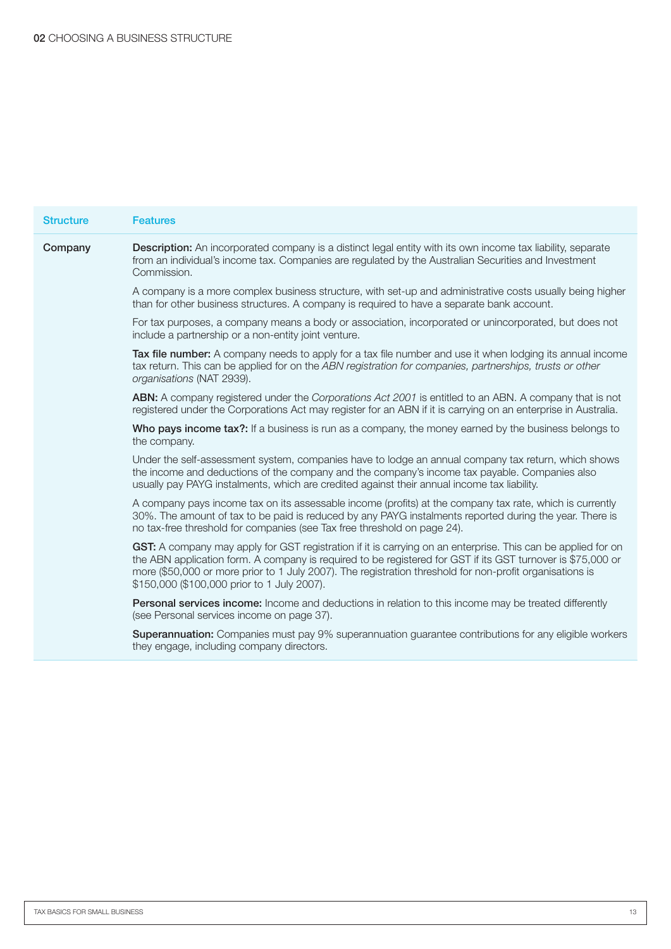| <b>Structure</b> | <b>Features</b>                                                                                                                                                                                                                                                                                                                                                                        |
|------------------|----------------------------------------------------------------------------------------------------------------------------------------------------------------------------------------------------------------------------------------------------------------------------------------------------------------------------------------------------------------------------------------|
| Company          | <b>Description:</b> An incorporated company is a distinct legal entity with its own income tax liability, separate<br>from an individual's income tax. Companies are regulated by the Australian Securities and Investment<br>Commission.                                                                                                                                              |
|                  | A company is a more complex business structure, with set-up and administrative costs usually being higher<br>than for other business structures. A company is required to have a separate bank account.                                                                                                                                                                                |
|                  | For tax purposes, a company means a body or association, incorporated or unincorporated, but does not<br>include a partnership or a non-entity joint venture.                                                                                                                                                                                                                          |
|                  | Tax file number: A company needs to apply for a tax file number and use it when lodging its annual income<br>tax return. This can be applied for on the ABN registration for companies, partnerships, trusts or other<br>organisations (NAT 2939).                                                                                                                                     |
|                  | <b>ABN:</b> A company registered under the Corporations Act 2001 is entitled to an ABN. A company that is not<br>registered under the Corporations Act may register for an ABN if it is carrying on an enterprise in Australia.                                                                                                                                                        |
|                  | Who pays income tax?: If a business is run as a company, the money earned by the business belongs to<br>the company.                                                                                                                                                                                                                                                                   |
|                  | Under the self-assessment system, companies have to lodge an annual company tax return, which shows<br>the income and deductions of the company and the company's income tax payable. Companies also<br>usually pay PAYG instalments, which are credited against their annual income tax liability.                                                                                    |
|                  | A company pays income tax on its assessable income (profits) at the company tax rate, which is currently<br>30%. The amount of tax to be paid is reduced by any PAYG instalments reported during the year. There is<br>no tax-free threshold for companies (see Tax free threshold on page 24).                                                                                        |
|                  | GST: A company may apply for GST registration if it is carrying on an enterprise. This can be applied for on<br>the ABN application form. A company is required to be registered for GST if its GST turnover is \$75,000 or<br>more (\$50,000 or more prior to 1 July 2007). The registration threshold for non-profit organisations is<br>\$150,000 (\$100,000 prior to 1 July 2007). |
|                  | Personal services income: Income and deductions in relation to this income may be treated differently<br>(see Personal services income on page 37).                                                                                                                                                                                                                                    |
|                  | Superannuation: Companies must pay 9% superannuation guarantee contributions for any eligible workers<br>they engage, including company directors.                                                                                                                                                                                                                                     |
|                  |                                                                                                                                                                                                                                                                                                                                                                                        |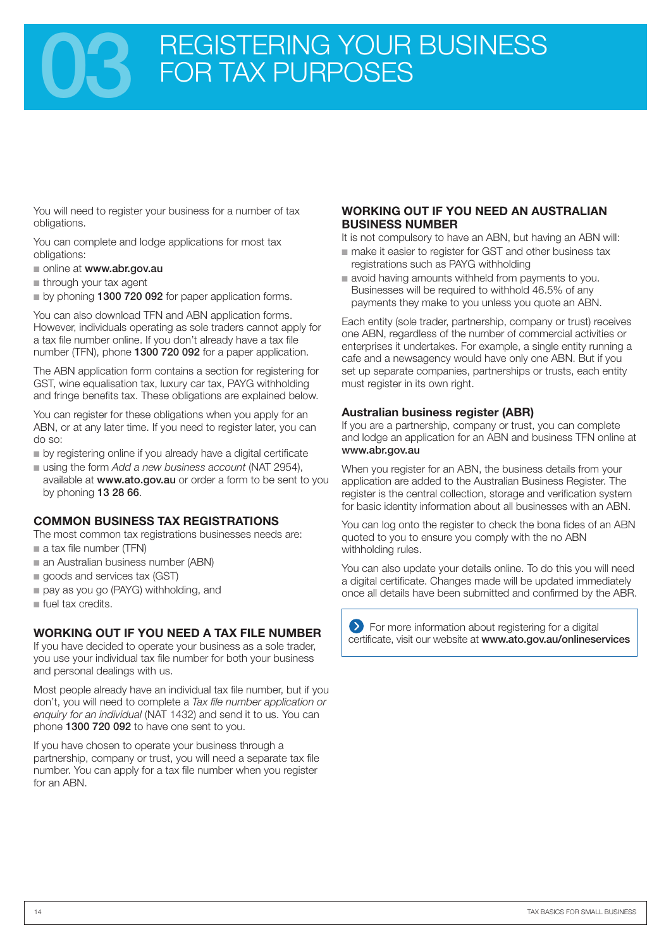## REGISTERING YOUR BUSINESS FOR TAX PURPOSES

You will need to register your business for a number of tax obligations.

You can complete and lodge applications for most tax obligations:

■ online at www.abr.gov.au

■ through your tax agent

■ by phoning 1300 720 092 for paper application forms.

You can also download TFN and ABN application forms. However, individuals operating as sole traders cannot apply for a tax file number online. If you don't already have a tax file number (TFN), phone 1300 720 092 for a paper application.

The ABN application form contains a section for registering for GST, wine equalisation tax, luxury car tax, PAYG withholding and fringe benefits tax. These obligations are explained below.

You can register for these obligations when you apply for an ABN, or at any later time. If you need to register later, you can do so:

- by registering online if you already have a digital certificate
- using the form *Add a new business account* (NAT 2954),
- available at www.ato.gov.au or order a form to be sent to you by phoning 13 28 66.

#### **COMMON BUSINESS TAX REGISTRATIONS**

The most common tax registrations businesses needs are: ■ a tax file number (TFN)

- an Australian business number (ABN)
- goods and services tax (GST)
- pay as you go (PAYG) withholding, and
- fuel tax credits.

#### **WORKING OUT IF YOU NEED A TAX FILE NUMBER**

If you have decided to operate your business as a sole trader, you use your individual tax file number for both your business and personal dealings with us.

Most people already have an individual tax file number, but if you don't, you will need to complete a *Tax file number application or enquiry for an individual* (NAT 1432) and send it to us. You can phone 1300 720 092 to have one sent to you.

If you have chosen to operate your business through a partnership, company or trust, you will need a separate tax file number. You can apply for a tax file number when you register for an ABN.

#### **WORKING OUT IF YOU NEED AN AUSTRALIAN BUSINESS NUMBER**

It is not compulsory to have an ABN, but having an ABN will:

- make it easier to register for GST and other business tax registrations such as PAYG withholding
- avoid having amounts withheld from payments to you. Businesses will be required to withhold 46.5% of any payments they make to you unless you quote an ABN.

Each entity (sole trader, partnership, company or trust) receives one ABN, regardless of the number of commercial activities or enterprises it undertakes. For example, a single entity running a cafe and a newsagency would have only one ABN. But if you set up separate companies, partnerships or trusts, each entity must register in its own right.

#### **Australian business register (ABR)**

If you are a partnership, company or trust, you can complete and lodge an application for an ABN and business TFN online at www.abr.gov.au

When you register for an ABN, the business details from your application are added to the Australian Business Register. The register is the central collection, storage and verification system for basic identity information about all businesses with an ABN.

You can log onto the register to check the bona fides of an ABN quoted to you to ensure you comply with the no ABN withholding rules.

You can also update your details online. To do this you will need a digital certificate. Changes made will be updated immediately once all details have been submitted and confirmed by the ABR.

For more information about registering for a digital certificate, visit our website at www.ato.gov.au/onlineservices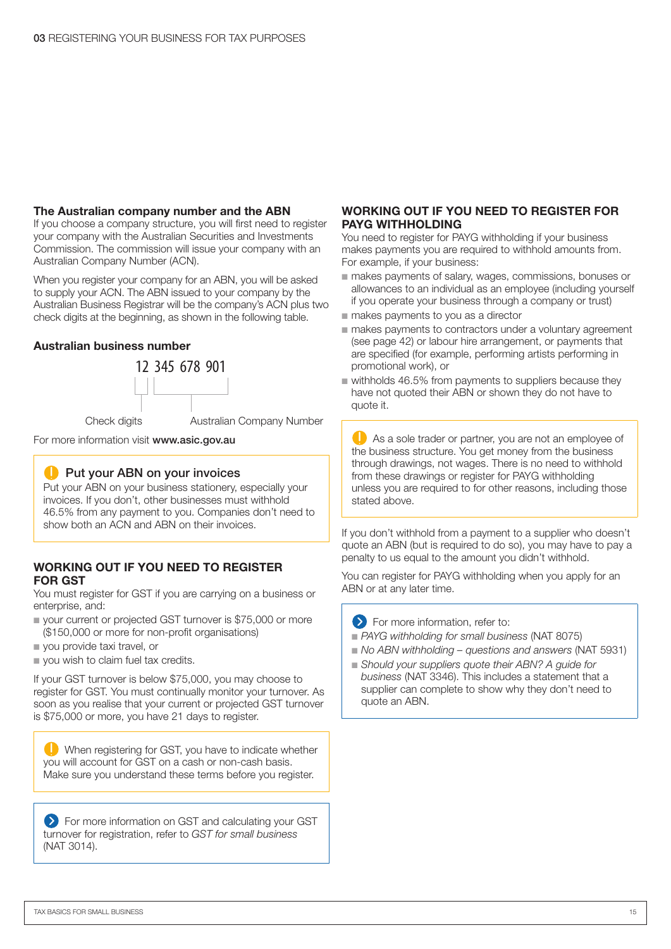#### **The Australian company number and the ABN**

If you choose a company structure, you will first need to register your company with the Australian Securities and Investments Commission. The commission will issue your company with an Australian Company Number (ACN).

When you register your company for an ABN, you will be asked to supply your ACN. The ABN issued to your company by the Australian Business Registrar will be the company's ACN plus two check digits at the beginning, as shown in the following table.

#### **Australian business number**



Check digits **Australian Company Number** 

For more information visit www.asic.gov.au

#### **Put your ABN on your invoices**

Put your ABN on your business stationery, especially your invoices. If you don't, other businesses must withhold 46.5% from any payment to you. Companies don't need to show both an ACN and ABN on their invoices.

#### **WORKING OUT IF YOU NEED TO REGISTER FOR GST**

You must register for GST if you are carrying on a business or enterprise, and:

- your current or projected GST turnover is \$75,000 or more (\$150,000 or more for non-profit organisations)
- you provide taxi travel, or
- you wish to claim fuel tax credits.

If your GST turnover is below \$75,000, you may choose to register for GST. You must continually monitor your turnover. As soon as you realise that your current or projected GST turnover is \$75,000 or more, you have 21 days to register.

When registering for GST, you have to indicate whether you will account for GST on a cash or non-cash basis. Make sure you understand these terms before you register.

For more information on GST and calculating your GST turnover for registration, refer to *GST for small business* (NAT 3014).

#### **WORKING OUT IF YOU NEED TO REGISTER FOR PAYG WITHHOLDING**

You need to register for PAYG withholding if your business makes payments you are required to withhold amounts from. For example, if your business:

- makes payments of salary, wages, commissions, bonuses or allowances to an individual as an employee (including yourself if you operate your business through a company or trust)
- makes payments to you as a director
- makes payments to contractors under a voluntary agreement (see page 42) or labour hire arrangement, or payments that are specified (for example, performing artists performing in promotional work), or
- withholds 46.5% from payments to suppliers because they have not quoted their ABN or shown they do not have to quote it.

As a sole trader or partner, you are not an employee of the business structure. You get money from the business through drawings, not wages. There is no need to withhold from these drawings or register for PAYG withholding unless you are required to for other reasons, including those stated above.

If you don't withhold from a payment to a supplier who doesn't quote an ABN (but is required to do so), you may have to pay a penalty to us equal to the amount you didn't withhold.

You can register for PAYG withholding when you apply for an ABN or at any later time.

- For more information, refer to:
- PAYG withholding for small business (NAT 8075)
- *No ABN withholding questions and answers* (NAT 5931)
- Should your suppliers quote their ABN? A guide for *business* (NAT 3346). This includes a statement that a supplier can complete to show why they don't need to quote an ABN.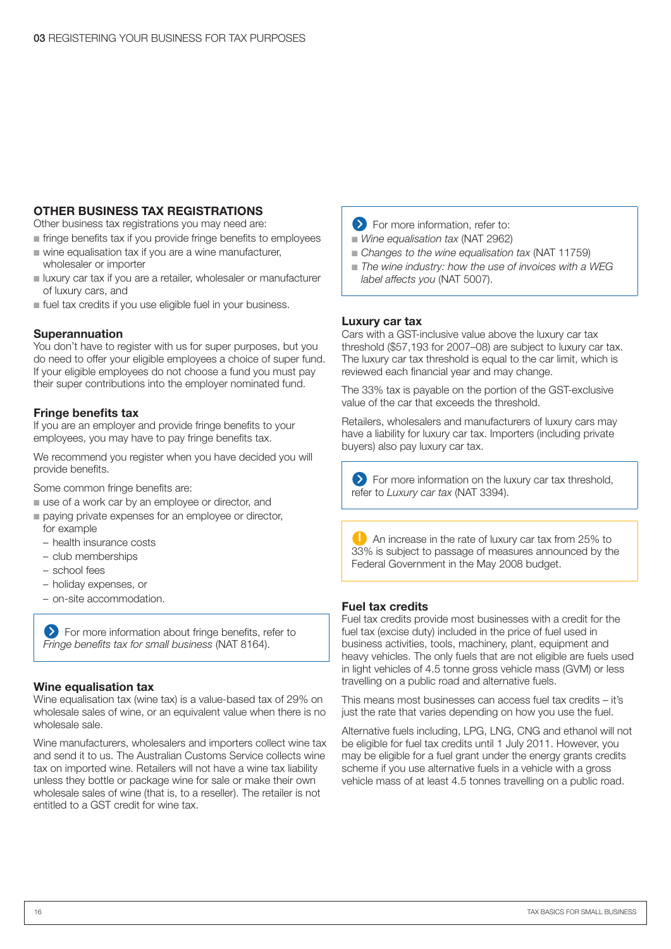#### **OTHER BUSINESS TAX REGISTRATIONS**

Other business tax registrations you may need are:

- fringe benefits tax if you provide fringe benefits to employees
- wine equalisation tax if you are a wine manufacturer, wholesaler or importer
- luxury car tax if you are a retailer, wholesaler or manufacturer of luxury cars, and
- fuel tax credits if you use eligible fuel in your business.

#### **Superannuation**

You don't have to register with us for super purposes, but you do need to offer your eligible employees a choice of super fund. If your eligible employees do not choose a fund you must pay their super contributions into the employer nominated fund.

#### **Fringe benefits tax**

If you are an employer and provide fringe benefits to your employees, you may have to pay fringe benefits tax.

We recommend you register when you have decided you will provide benefits.

Some common fringe benefits are:

- use of a work car by an employee or director, and
- paying private expenses for an employee or director, for example
	- health insurance costs
	- club memberships
	- school fees
	- holiday expenses, or
	- on-site accommodation.

**EX** For more information about fringe benefits, refer to *Fringe benefits tax for small business* (NAT 8164).

#### **Wine equalisation tax**

Wine equalisation tax (wine tax) is a value-based tax of 29% on wholesale sales of wine, or an equivalent value when there is no wholesale sale.

Wine manufacturers, wholesalers and importers collect wine tax and send it to us. The Australian Customs Service collects wine tax on imported wine. Retailers will not have a wine tax liability unless they bottle or package wine for sale or make their own wholesale sales of wine (that is, to a reseller). The retailer is not entitled to a GST credit for wine tax.

- **EXECUTE:** For more information, refer to:
- *Wine equalisation tax (NAT 2962)*
- Changes to the wine equalisation tax (NAT 11759)
- The wine industry: how the use of invoices with a WEG *label affects you* (NAT 5007).

#### **Luxury car tax**

Cars with a GST-inclusive value above the luxury car tax threshold (\$57,193 for 2007–08) are subject to luxury car tax. The luxury car tax threshold is equal to the car limit, which is reviewed each financial year and may change.

The 33% tax is payable on the portion of the GST-exclusive value of the car that exceeds the threshold.

Retailers, wholesalers and manufacturers of luxury cars may have a liability for luxury car tax. Importers (including private buyers) also pay luxury car tax.

**EXT** For more information on the luxury car tax threshold, refer to *Luxury car tax* (NAT 3394).

 $\Box$  An increase in the rate of luxury car tax from 25% to 33% is subject to passage of measures announced by the Federal Government in the May 2008 budget.

#### **Fuel tax credits**

Fuel tax credits provide most businesses with a credit for the fuel tax (excise duty) included in the price of fuel used in business activities, tools, machinery, plant, equipment and heavy vehicles. The only fuels that are not eligible are fuels used in light vehicles of 4.5 tonne gross vehicle mass (GVM) or less travelling on a public road and alternative fuels.

This means most businesses can access fuel tax credits – it's just the rate that varies depending on how you use the fuel.

Alternative fuels including, LPG, LNG, CNG and ethanol will not be eligible for fuel tax credits until 1 July 2011. However, you may be eligible for a fuel grant under the energy grants credits scheme if you use alternative fuels in a vehicle with a gross vehicle mass of at least 4.5 tonnes travelling on a public road.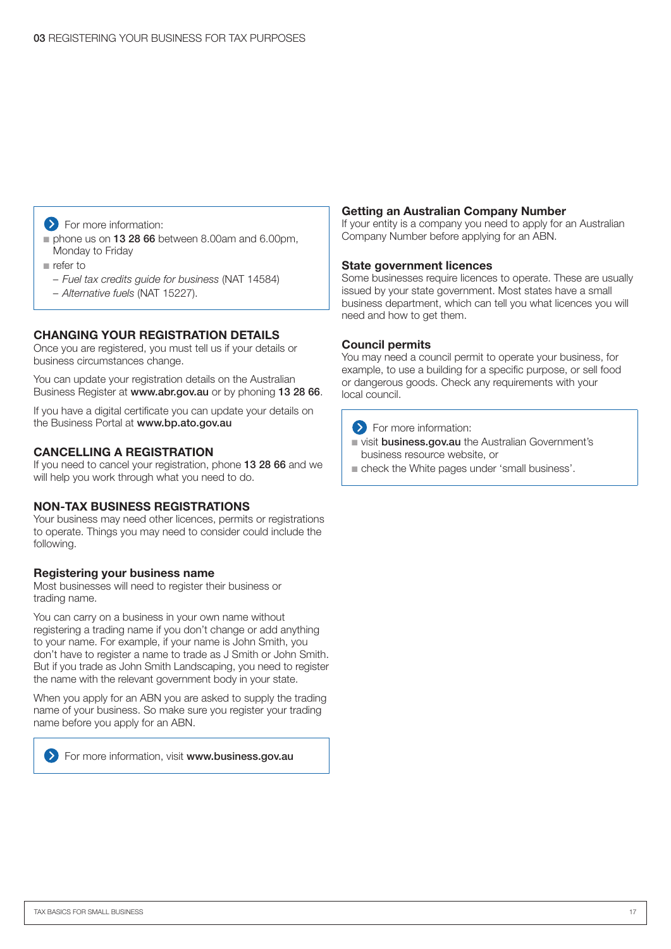#### $\sum$  For more information:

- phone us on 13 28 66 between 8.00am and 6.00pm, Monday to Friday
- refer to
	- *Fuel tax credits guide for business* (NAT 14584)
	- *Alternative fuels* (NAT 15227).

#### **CHANGING YOUR REGISTRATION DETAILS**

Once you are registered, you must tell us if your details or business circumstances change.

You can update your registration details on the Australian Business Register at www.abr.gov.au or by phoning 13 28 66.

If you have a digital certificate you can update your details on the Business Portal at www.bp.ato.gov.au

#### **CANCELLING A REGISTRATION**

If you need to cancel your registration, phone 13 28 66 and we will help you work through what you need to do.

#### **NON-TAX BUSINESS REGISTRATIONS**

Your business may need other licences, permits or registrations to operate. Things you may need to consider could include the following.

#### **Registering your business name**

Most businesses will need to register their business or trading name.

You can carry on a business in your own name without registering a trading name if you don't change or add anything to your name. For example, if your name is John Smith, you don't have to register a name to trade as J Smith or John Smith. But if you trade as John Smith Landscaping, you need to register the name with the relevant government body in your state.

When you apply for an ABN you are asked to supply the trading name of your business. So make sure you register your trading name before you apply for an ABN.



**EXT** For more information, visit www.business.gov.au

#### **Getting an Australian Company Number**

If your entity is a company you need to apply for an Australian Company Number before applying for an ABN.

#### **State government licences**

Some businesses require licences to operate. These are usually issued by your state government. Most states have a small business department, which can tell you what licences you will need and how to get them.

#### **Council permits**

You may need a council permit to operate your business, for example, to use a building for a specific purpose, or sell food or dangerous goods. Check any requirements with your local council.



- uisit business.gov.au the Australian Government's
- business resource website, or
- check the White pages under 'small business'.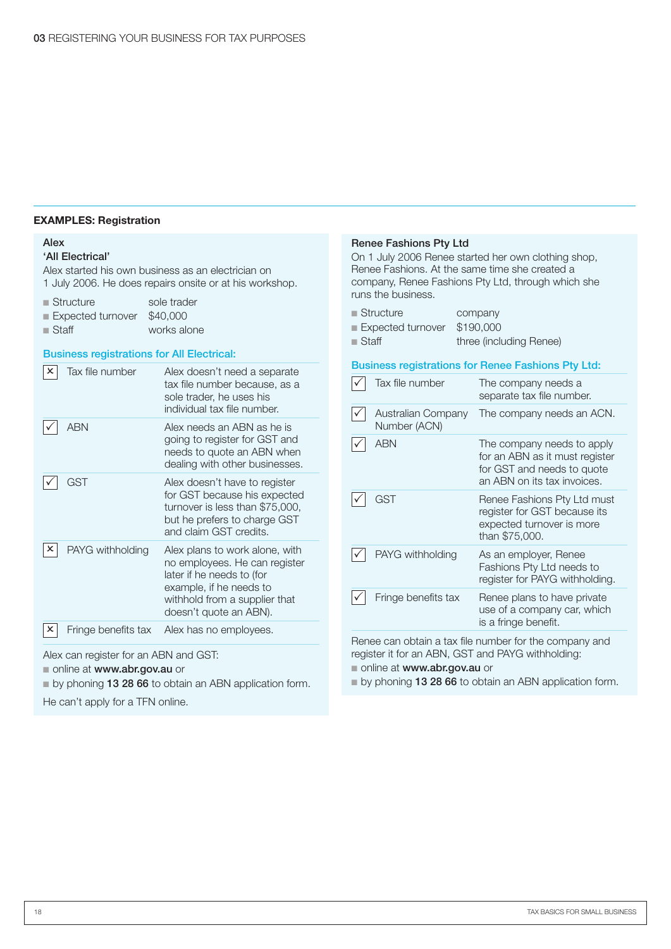#### **Examples: Registration**

#### Alex

#### 'All Electrical'

Alex started his own business as an electrician on 1 July 2006. He does repairs onsite or at his workshop.

| $\blacksquare$ Structure   | sole trader |
|----------------------------|-------------|
| Expected turnover \$40,000 |             |
| $\blacksquare$ Staff       | works alone |

#### Business registrations for All Electrical:

| Tax file number     | Alex doesn't need a separate<br>tax file number because, as a<br>sole trader, he uses his<br>individual tax file number.                                                           |
|---------------------|------------------------------------------------------------------------------------------------------------------------------------------------------------------------------------|
| ARN                 | Alex needs an ABN as he is<br>going to register for GST and<br>needs to quote an ABN when<br>dealing with other businesses.                                                        |
| GST                 | Alex doesn't have to register<br>for GST because his expected<br>turnover is less than \$75,000,<br>but he prefers to charge GST<br>and claim GST credits.                         |
| PAYG withholding    | Alex plans to work alone, with<br>no employees. He can register<br>later if he needs to (for<br>example, if he needs to<br>withhold from a supplier that<br>doesn't quote an ABN). |
| Fringe benefits tax | Alex has no employees.                                                                                                                                                             |

Alex can register for an ABN and GST:

■ online at www.abr.gov.au or

■ by phoning 13 28 66 to obtain an ABN application form.

He can't apply for a TFN online.

#### Renee Fashions Pty Ltd On 1 July 2006 Renee started her own clothing shop, Renee Fashions. At the same time she created a company, Renee Fashions Pty Ltd, through which she runs the business. company ■ Expected turnover \$190,000 three (including Renee) Business registrations for Renee Fashions Pty Ltd: Tax file number The company needs a separate tax file number. Australian Company Number (ACN) The company needs an ACN. ABN The company needs to apply for an ABN as it must register for GST and needs to quote an ABN on its tax invoices.  $\sqrt{\phantom{a}}$  GST Renee Fashions Pty Ltd must register for GST because its expected turnover is more than \$75,000. ■ Structure ■ Staff

PAYG withholding As an employer, Renee Fashions Pty Ltd needs to register for PAYG withholding. Fringe benefits tax Renee plans to have private use of a company car, which is a fringe benefit.

Renee can obtain a tax file number for the company and register it for an ABN, GST and PAYG withholding:

■ online at www.abr.gov.au or

■ by phoning 13 28 66 to obtain an ABN application form.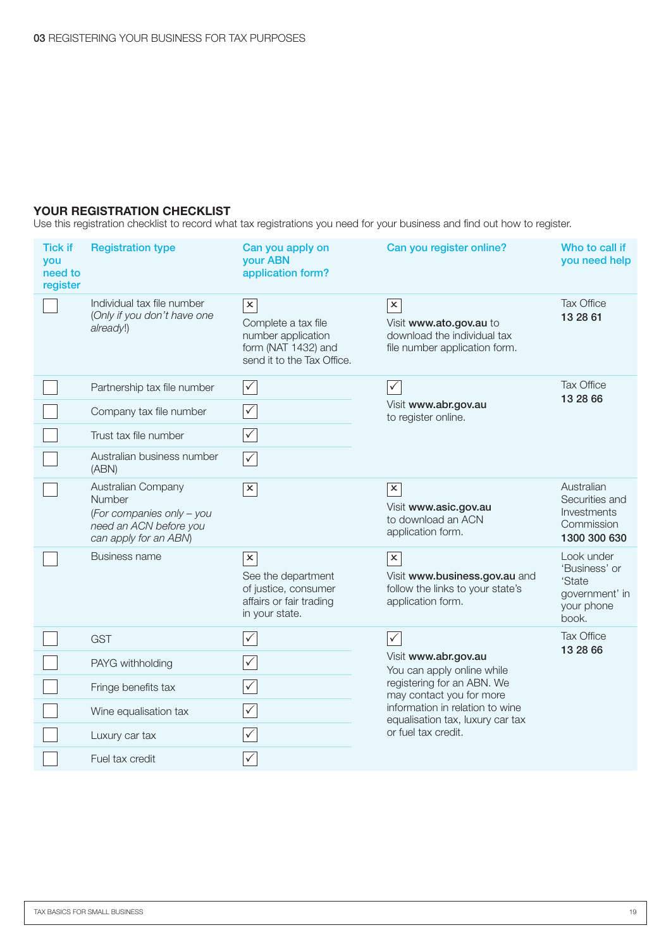#### **YOUR REGISTRATION CHECKLIST**

Use this registration checklist to record what tax registrations you need for your business and find out how to register.

| <b>Tick if</b><br>you<br>need to<br>register | <b>Registration type</b>                                                                                     | Can you apply on<br>your ABN<br>application form?                                                                         | Can you register online?                                                                                             | Who to call if<br>you need help                                                |
|----------------------------------------------|--------------------------------------------------------------------------------------------------------------|---------------------------------------------------------------------------------------------------------------------------|----------------------------------------------------------------------------------------------------------------------|--------------------------------------------------------------------------------|
|                                              | Individual tax file number<br>(Only if you don't have one<br>already!)                                       | $\overline{\mathbf{x}}$<br>Complete a tax file<br>number application<br>form (NAT 1432) and<br>send it to the Tax Office. | $\boldsymbol{\mathsf{x}}$<br>Visit www.ato.gov.au to<br>download the individual tax<br>file number application form. | Tax Office<br>13 28 61                                                         |
|                                              | Partnership tax file number                                                                                  | $\sqrt{}$                                                                                                                 | $\overline{\checkmark}$                                                                                              | <b>Tax Office</b><br>13 28 66                                                  |
|                                              | Company tax file number                                                                                      | $\checkmark$                                                                                                              | Visit www.abr.gov.au<br>to register online.                                                                          |                                                                                |
|                                              | Trust tax file number                                                                                        | $\checkmark$                                                                                                              |                                                                                                                      |                                                                                |
|                                              | Australian business number<br>(ABN)                                                                          | $\checkmark$                                                                                                              |                                                                                                                      |                                                                                |
|                                              | Australian Company<br>Number<br>(For companies only - you<br>need an ACN before you<br>can apply for an ABN) | $\mathbf{x}$                                                                                                              | $\pmb{\times}$<br>Visit www.asic.gov.au<br>to download an ACN<br>application form.                                   | Australian<br>Securities and<br>Investments<br>Commission<br>1300 300 630      |
|                                              | <b>Business name</b>                                                                                         | $\pmb{\times}$<br>See the department<br>of justice, consumer<br>affairs or fair trading<br>in your state.                 | $\overline{\mathbf{x}}$<br>Visit www.business.gov.au and<br>follow the links to your state's<br>application form.    | Look under<br>'Business' or<br>'State<br>government' in<br>your phone<br>book. |
|                                              | <b>GST</b>                                                                                                   | $\checkmark$                                                                                                              | $\sqrt{}$                                                                                                            | <b>Tax Office</b><br>13 28 66                                                  |
|                                              | PAYG withholding                                                                                             | $\sqrt{}$                                                                                                                 | Visit www.abr.gov.au<br>You can apply online while                                                                   |                                                                                |
|                                              | Fringe benefits tax                                                                                          | $\checkmark$                                                                                                              | registering for an ABN. We<br>may contact you for more                                                               |                                                                                |
|                                              | Wine equalisation tax                                                                                        | $\checkmark$                                                                                                              | information in relation to wine<br>equalisation tax, luxury car tax<br>or fuel tax credit.                           |                                                                                |
|                                              | Luxury car tax                                                                                               | $\checkmark$                                                                                                              |                                                                                                                      |                                                                                |
|                                              | Fuel tax credit                                                                                              | $\sqrt{}$                                                                                                                 |                                                                                                                      |                                                                                |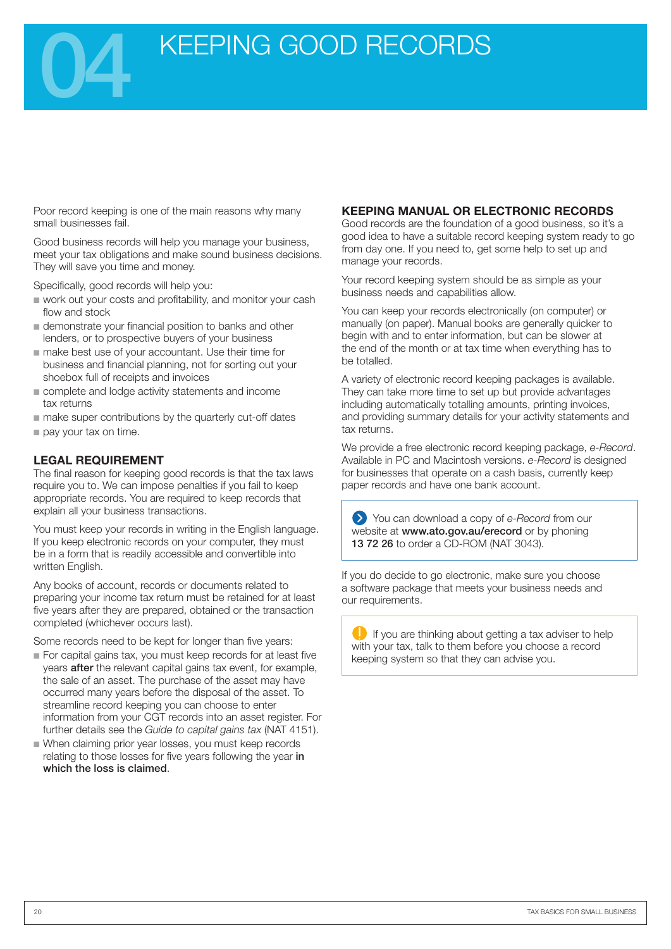

Poor record keeping is one of the main reasons why many small businesses fail.

Good business records will help you manage your business, meet your tax obligations and make sound business decisions. They will save you time and money.

Specifically, good records will help you:

- work out your costs and profitability, and monitor your cash flow and stock
- demonstrate your financial position to banks and other lenders, or to prospective buyers of your business
- make best use of your accountant. Use their time for business and financial planning, not for sorting out your shoebox full of receipts and invoices
- complete and lodge activity statements and income tax returns
- make super contributions by the quarterly cut-off dates
- pay your tax on time.

#### **LEGAL REQUIREMENT**

The final reason for keeping good records is that the tax laws require you to. We can impose penalties if you fail to keep appropriate records. You are required to keep records that explain all your business transactions.

You must keep your records in writing in the English language. If you keep electronic records on your computer, they must be in a form that is readily accessible and convertible into written English.

Any books of account, records or documents related to preparing your income tax return must be retained for at least five years after they are prepared, obtained or the transaction completed (whichever occurs last).

Some records need to be kept for longer than five years:

- For capital gains tax, you must keep records for at least five years after the relevant capital gains tax event, for example, the sale of an asset. The purchase of the asset may have occurred many years before the disposal of the asset. To streamline record keeping you can choose to enter information from your CGT records into an asset register. For further details see the *Guide to capital gains tax* (NAT 4151).
- When claiming prior year losses, you must keep records relating to those losses for five years following the year in which the loss is claimed.

#### **KEEPING MANUAL OR ELECTRONIC RECORDS**

Good records are the foundation of a good business, so it's a good idea to have a suitable record keeping system ready to go from day one. If you need to, get some help to set up and manage your records.

Your record keeping system should be as simple as your business needs and capabilities allow.

You can keep your records electronically (on computer) or manually (on paper). Manual books are generally quicker to begin with and to enter information, but can be slower at the end of the month or at tax time when everything has to be totalled.

A variety of electronic record keeping packages is available. They can take more time to set up but provide advantages including automatically totalling amounts, printing invoices, and providing summary details for your activity statements and tax returns.

We provide a free electronic record keeping package, *e-Record*. Available in PC and Macintosh versions. *e-Record* is designed for businesses that operate on a cash basis, currently keep paper records and have one bank account.

You can download a copy of *e-Record* from our website at www.ato.gov.au/erecord or by phoning 13 72 26 to order a CD-ROM (NAT 3043).

If you do decide to go electronic, make sure you choose a software package that meets your business needs and our requirements.

 $\Box$  If you are thinking about getting a tax adviser to help with your tax, talk to them before you choose a record keeping system so that they can advise you.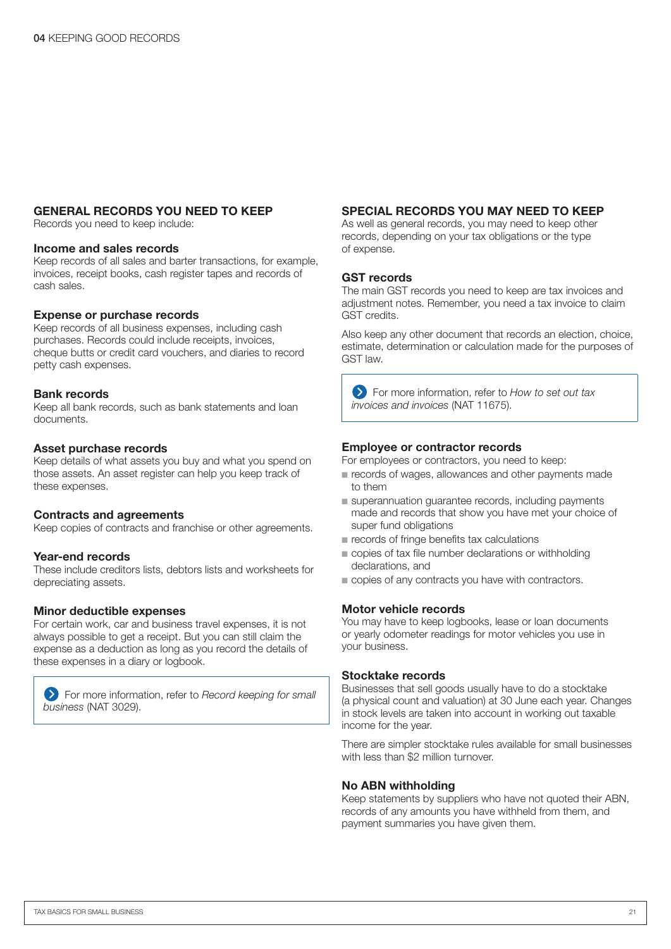#### **GENERAL RECORDS YOU NEED TO KEEP**

Records you need to keep include:

#### **Income and sales records**

Keep records of all sales and barter transactions, for example, invoices, receipt books, cash register tapes and records of cash sales.

#### **Expense or purchase records**

Keep records of all business expenses, including cash purchases. Records could include receipts, invoices, cheque butts or credit card vouchers, and diaries to record petty cash expenses.

#### **Bank records**

Keep all bank records, such as bank statements and loan documents.

#### **Asset purchase records**

Keep details of what assets you buy and what you spend on those assets. An asset register can help you keep track of these expenses.

#### **Contracts and agreements**

Keep copies of contracts and franchise or other agreements.

#### **Year-end records**

These include creditors lists, debtors lists and worksheets for depreciating assets.

#### **Minor deductible expenses**

For certain work, car and business travel expenses, it is not always possible to get a receipt. But you can still claim the expense as a deduction as long as you record the details of these expenses in a diary or logbook.

For more information, refer to *Record keeping for small business* (NAT 3029).

#### **SPECIAL RECORDS YOU MAY NEED TO KEEP**

As well as general records, you may need to keep other records, depending on your tax obligations or the type of expense.

#### **GST records**

The main GST records you need to keep are tax invoices and adjustment notes. Remember, you need a tax invoice to claim GST credits.

Also keep any other document that records an election, choice, estimate, determination or calculation made for the purposes of GST law.

For more information, refer to *How to set out tax invoices and invoices* (NAT 11675).

#### **Employee or contractor records**

For employees or contractors, you need to keep:

- records of wages, allowances and other payments made to them
- superannuation guarantee records, including payments made and records that show you have met your choice of super fund obligations
- records of fringe benefits tax calculations
- copies of tax file number declarations or withholding declarations, and
- copies of any contracts you have with contractors.

#### **Motor vehicle records**

You may have to keep logbooks, lease or loan documents or yearly odometer readings for motor vehicles you use in your business.

#### **Stocktake records**

Businesses that sell goods usually have to do a stocktake (a physical count and valuation) at 30 June each year. Changes in stock levels are taken into account in working out taxable income for the year.

There are simpler stocktake rules available for small businesses with less than \$2 million turnover.

#### **No ABN withholding**

Keep statements by suppliers who have not quoted their ABN, records of any amounts you have withheld from them, and payment summaries you have given them.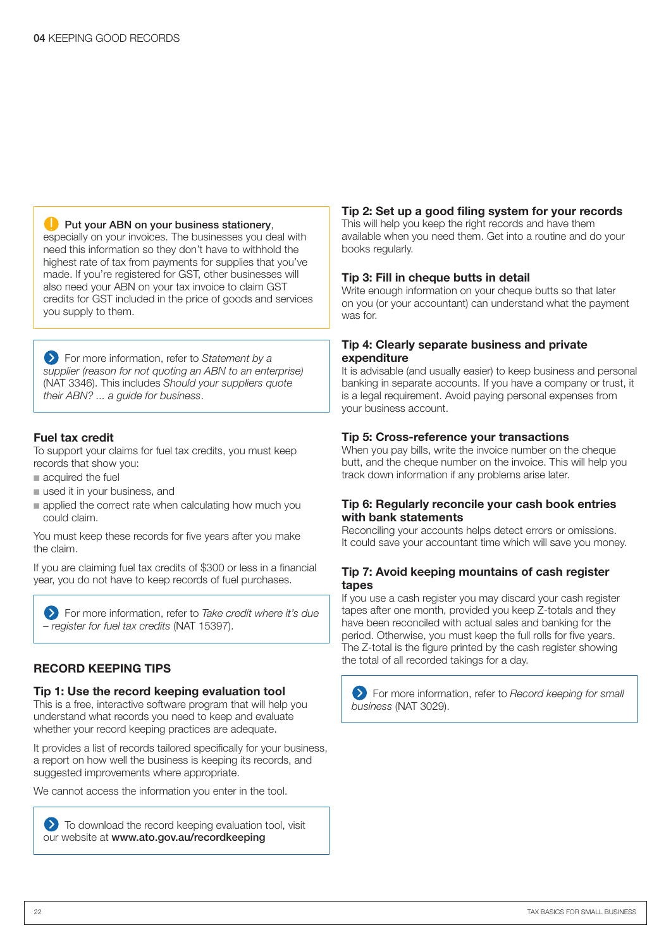#### **Put your ABN on your business stationery,**

especially on your invoices. The businesses you deal with need this information so they don't have to withhold the highest rate of tax from payments for supplies that you've made. If you're registered for GST, other businesses will also need your ABN on your tax invoice to claim GST credits for GST included in the price of goods and services you supply to them.

For more information, refer to *Statement by a supplier (reason for not quoting an ABN to an enterprise)* (NAT 3346). This includes *Should your suppliers quote their ABN? ... a guide for business*.

#### **Fuel tax credit**

To support your claims for fuel tax credits, you must keep records that show you:

- acquired the fuel
- used it in your business, and
- applied the correct rate when calculating how much you could claim.

You must keep these records for five years after you make the claim.

If you are claiming fuel tax credits of \$300 or less in a financial year, you do not have to keep records of fuel purchases.

For more information, refer to *Take credit where it's due – register for fuel tax credits* (NAT 15397).

#### **RECORD KEEPING TIPS**

#### **Tip 1: Use the record keeping evaluation tool**

This is a free, interactive software program that will help you understand what records you need to keep and evaluate whether your record keeping practices are adequate.

It provides a list of records tailored specifically for your business, a report on how well the business is keeping its records, and suggested improvements where appropriate.

We cannot access the information you enter in the tool.

 $\sum$  To download the record keeping evaluation tool, visit our website at www.ato.gov.au/recordkeeping

#### **Tip 2: Set up a good filing system for your records**

This will help you keep the right records and have them available when you need them. Get into a routine and do your books regularly.

#### **Tip 3: Fill in cheque butts in detail**

Write enough information on your cheque butts so that later on you (or your accountant) can understand what the payment was for.

#### **Tip 4: Clearly separate business and private expenditure**

It is advisable (and usually easier) to keep business and personal banking in separate accounts. If you have a company or trust, it is a legal requirement. Avoid paying personal expenses from your business account.

#### **Tip 5: Cross-reference your transactions**

When you pay bills, write the invoice number on the cheque butt, and the cheque number on the invoice. This will help you track down information if any problems arise later.

#### **Tip 6: Regularly reconcile your cash book entries with bank statements**

Reconciling your accounts helps detect errors or omissions. It could save your accountant time which will save you money.

#### **Tip 7: Avoid keeping mountains of cash register tapes**

If you use a cash register you may discard your cash register tapes after one month, provided you keep Z-totals and they have been reconciled with actual sales and banking for the period. Otherwise, you must keep the full rolls for five years. The Z-total is the figure printed by the cash register showing the total of all recorded takings for a day.

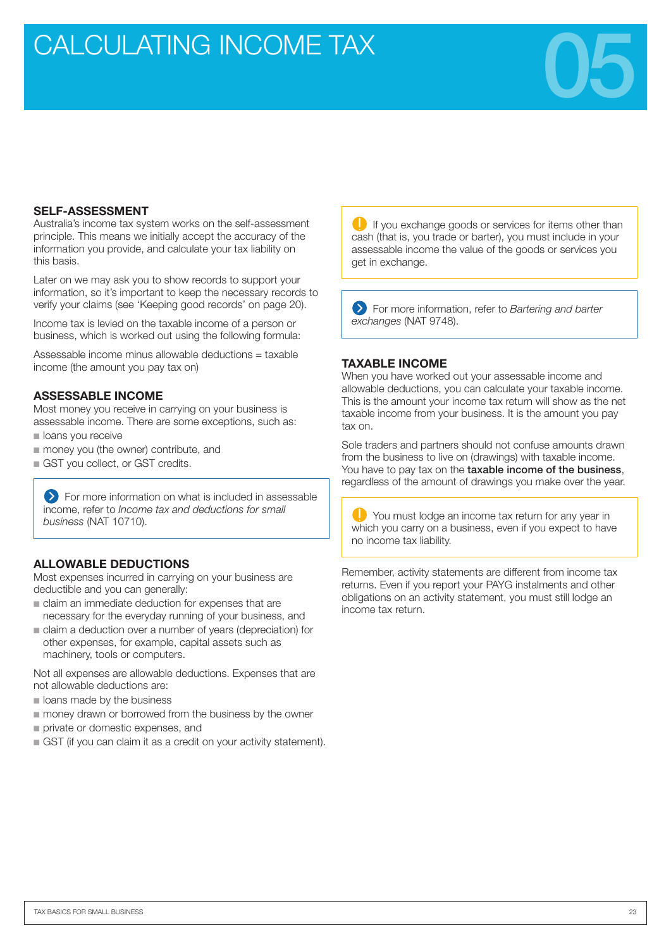## CALCULATING INCOME TAX



#### **SELF-ASSESSMENT**

Australia's income tax system works on the self-assessment principle. This means we initially accept the accuracy of the information you provide, and calculate your tax liability on this basis.

Later on we may ask you to show records to support your information, so it's important to keep the necessary records to verify your claims (see 'Keeping good records' on page 20).

Income tax is levied on the taxable income of a person or business, which is worked out using the following formula:

Assessable income minus allowable deductions = taxable income (the amount you pay tax on)

#### **ASSESSABLE INCOME**

Most money you receive in carrying on your business is assessable income. There are some exceptions, such as:

- loans you receive
- money you (the owner) contribute, and
- GST you collect, or GST credits.

**EXT** For more information on what is included in assessable income, refer to *Income tax and deductions for small business* (NAT 10710).

#### **ALLOWABLE DEDUCTIONS**

Most expenses incurred in carrying on your business are deductible and you can generally:

- claim an immediate deduction for expenses that are necessary for the everyday running of your business, and
- claim a deduction over a number of years (depreciation) for other expenses, for example, capital assets such as machinery, tools or computers.

Not all expenses are allowable deductions. Expenses that are not allowable deductions are:

- loans made by the business
- money drawn or borrowed from the business by the owner
- private or domestic expenses, and
- GST (if you can claim it as a credit on your activity statement).

If you exchange goods or services for items other than cash (that is, you trade or barter), you must include in your assessable income the value of the goods or services you get in exchange.

For more information, refer to *Bartering and barter exchanges* (NAT 9748).

#### **TAXABLE INCOME**

When you have worked out your assessable income and allowable deductions, you can calculate your taxable income. This is the amount your income tax return will show as the net taxable income from your business. It is the amount you pay tax on.

Sole traders and partners should not confuse amounts drawn from the business to live on (drawings) with taxable income. You have to pay tax on the taxable income of the business, regardless of the amount of drawings you make over the year.

You must lodge an income tax return for any year in which you carry on a business, even if you expect to have no income tax liability.

Remember, activity statements are different from income tax returns. Even if you report your PAYG instalments and other obligations on an activity statement, you must still lodge an income tax return.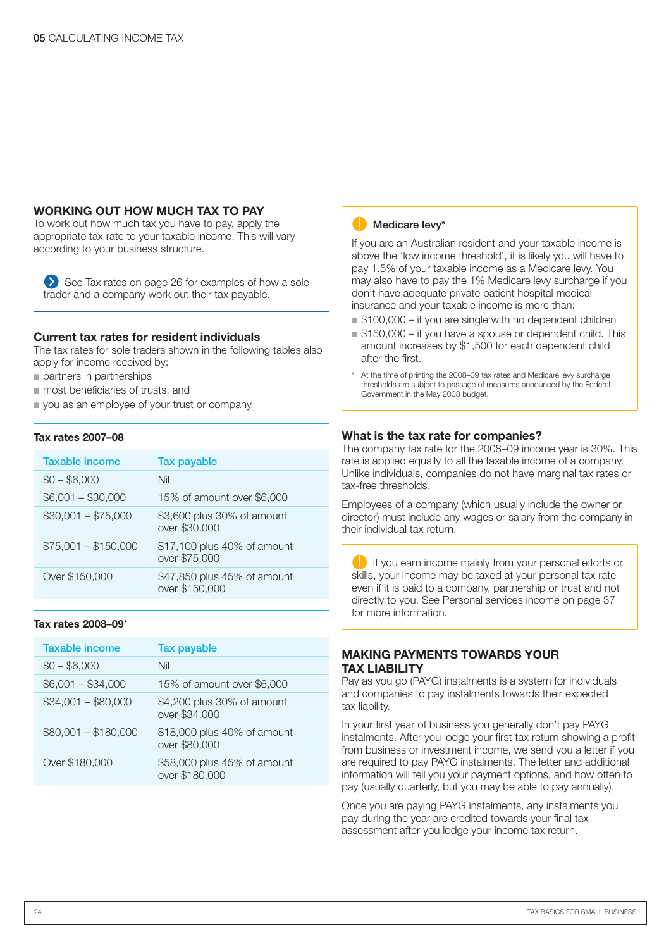#### **WORKING OUT HOW MUCH TAX TO PAY**

To work out how much tax you have to pay, apply the appropriate tax rate to your taxable income. This will vary according to your business structure.

See Tax rates on page 26 for examples of how a sole trader and a company work out their tax payable.

#### **Current tax rates for resident individuals**

The tax rates for sole traders shown in the following tables also apply for income received by:

- partners in partnerships
- most beneficiaries of trusts, and
- you as an employee of your trust or company.

#### **Tax rates 2007–08**

| <b>Taxable income</b> | <b>Tax payable</b>                            |
|-----------------------|-----------------------------------------------|
| $$0 - $6,000$         | Nil                                           |
| $$6,001 - $30,000$    | 15% of amount over \$6,000                    |
| $$30,001 - $75,000$   | \$3,600 plus 30% of amount<br>over \$30,000   |
| $$75,001 - $150,000$  | \$17,100 plus 40% of amount<br>over \$75,000  |
| Over \$150,000        | \$47,850 plus 45% of amount<br>over \$150,000 |

#### **Tax rates 2008–09**\*

| <b>Taxable income</b> | <b>Tax payable</b>                            |
|-----------------------|-----------------------------------------------|
| $$0 - $6,000$         | Nil                                           |
| $$6,001 - $34,000$    | 15% of amount over \$6,000                    |
| $$34,001 - $80,000$   | \$4,200 plus 30% of amount<br>over \$34,000   |
| $$80,001 - $180,000$  | \$18,000 plus 40% of amount<br>over \$80,000  |
| Over \$180,000        | \$58,000 plus 45% of amount<br>over \$180,000 |



If you are an Australian resident and your taxable income is above the 'low income threshold', it is likely you will have to pay 1.5% of your taxable income as a Medicare levy. You may also have to pay the 1% Medicare levy surcharge if you don't have adequate private patient hospital medical insurance and your taxable income is more than:

- \$100,000 if you are single with no dependent children
- \$150,000 if you have a spouse or dependent child. This amount increases by \$1,500 for each dependent child after the first.
- At the time of printing the 2008–09 tax rates and Medicare levy surcharge thresholds are subject to passage of measures announced by the Federal Government in the May 2008 budget.

#### **What is the tax rate for companies?**

The company tax rate for the 2008–09 income year is 30%. This rate is applied equally to all the taxable income of a company. Unlike individuals, companies do not have marginal tax rates or tax-free thresholds.

Employees of a company (which usually include the owner or director) must include any wages or salary from the company in their individual tax return.

If you earn income mainly from your personal efforts or skills, your income may be taxed at your personal tax rate even if it is paid to a company, partnership or trust and not directly to you. See Personal services income on page 37 for more information.

#### **MAKING PAYMENTS TOWARDS YOUR TAX LIABILITY**

Pay as you go (PAYG) instalments is a system for individuals and companies to pay instalments towards their expected tax liability.

In your first year of business you generally don't pay PAYG instalments. After you lodge your first tax return showing a profit from business or investment income, we send you a letter if you are required to pay PAYG instalments. The letter and additional information will tell you your payment options, and how often to pay (usually quarterly, but you may be able to pay annually).

Once you are paying PAYG instalments, any instalments you pay during the year are credited towards your final tax assessment after you lodge your income tax return.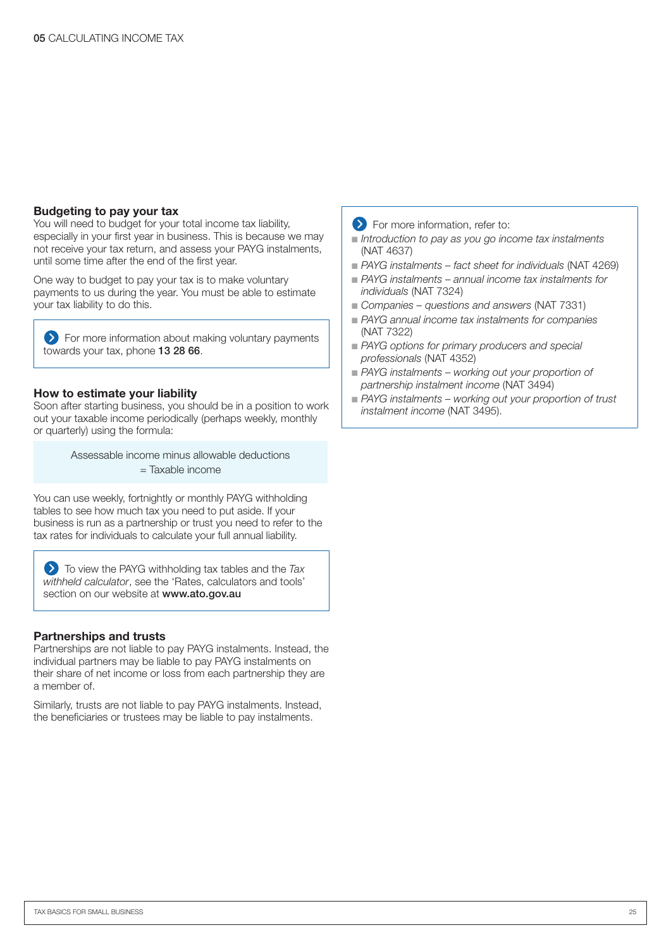#### **Budgeting to pay your tax**

You will need to budget for your total income tax liability, especially in your first year in business. This is because we may not receive your tax return, and assess your PAYG instalments, until some time after the end of the first year.

One way to budget to pay your tax is to make voluntary payments to us during the year. You must be able to estimate your tax liability to do this.

**EX** For more information about making voluntary payments towards your tax, phone 13 28 66.

#### **How to estimate your liability**

Soon after starting business, you should be in a position to work out your taxable income periodically (perhaps weekly, monthly or quarterly) using the formula:

> Assessable income minus allowable deductions = Taxable income

You can use weekly, fortnightly or monthly PAYG withholding tables to see how much tax you need to put aside. If your business is run as a partnership or trust you need to refer to the tax rates for individuals to calculate your full annual liability.

To view the PAYG withholding tax tables and the *Tax withheld calculator*, see the 'Rates, calculators and tools' section on our website at www.ato.gov.au

#### **Partnerships and trusts**

Partnerships are not liable to pay PAYG instalments. Instead, the individual partners may be liable to pay PAYG instalments on their share of net income or loss from each partnership they are a member of.

Similarly, trusts are not liable to pay PAYG instalments. Instead, the beneficiaries or trustees may be liable to pay instalments.

#### **EXECUTE:** For more information, refer to:

- *Introduction to pay as you go income tax instalments* (NAT 4637)
- PAYG instalments fact sheet for individuals (NAT 4269)
- PAYG instalments annual income tax instalments for *individuals* (NAT 7324)
- Companies questions and answers (NAT 7331)
- PAYG annual income tax instalments for companies (NAT 7322)
- PAYG options for primary producers and special *professionals* (NAT 4352)
- PAYG instalments working out your proportion of *partnership instalment income* (NAT 3494)
- PAYG instalments working out your proportion of trust *instalment income* (NAT 3495).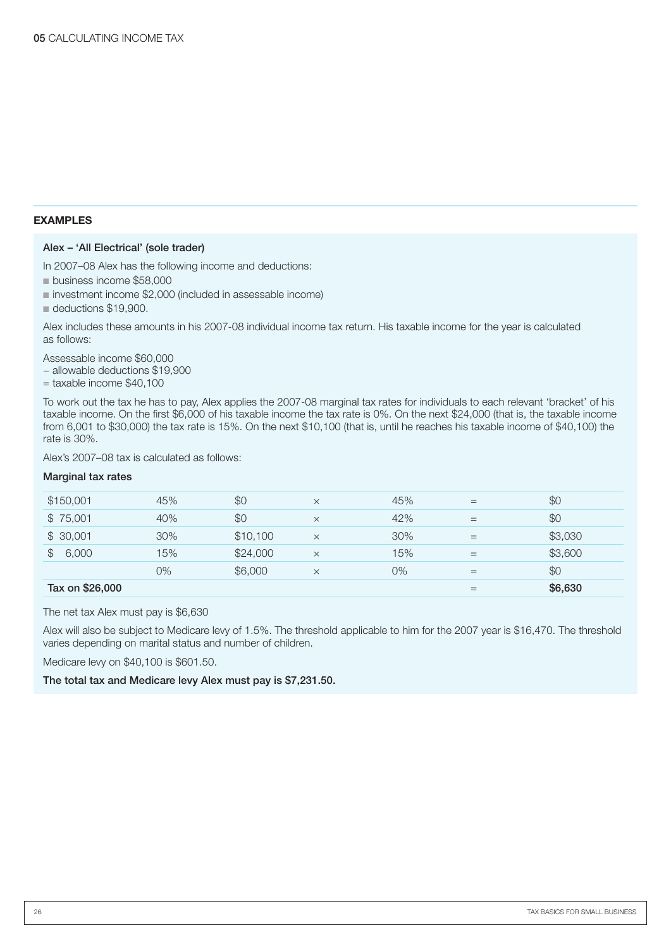#### **EXAMPLES**

#### Alex – 'All Electrical' (sole trader)

In 2007–08 Alex has the following income and deductions:

- business income \$58,000
- investment income \$2,000 (included in assessable income)
- deductions \$19,900.

Alex includes these amounts in his 2007-08 individual income tax return. His taxable income for the year is calculated as follows:

Assessable income \$60,000

− allowable deductions \$19,900

 $=$  taxable income \$40,100

To work out the tax he has to pay, Alex applies the 2007-08 marginal tax rates for individuals to each relevant 'bracket' of his taxable income. On the first \$6,000 of his taxable income the tax rate is 0%. On the next \$24,000 (that is, the taxable income from 6,001 to \$30,000) the tax rate is 15%. On the next \$10,100 (that is, until he reaches his taxable income of \$40,100) the rate is 30%.

Alex's 2007–08 tax is calculated as follows:

#### Marginal tax rates

| Tax on \$26,000         |     |          |          |       | $=$ | \$6,630 |
|-------------------------|-----|----------|----------|-------|-----|---------|
|                         | 0%  | \$6,000  | $\times$ | $0\%$ | $=$ | \$0     |
| 6,000<br>$\mathbb{S}^-$ | 15% | \$24,000 | $\times$ | 15%   | $=$ | \$3,600 |
| \$30,001                | 30% | \$10,100 | $\times$ | 30%   | $=$ | \$3,030 |
| \$75,001                | 40% | \$0      | $\times$ | 42%   | =   | \$0     |
| \$150,001               | 45% | \$0      | $\times$ | 45%   | $=$ | \$0     |
|                         |     |          |          |       |     |         |

The net tax Alex must pay is \$6,630

Alex will also be subject to Medicare levy of 1.5%. The threshold applicable to him for the 2007 year is \$16,470. The threshold varies depending on marital status and number of children.

Medicare levy on \$40,100 is \$601.50.

The total tax and Medicare levy Alex must pay is \$7,231.50.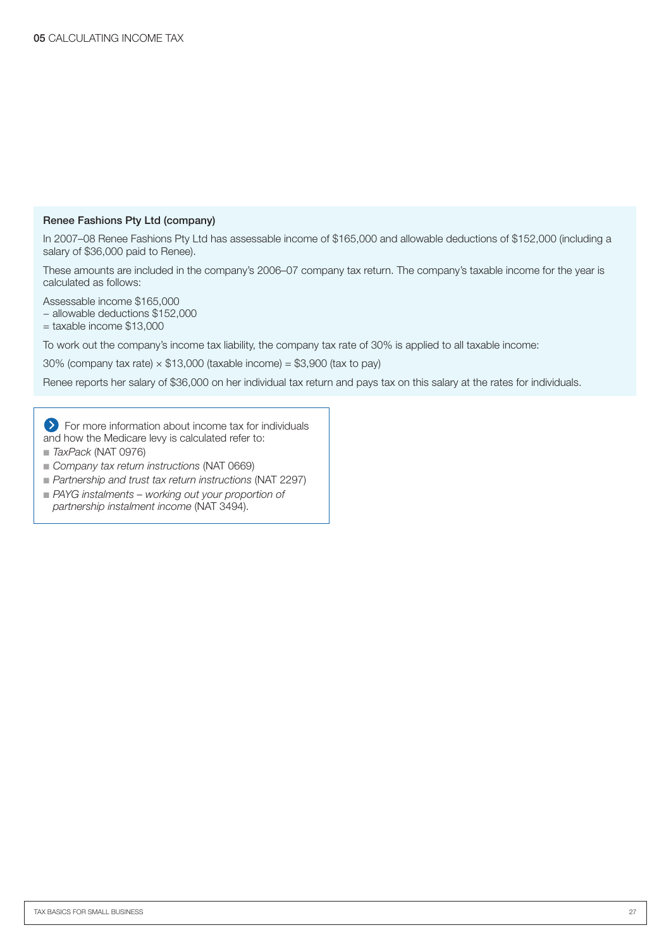#### Renee Fashions Pty Ltd (company)

In 2007–08 Renee Fashions Pty Ltd has assessable income of \$165,000 and allowable deductions of \$152,000 (including a salary of \$36,000 paid to Renee).

These amounts are included in the company's 2006–07 company tax return. The company's taxable income for the year is calculated as follows:

Assessable income \$165,000 − allowable deductions \$152,000

 $=$  taxable income \$13,000

To work out the company's income tax liability, the company tax rate of 30% is applied to all taxable income:

30% (company tax rate)  $\times$  \$13,000 (taxable income) = \$3,900 (tax to pay)

Renee reports her salary of \$36,000 on her individual tax return and pays tax on this salary at the rates for individuals.

For more information about income tax for individuals and how the Medicare levy is calculated refer to:

- *TaxPack* (NAT 0976)
- Company tax return instructions (NAT 0669)
- *Partnership and trust tax return instructions* (NAT 2297)
- PAYG instalments working out your proportion of *partnership instalment income* (NAT 3494).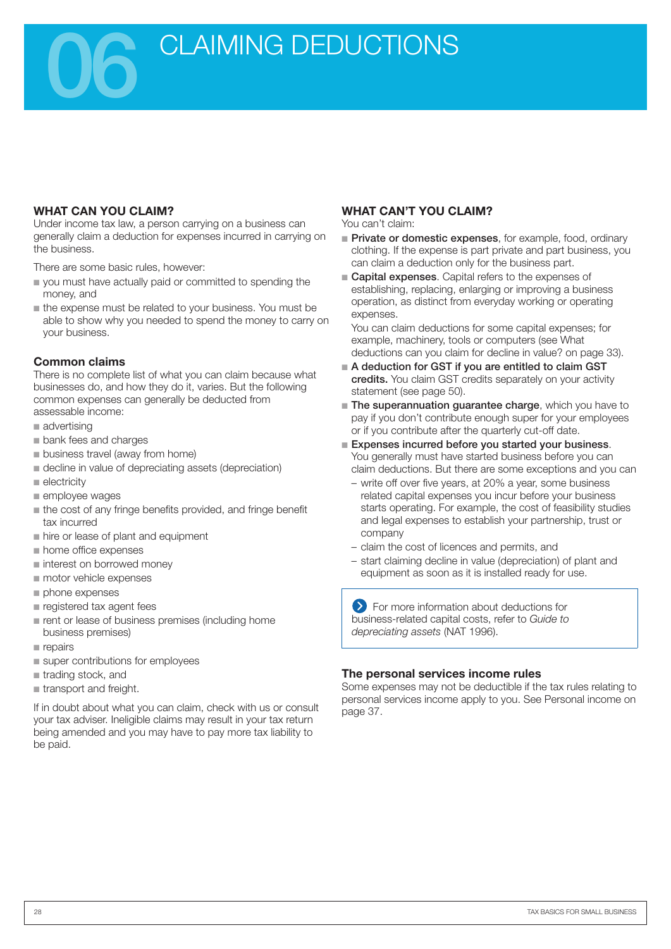CLAIMING DEDUCTIONS

#### **WHAT CAN YOU CLAIM?**

Under income tax law, a person carrying on a business can generally claim a deduction for expenses incurred in carrying on the business.

There are some basic rules, however:

- you must have actually paid or committed to spending the money, and
- the expense must be related to your business. You must be able to show why you needed to spend the money to carry on your business.

#### **Common claims**

There is no complete list of what you can claim because what businesses do, and how they do it, varies. But the following common expenses can generally be deducted from assessable income:

- advertising
- bank fees and charges
- business travel (away from home)
- decline in value of depreciating assets (depreciation) ■
- electricity
- employee wages
- the cost of any fringe benefits provided, and fringe benefit tax incurred
- hire or lease of plant and equipment
- home office expenses
- interest on borrowed money
- motor vehicle expenses
- phone expenses
- registered tax agent fees
- rent or lease of business premises (including home business premises)
- repairs
- super contributions for employees
- utrading stock, and
- transport and freight. ■

If in doubt about what you can claim, check with us or consult your tax adviser. Ineligible claims may result in your tax return being amended and you may have to pay more tax liability to be paid.

#### **WHAT CAN'T YOU CLAIM?**

You can't claim:

- **Private or domestic expenses**, for example, food, ordinary clothing. If the expense is part private and part business, you can claim a deduction only for the business part.
- Capital expenses. Capital refers to the expenses of establishing, replacing, enlarging or improving a business operation, as distinct from everyday working or operating expenses.

You can claim deductions for some capital expenses; for example, machinery, tools or computers (see What deductions can you claim for decline in value? on page 33).

- A deduction for GST if you are entitled to claim GST credits. You claim GST credits separately on your activity statement (see page 50).
- **The superannuation guarantee charge**, which you have to pay if you don't contribute enough super for your employees or if you contribute after the quarterly cut-off date.
- Expenses incurred before you started your business. You generally must have started business before you can claim deductions. But there are some exceptions and you can
	- write off over five years, at 20% a year, some business related capital expenses you incur before your business starts operating. For example, the cost of feasibility studies and legal expenses to establish your partnership, trust or company
	- claim the cost of licences and permits, and
	- start claiming decline in value (depreciation) of plant and equipment as soon as it is installed ready for use.

For more information about deductions for business-related capital costs, refer to *Guide to depreciating assets* (NAT 1996).

#### **The personal services income rules**

Some expenses may not be deductible if the tax rules relating to personal services income apply to you. See Personal income on page 37.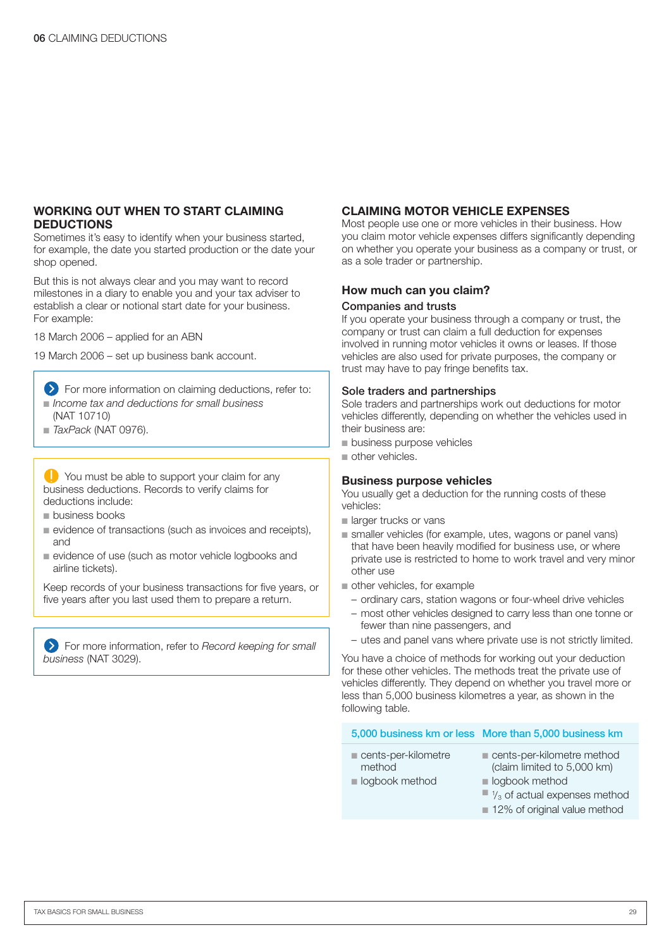#### **WORKING OUT WHEN TO START CLAIMING DEDUCTIONS**

Sometimes it's easy to identify when your business started, for example, the date you started production or the date your shop opened.

But this is not always clear and you may want to record milestones in a diary to enable you and your tax adviser to establish a clear or notional start date for your business. For example:

18 March 2006 – applied for an ABN

19 March 2006 – set up business bank account.

- **EX** For more information on claiming deductions, refer to: ■ Income tax and deductions for small business
- (NAT 10710)
- *TaxPack* (NAT 0976).

You must be able to support your claim for any business deductions. Records to verify claims for deductions include:

- business books
- evidence of transactions (such as invoices and receipts), and
- evidence of use (such as motor vehicle logbooks and airline tickets).

Keep records of your business transactions for five years, or five years after you last used them to prepare a return.

For more information, refer to *Record keeping for small business* (NAT 3029).

#### **CLAIMING MOTOR VEHICLE EXPENSES**

Most people use one or more vehicles in their business. How you claim motor vehicle expenses differs significantly depending on whether you operate your business as a company or trust, or as a sole trader or partnership.

#### **How much can you claim?**

#### Companies and trusts

If you operate your business through a company or trust, the company or trust can claim a full deduction for expenses involved in running motor vehicles it owns or leases. If those vehicles are also used for private purposes, the company or trust may have to pay fringe benefits tax.

#### Sole traders and partnerships

Sole traders and partnerships work out deductions for motor vehicles differently, depending on whether the vehicles used in their business are:

- business purpose vehicles
- other vehicles.

#### **Business purpose vehicles**

You usually get a deduction for the running costs of these vehicles:

- larger trucks or vans
- smaller vehicles (for example, utes, wagons or panel vans) that have been heavily modified for business use, or where private use is restricted to home to work travel and very minor other use
- other vehicles, for example
	- ordinary cars, station wagons or four-wheel drive vehicles
	- most other vehicles designed to carry less than one tonne or fewer than nine passengers, and
	- utes and panel vans where private use is not strictly limited.

You have a choice of methods for working out your deduction for these other vehicles. The methods treat the private use of vehicles differently. They depend on whether you travel more or less than 5,000 business kilometres a year, as shown in the following table.

#### 5,000 business km or less More than 5,000 business km

- cents-per-kilometre
- cents-per-kilometre method (claim limited to 5,000 km)
- logbook method

method

- logbook method  $\blacksquare$  1/<sub>3</sub> of actual expenses method
- 
- 12% of original value method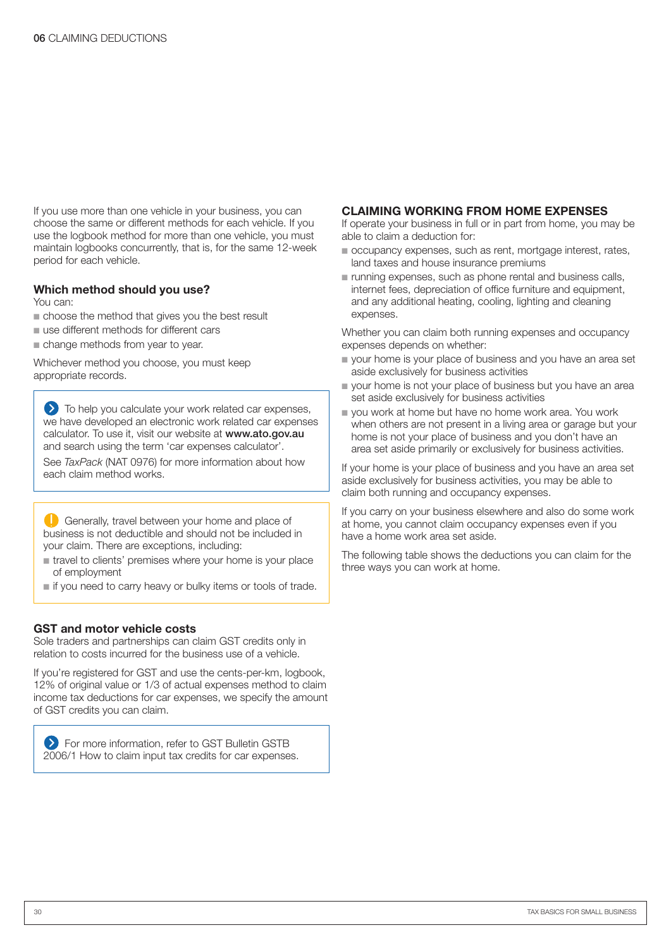If you use more than one vehicle in your business, you can choose the same or different methods for each vehicle. If you use the logbook method for more than one vehicle, you must maintain logbooks concurrently, that is, for the same 12-week period for each vehicle.

#### **Which method should you use?**

You can:

- choose the method that gives you the best result
- use different methods for different cars
- change methods from year to year.

Whichever method you choose, you must keep appropriate records.

 $\sum$  To help you calculate your work related car expenses, we have developed an electronic work related car expenses calculator. To use it, visit our website at www.ato.gov.au and search using the term 'car expenses calculator'. See *TaxPack* (NAT 0976) for more information about how each claim method works.

Generally, travel between your home and place of business is not deductible and should not be included in your claim. There are exceptions, including:

- travel to clients' premises where your home is your place of employment
- if you need to carry heavy or bulky items or tools of trade.

#### **GST and motor vehicle costs**

Sole traders and partnerships can claim GST credits only in relation to costs incurred for the business use of a vehicle.

If you're registered for GST and use the cents-per-km, logbook, 12% of original value or 1/3 of actual expenses method to claim income tax deductions for car expenses, we specify the amount of GST credits you can claim.

**EXT** For more information, refer to GST Bulletin GSTB 2006/1 How to claim input tax credits for car expenses.

#### **CLAIMING WORKING FROM HOME EXPENSES**

If operate your business in full or in part from home, you may be able to claim a deduction for:

- occupancy expenses, such as rent, mortgage interest, rates, land taxes and house insurance premiums
- running expenses, such as phone rental and business calls, internet fees, depreciation of office furniture and equipment, and any additional heating, cooling, lighting and cleaning expenses.

Whether you can claim both running expenses and occupancy expenses depends on whether:

- your home is your place of business and you have an area set aside exclusively for business activities
- your home is not your place of business but you have an area set aside exclusively for business activities
- you work at home but have no home work area. You work when others are not present in a living area or garage but your home is not your place of business and you don't have an area set aside primarily or exclusively for business activities.

If your home is your place of business and you have an area set aside exclusively for business activities, you may be able to claim both running and occupancy expenses.

If you carry on your business elsewhere and also do some work at home, you cannot claim occupancy expenses even if you have a home work area set aside.

The following table shows the deductions you can claim for the three ways you can work at home.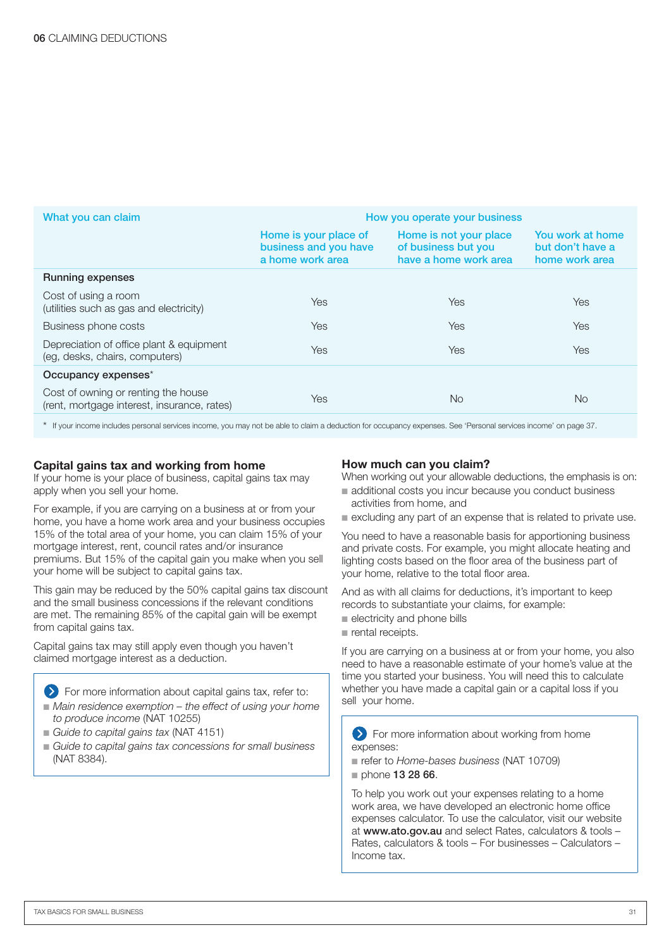| What you can claim                                                                 | How you operate your business                                      |                                                                        |                                                        |  |
|------------------------------------------------------------------------------------|--------------------------------------------------------------------|------------------------------------------------------------------------|--------------------------------------------------------|--|
|                                                                                    | Home is your place of<br>business and you have<br>a home work area | Home is not your place<br>of business but you<br>have a home work area | You work at home<br>but don't have a<br>home work area |  |
| <b>Running expenses</b>                                                            |                                                                    |                                                                        |                                                        |  |
| Cost of using a room<br>(utilities such as gas and electricity)                    | <b>Yes</b>                                                         | <b>Yes</b>                                                             | <b>Yes</b>                                             |  |
| Business phone costs                                                               | <b>Yes</b>                                                         | <b>Yes</b>                                                             | Yes                                                    |  |
| Depreciation of office plant & equipment<br>(eq. desks, chairs, computers)         | Yes                                                                | <b>Yes</b>                                                             | Yes                                                    |  |
| Occupancy expenses*                                                                |                                                                    |                                                                        |                                                        |  |
| Cost of owning or renting the house<br>(rent, mortgage interest, insurance, rates) | Yes                                                                | <b>No</b>                                                              | <b>No</b>                                              |  |

\* If your income includes personal services income, you may not be able to claim a deduction for occupancy expenses. See 'Personal services income' on page 37.

#### **Capital gains tax and working from home**

If your home is your place of business, capital gains tax may apply when you sell your home.

For example, if you are carrying on a business at or from your home, you have a home work area and your business occupies 15% of the total area of your home, you can claim 15% of your mortgage interest, rent, council rates and/or insurance premiums. But 15% of the capital gain you make when you sell your home will be subject to capital gains tax.

This gain may be reduced by the 50% capital gains tax discount and the small business concessions if the relevant conditions are met. The remaining 85% of the capital gain will be exempt from capital gains tax.

Capital gains tax may still apply even though you haven't claimed mortgage interest as a deduction.

For more information about capital gains tax, refer to: ■ Main residence exemption – the effect of using your home *to produce income* (NAT 10255)

- *Guide to capital gains tax (NAT 4151)*
- Guide to capital gains tax concessions for small business (NAT 8384).

#### **How much can you claim?**

When working out your allowable deductions, the emphasis is on:

- additional costs you incur because you conduct business activities from home, and
- excluding any part of an expense that is related to private use.

You need to have a reasonable basis for apportioning business and private costs. For example, you might allocate heating and lighting costs based on the floor area of the business part of your home, relative to the total floor area.

And as with all claims for deductions, it's important to keep records to substantiate your claims, for example:

- electricity and phone bills
- rental receipts.

If you are carrying on a business at or from your home, you also need to have a reasonable estimate of your home's value at the time you started your business. You will need this to calculate whether you have made a capital gain or a capital loss if you sell your home.

**Example 2** For more information about working from home expenses:

- refer to *Home-bases business* (NAT 10709)
- phone 13 28 66.

To help you work out your expenses relating to a home work area, we have developed an electronic home office expenses calculator. To use the calculator, visit our website at www.ato.gov.au and select Rates, calculators & tools – Rates, calculators & tools – For businesses – Calculators – Income tax.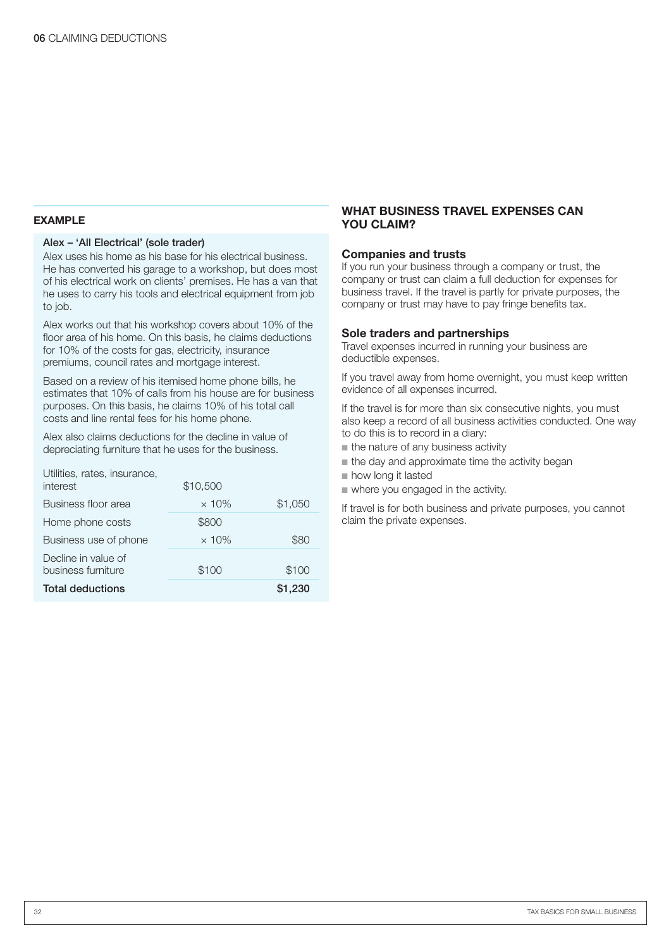#### **EXAMPLE**

#### Alex – 'All Electrical' (sole trader)

Alex uses his home as his base for his electrical business. He has converted his garage to a workshop, but does most of his electrical work on clients' premises. He has a van that he uses to carry his tools and electrical equipment from job to job.

Alex works out that his workshop covers about 10% of the floor area of his home. On this basis, he claims deductions for 10% of the costs for gas, electricity, insurance premiums, council rates and mortgage interest.

Based on a review of his itemised home phone bills, he estimates that 10% of calls from his house are for business purposes. On this basis, he claims 10% of his total call costs and line rental fees for his home phone.

Alex also claims deductions for the decline in value of depreciating furniture that he uses for the business.

| <b>Total deductions</b>                   |              | \$1,230 |
|-------------------------------------------|--------------|---------|
| Decline in value of<br>business furniture | \$100        | \$100   |
| Business use of phone                     | $\times$ 10% | \$80    |
| Home phone costs                          | \$800        |         |
| Business floor area                       | $\times$ 10% | \$1,050 |
| Utilities, rates, insurance,<br>interest  | \$10,500     |         |

#### **WHAT BUSINESS TRAVEL EXPENSES CAN YOU CLAIM?**

#### **Companies and trusts**

If you run your business through a company or trust, the company or trust can claim a full deduction for expenses for business travel. If the travel is partly for private purposes, the company or trust may have to pay fringe benefits tax.

#### **Sole traders and partnerships**

Travel expenses incurred in running your business are deductible expenses.

If you travel away from home overnight, you must keep written evidence of all expenses incurred.

If the travel is for more than six consecutive nights, you must also keep a record of all business activities conducted. One way to do this is to record in a diary:

- the nature of any business activity
- the day and approximate time the activity began
- how long it lasted
- where you engaged in the activity.

If travel is for both business and private purposes, you cannot claim the private expenses.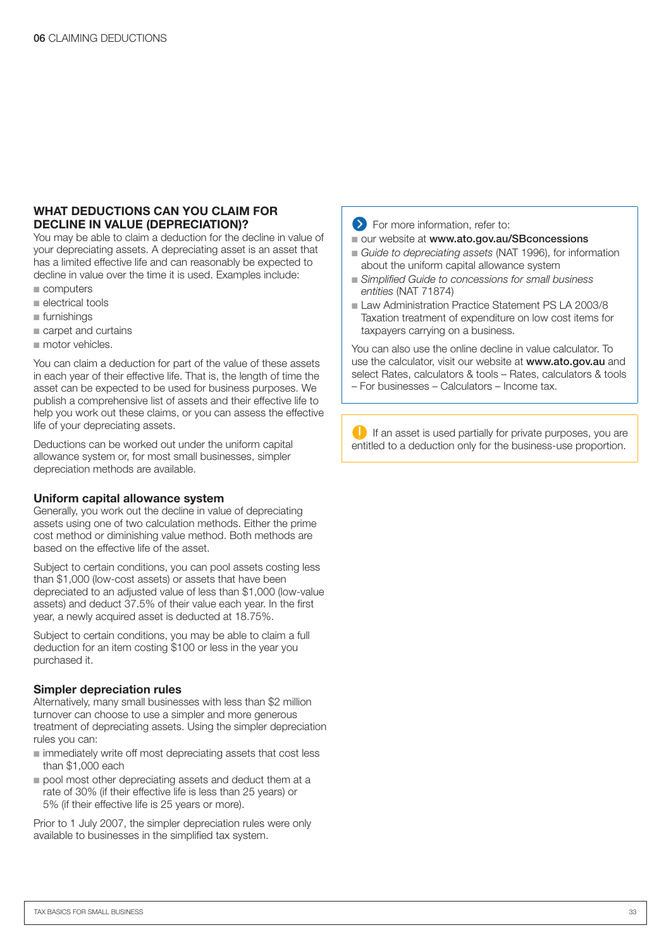#### **WHAT DEDUCTIONS CAN YOU CLAIM FOR DECLINE IN VALUE (DEPRECIATION)?**

You may be able to claim a deduction for the decline in value of your depreciating assets. A depreciating asset is an asset that has a limited effective life and can reasonably be expected to decline in value over the time it is used. Examples include:

- computers
- electrical tools
- furnishings
- carpet and curtains
- motor vehicles.

You can claim a deduction for part of the value of these assets in each year of their effective life. That is, the length of time the asset can be expected to be used for business purposes. We publish a comprehensive list of assets and their effective life to help you work out these claims, or you can assess the effective life of your depreciating assets.

Deductions can be worked out under the uniform capital allowance system or, for most small businesses, simpler depreciation methods are available.

#### **Uniform capital allowance system**

Generally, you work out the decline in value of depreciating assets using one of two calculation methods. Either the prime cost method or diminishing value method. Both methods are based on the effective life of the asset.

Subject to certain conditions, you can pool assets costing less than \$1,000 (low-cost assets) or assets that have been depreciated to an adjusted value of less than \$1,000 (low-value assets) and deduct 37.5% of their value each year. In the first year, a newly acquired asset is deducted at 18.75%.

Subject to certain conditions, you may be able to claim a full deduction for an item costing \$100 or less in the year you purchased it.

#### **Simpler depreciation rules**

Alternatively, many small businesses with less than \$2 million turnover can choose to use a simpler and more generous treatment of depreciating assets. Using the simpler depreciation rules you can:

- immediately write off most depreciating assets that cost less than \$1,000 each
- pool most other depreciating assets and deduct them at a rate of 30% (if their effective life is less than 25 years) or 5% (if their effective life is 25 years or more).

Prior to 1 July 2007, the simpler depreciation rules were only available to businesses in the simplified tax system.

#### **EXECUTE:** For more information, refer to:

- our website at www.ato.gov.au/SBconcessions
- Guide to depreciating assets (NAT 1996), for information about the uniform capital allowance system
- Simplified Guide to concessions for small business *entities* (NAT 71874)
- Law Administration Practice Statement PS LA 2003/8 Taxation treatment of expenditure on low cost items for taxpayers carrying on a business.

You can also use the online decline in value calculator. To use the calculator, visit our website at **www.ato.gov.au** and select Rates, calculators & tools – Rates, calculators & tools – For businesses – Calculators – Income tax.

 $\bigcup$  If an asset is used partially for private purposes, you are entitled to a deduction only for the business-use proportion.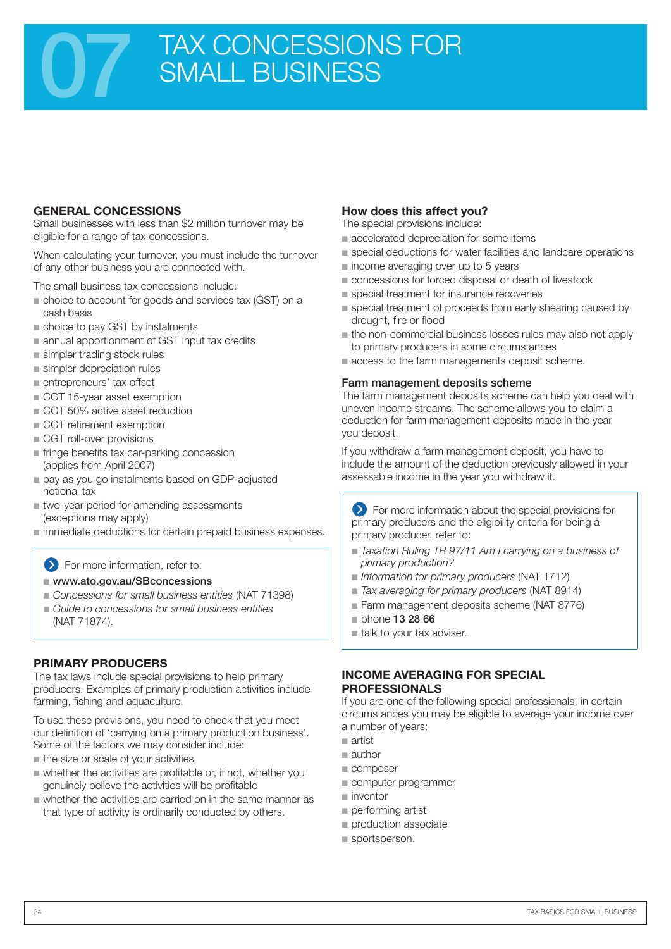## TAX CONCESSIONS FOR SMALL BUSINESS

#### **GENERAL CONCESSIONS**

Small businesses with less than \$2 million turnover may be eligible for a range of tax concessions.

When calculating your turnover, you must include the turnover of any other business you are connected with.

The small business tax concessions include:

- choice to account for goods and services tax (GST) on a cash basis
- choice to pay GST by instalments
- annual apportionment of GST input tax credits
- simpler trading stock rules
- simpler depreciation rules
- entrepreneurs' tax offset
- CGT 15-year asset exemption
- CGT 50% active asset reduction
- CGT retirement exemption
- CGT roll-over provisions
- fringe benefits tax car-parking concession (applies from April 2007)
- pay as you go instalments based on GDP-adjusted notional tax
- two-year period for amending assessments (exceptions may apply)
- immediate deductions for certain prepaid business expenses.

#### For more information, refer to:

#### ■ www.ato.gov.au/SBconcessions

- Concessions for small business entities (NAT 71398)
- Guide to concessions for small business entities (NAT 71874).

#### **PRIMARY PRODUCERS**

The tax laws include special provisions to help primary producers. Examples of primary production activities include farming, fishing and aquaculture.

To use these provisions, you need to check that you meet our definition of 'carrying on a primary production business'. Some of the factors we may consider include:

- the size or scale of your activities
- whether the activities are profitable or, if not, whether you genuinely believe the activities will be profitable
- whether the activities are carried on in the same manner as that type of activity is ordinarily conducted by others.

#### **How does this affect you?**

The special provisions include:

- accelerated depreciation for some items
- special deductions for water facilities and landcare operations
- income averaging over up to 5 years
- concessions for forced disposal or death of livestock
- special treatment for insurance recoveries
- special treatment of proceeds from early shearing caused by drought, fire or flood
- the non-commercial business losses rules may also not apply to primary producers in some circumstances
- access to the farm managements deposit scheme.

#### Farm management deposits scheme

The farm management deposits scheme can help you deal with uneven income streams. The scheme allows you to claim a deduction for farm management deposits made in the year you deposit.

If you withdraw a farm management deposit, you have to include the amount of the deduction previously allowed in your assessable income in the year you withdraw it.

For more information about the special provisions for primary producers and the eligibility criteria for being a primary producer, refer to:

- Taxation Ruling TR 97/11 Am I carrying on a business of *primary production?*
- *Information for primary producers* (NAT 1712)
- *Tax averaging for primary producers* (NAT 8914)
- Farm management deposits scheme (NAT 8776)
- phone 13 28 66
- talk to your tax adviser.

#### **INCOME AVERAGING FOR SPECIAL PROFESSIONALS**

If you are one of the following special professionals, in certain circumstances you may be eligible to average your income over a number of years:

- artist ■
- author
- composer
- computer programmer
- inventor
- performing artist
- production associate
- sportsperson.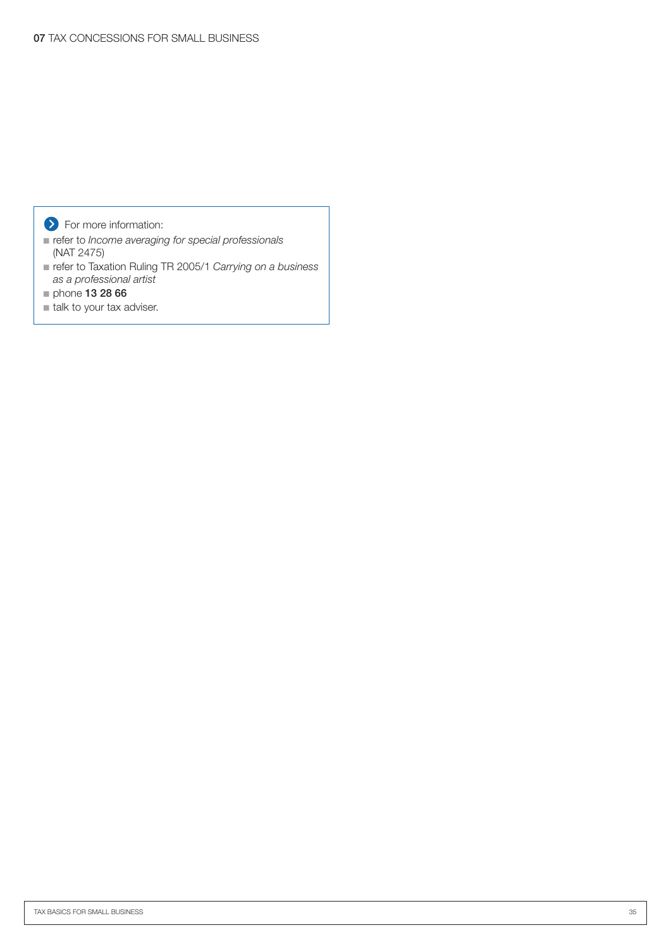#### **S** For more information:

- refer to *Income averaging for special professionals* (NAT 2475)
- refer to Taxation Ruling TR 2005/1 Carrying on a business *as a professional artist*
- phone 13 28 66
- talk to your tax adviser.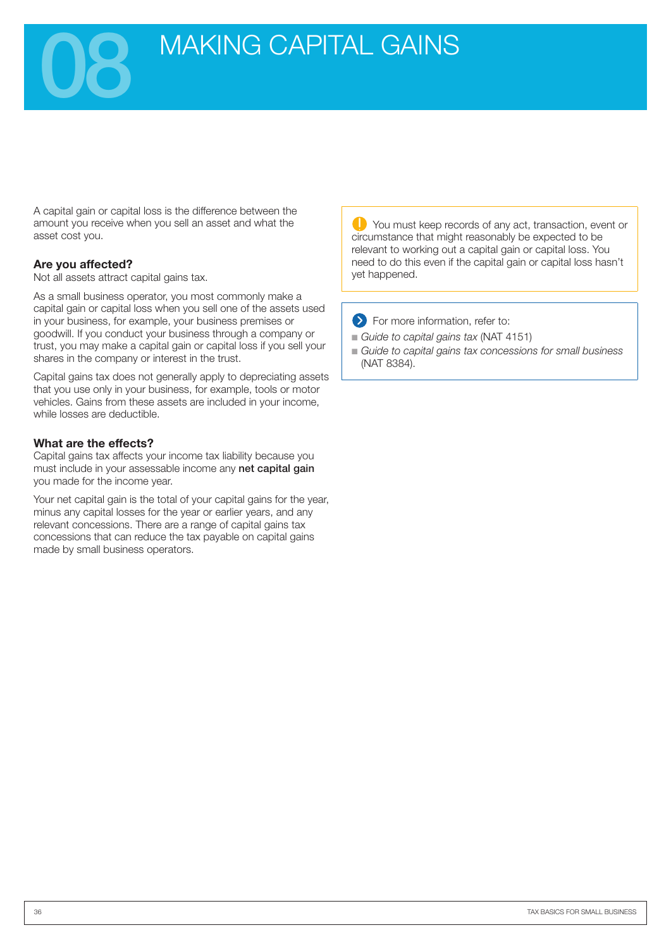## **MAKING CAPITAL GAINS**

A capital gain or capital loss is the difference between the amount you receive when you sell an asset and what the asset cost you.

#### **Are you affected?**

Not all assets attract capital gains tax.

As a small business operator, you most commonly make a capital gain or capital loss when you sell one of the assets used in your business, for example, your business premises or goodwill. If you conduct your business through a company or trust, you may make a capital gain or capital loss if you sell your shares in the company or interest in the trust.

Capital gains tax does not generally apply to depreciating assets that you use only in your business, for example, tools or motor vehicles. Gains from these assets are included in your income, while losses are deductible.

#### **What are the effects?**

Capital gains tax affects your income tax liability because you must include in your assessable income any net capital gain you made for the income year.

Your net capital gain is the total of your capital gains for the year, minus any capital losses for the year or earlier years, and any relevant concessions. There are a range of capital gains tax concessions that can reduce the tax payable on capital gains made by small business operators.

**C** You must keep records of any act, transaction, event or circumstance that might reasonably be expected to be relevant to working out a capital gain or capital loss. You need to do this even if the capital gain or capital loss hasn't yet happened.

For more information, refer to:

- *Guide to capital gains tax (NAT 4151)*
- Guide to capital gains tax concessions for small business (NAT 8384).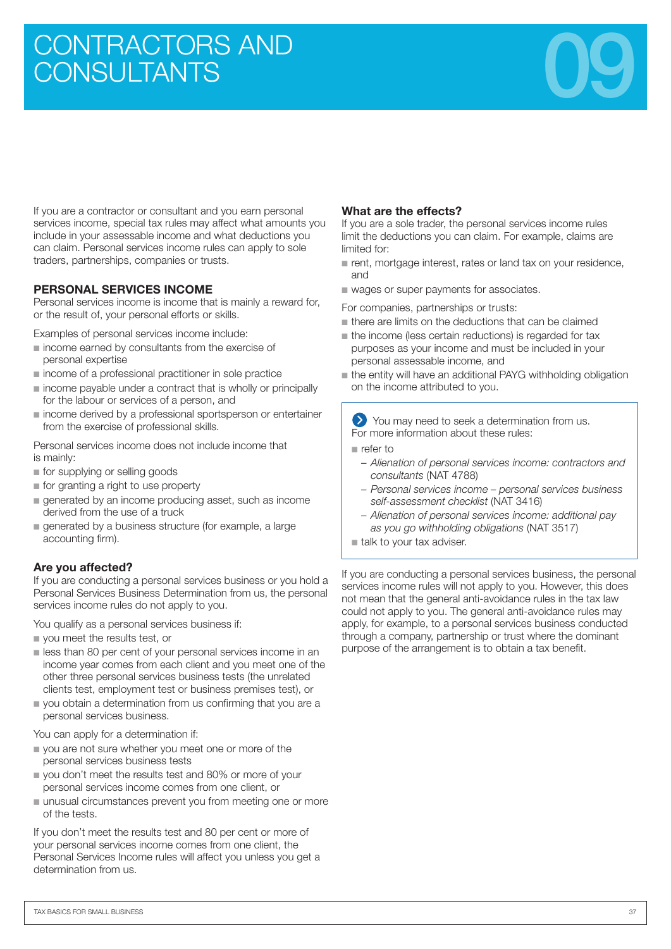# CONTRACTORS AND **CONTRACTORS** AND **CONSULTANTS**



If you are a contractor or consultant and you earn personal services income, special tax rules may affect what amounts you include in your assessable income and what deductions you can claim. Personal services income rules can apply to sole traders, partnerships, companies or trusts.

#### **PERSONAL SERVICES INCOME**

Personal services income is income that is mainly a reward for, or the result of, your personal efforts or skills.

Examples of personal services income include:

- income earned by consultants from the exercise of personal expertise
- income of a professional practitioner in sole practice
- income payable under a contract that is wholly or principally for the labour or services of a person, and
- income derived by a professional sportsperson or entertainer from the exercise of professional skills.

Personal services income does not include income that is mainly:

- for supplying or selling goods
- for granting a right to use property
- generated by an income producing asset, such as income derived from the use of a truck
- generated by a business structure (for example, a large accounting firm).

#### **Are you affected?**

If you are conducting a personal services business or you hold a Personal Services Business Determination from us, the personal services income rules do not apply to you.

You qualify as a personal services business if:

- you meet the results test, or
- less than 80 per cent of your personal services income in an income year comes from each client and you meet one of the other three personal services business tests (the unrelated clients test, employment test or business premises test), or
- you obtain a determination from us confirming that you are a personal services business.

You can apply for a determination if:

- you are not sure whether you meet one or more of the personal services business tests
- you don't meet the results test and 80% or more of your personal services income comes from one client, or
- unusual circumstances prevent you from meeting one or more of the tests.

If you don't meet the results test and 80 per cent or more of your personal services income comes from one client, the Personal Services Income rules will affect you unless you get a determination from us.

#### **What are the effects?**

If you are a sole trader, the personal services income rules limit the deductions you can claim. For example, claims are limited for:

- rent, mortgage interest, rates or land tax on your residence, and
- wages or super payments for associates.

For companies, partnerships or trusts:

- there are limits on the deductions that can be claimed
- the income (less certain reductions) is regarded for tax purposes as your income and must be included in your personal assessable income, and
- the entity will have an additional PAYG withholding obligation on the income attributed to you.

You may need to seek a determination from us. For more information about these rules:

■ refer to

- *Alienation of personal services income: contractors and consultants* (NAT 4788)
- *Personal services income personal services business self-assessment checklist* (NAT 3416)
- *Alienation of personal services income: additional pay as you go withholding obligations* (NAT 3517)
- talk to your tax adviser.

If you are conducting a personal services business, the personal services income rules will not apply to you. However, this does not mean that the general anti-avoidance rules in the tax law could not apply to you. The general anti-avoidance rules may apply, for example, to a personal services business conducted through a company, partnership or trust where the dominant purpose of the arrangement is to obtain a tax benefit.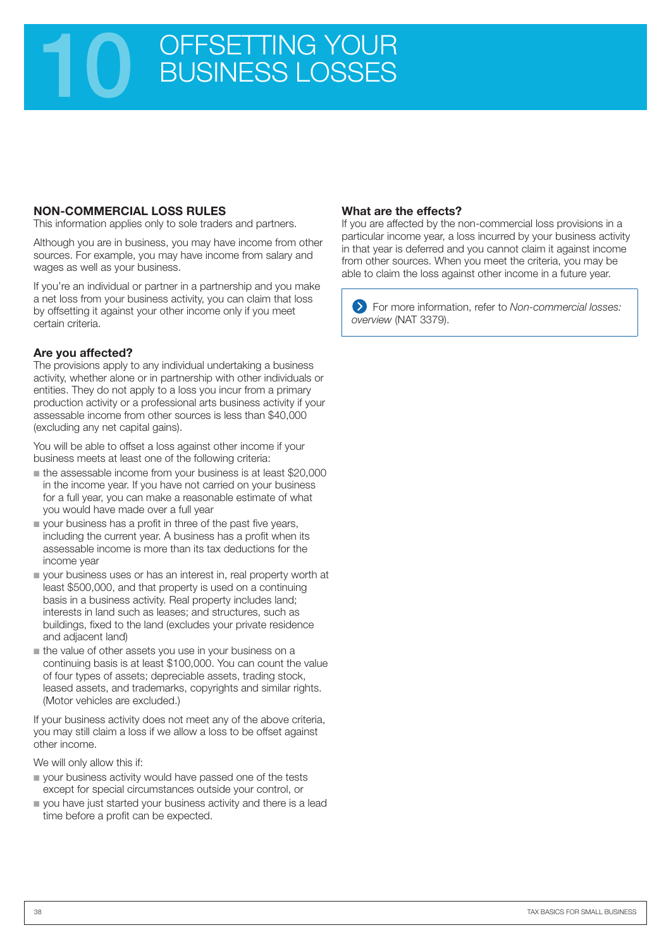## 10 OFFSETTING YOUR<br>BUSINESS LOSSES BUSINESS LOSSES

#### **NON-COMMERCIAL LOSS RULES**

This information applies only to sole traders and partners.

Although you are in business, you may have income from other sources. For example, you may have income from salary and wages as well as your business.

If you're an individual or partner in a partnership and you make a net loss from your business activity, you can claim that loss by offsetting it against your other income only if you meet certain criteria.

#### **Are you affected?**

The provisions apply to any individual undertaking a business activity, whether alone or in partnership with other individuals or entities. They do not apply to a loss you incur from a primary production activity or a professional arts business activity if your assessable income from other sources is less than \$40,000 (excluding any net capital gains).

You will be able to offset a loss against other income if your business meets at least one of the following criteria:

- the assessable income from your business is at least \$20,000 in the income year. If you have not carried on your business for a full year, you can make a reasonable estimate of what you would have made over a full year
- your business has a profit in three of the past five years, including the current year. A business has a profit when its assessable income is more than its tax deductions for the income year
- your business uses or has an interest in, real property worth at least \$500,000, and that property is used on a continuing basis in a business activity. Real property includes land; interests in land such as leases; and structures, such as buildings, fixed to the land (excludes your private residence and adjacent land)
- the value of other assets you use in your business on a continuing basis is at least \$100,000. You can count the value of four types of assets; depreciable assets, trading stock, leased assets, and trademarks, copyrights and similar rights. (Motor vehicles are excluded.)

If your business activity does not meet any of the above criteria, you may still claim a loss if we allow a loss to be offset against other income.

We will only allow this if:

- your business activity would have passed one of the tests except for special circumstances outside your control, or
- you have just started your business activity and there is a lead time before a profit can be expected.

#### **What are the effects?**

If you are affected by the non-commercial loss provisions in a particular income year, a loss incurred by your business activity in that year is deferred and you cannot claim it against income from other sources. When you meet the criteria, you may be able to claim the loss against other income in a future year.

For more information, refer to *Non-commercial losses: overview* (NAT 3379).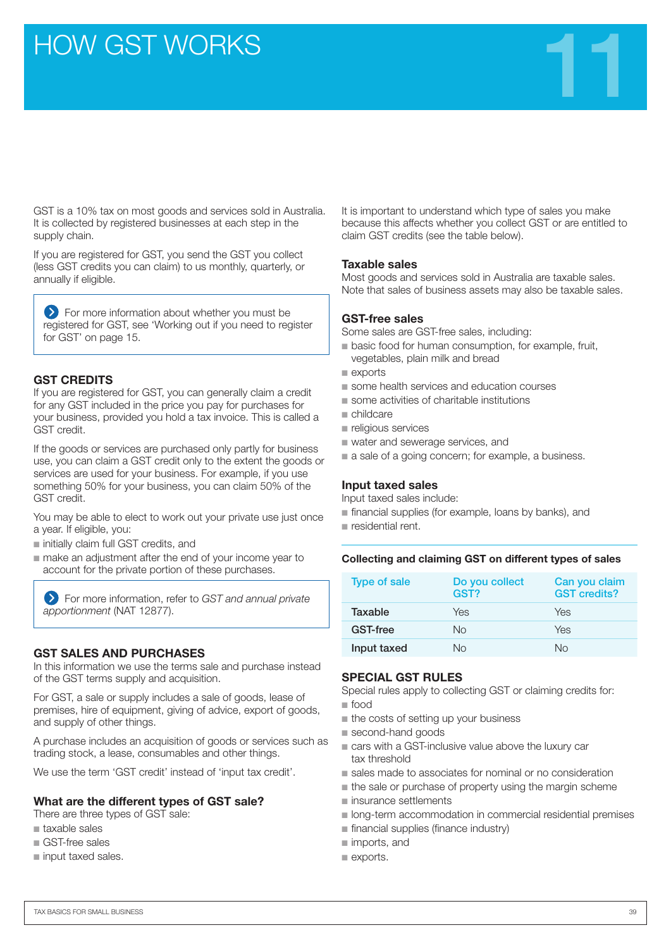HOW GST WORKS THE RESERVE THE RESERVE THAT THE RESERVE THAT THE RESERVE THAT THE RESERVE THAT THE RESERVE THAT THE RESERVE THAT THE RESERVE THAT THE RESERVE THAT THE RESERVE THAT THE RESERVE THAT THE RESERVE THAT THE RESER

GST is a 10% tax on most goods and services sold in Australia. It is collected by registered businesses at each step in the supply chain.

If you are registered for GST, you send the GST you collect (less GST credits you can claim) to us monthly, quarterly, or annually if eligible.

For more information about whether you must be registered for GST, see 'Working out if you need to register for GST' on page 15.

#### **GST CREDITS**

If you are registered for GST, you can generally claim a credit for any GST included in the price you pay for purchases for your business, provided you hold a tax invoice. This is called a GST credit.

If the goods or services are purchased only partly for business use, you can claim a GST credit only to the extent the goods or services are used for your business. For example, if you use something 50% for your business, you can claim 50% of the GST credit.

You may be able to elect to work out your private use just once a year. If eligible, you:

- initially claim full GST credits, and
- make an adjustment after the end of your income year to account for the private portion of these purchases.

For more information, refer to *GST and annual private apportionment* (NAT 12877).

#### **GST SALES AND PURCHASES**

In this information we use the terms sale and purchase instead of the GST terms supply and acquisition.

For GST, a sale or supply includes a sale of goods, lease of premises, hire of equipment, giving of advice, export of goods, and supply of other things.

A purchase includes an acquisition of goods or services such as trading stock, a lease, consumables and other things.

We use the term 'GST credit' instead of 'input tax credit'.

#### **What are the different types of GST sale?**

There are three types of GST sale:

- taxable sales
- GST-free sales
- input taxed sales.

It is important to understand which type of sales you make because this affects whether you collect GST or are entitled to claim GST credits (see the table below).

#### **Taxable sales**

Most goods and services sold in Australia are taxable sales. Note that sales of business assets may also be taxable sales.

#### **GST-free sales**

Some sales are GST-free sales, including:

- basic food for human consumption, for example, fruit, vegetables, plain milk and bread
- exports
- some health services and education courses
- some activities of charitable institutions
- childcare
- religious services
- water and sewerage services, and
- a sale of a going concern; for example, a business.

#### **Input taxed sales**

Input taxed sales include:

- financial supplies (for example, loans by banks), and
- residential rent.

#### **Collecting and claiming GST on different types of sales**

| <b>Type of sale</b> | Do you collect<br>GST? | Can you claim<br><b>GST credits?</b> |
|---------------------|------------------------|--------------------------------------|
| Taxable             | Yes                    | Yes                                  |
| <b>GST-free</b>     | Nο                     | Yes                                  |
| Input taxed         | Nο                     | Nο                                   |

#### **SPECIAL GST RULES**

Special rules apply to collecting GST or claiming credits for:

- food ■ the costs of setting up your business
- second-hand goods
- cars with a GST-inclusive value above the luxury car tax threshold
- sales made to associates for nominal or no consideration
- the sale or purchase of property using the margin scheme
- insurance settlements
- long-term accommodation in commercial residential premises
- financial supplies (finance industry)
- imports, and
- exports.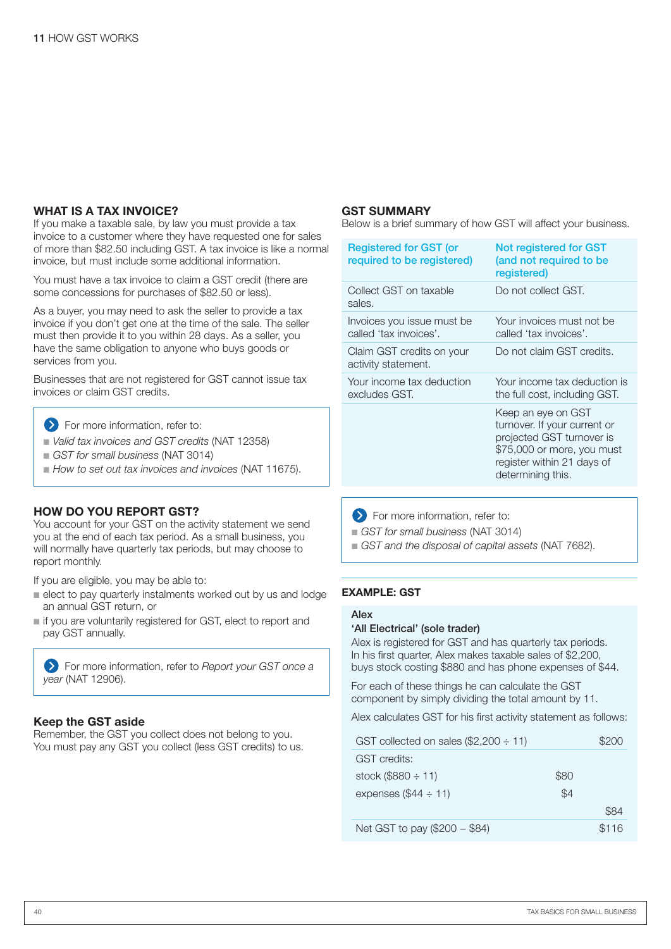#### **WHAT IS A TAX INVOICE?**

If you make a taxable sale, by law you must provide a tax invoice to a customer where they have requested one for sales of more than \$82.50 including GST. A tax invoice is like a normal invoice, but must include some additional information.

You must have a tax invoice to claim a GST credit (there are some concessions for purchases of \$82.50 or less).

As a buyer, you may need to ask the seller to provide a tax invoice if you don't get one at the time of the sale. The seller must then provide it to you within 28 days. As a seller, you have the same obligation to anyone who buys goods or services from you.

Businesses that are not registered for GST cannot issue tax invoices or claim GST credits.

- **S** For more information, refer to:
- *Valid tax invoices and GST credits* (NAT 12358)
- *GST for small business* (NAT 3014)
- How to set out tax invoices and invoices (NAT 11675).

#### **HOW DO YOU REPORT GST?**

You account for your GST on the activity statement we send you at the end of each tax period. As a small business, you will normally have quarterly tax periods, but may choose to report monthly.

If you are eligible, you may be able to:

- elect to pay quarterly instalments worked out by us and lodge an annual GST return, or
- if you are voluntarily registered for GST, elect to report and pay GST annually.

For more information, refer to *Report your GST once a year* (NAT 12906).

#### **Keep the GST aside**

Remember, the GST you collect does not belong to you. You must pay any GST you collect (less GST credits) to us.

#### **GST SUMMARY**

Below is a brief summary of how GST will affect your business.

| <b>Registered for GST (or</b><br>required to be registered) | Not registered for GST<br>(and not required to be<br>registered)                                                                                                 |
|-------------------------------------------------------------|------------------------------------------------------------------------------------------------------------------------------------------------------------------|
| Collect GST on taxable<br>sales.                            | Do not collect GST.                                                                                                                                              |
| Invoices you issue must be<br>called 'tax invoices'.        | Your invoices must not be<br>called 'tax invoices'.                                                                                                              |
| Claim GST credits on your<br>activity statement.            | Do not claim GST credits.                                                                                                                                        |
| Your income tax deduction<br>excludes GST.                  | Your income tax deduction is<br>the full cost, including GST.                                                                                                    |
|                                                             | Keep an eye on GST<br>turnover. If your current or<br>projected GST turnover is<br>\$75,000 or more, you must<br>register within 21 days of<br>determining this. |

 $\sum$  For more information, refer to:

■ *GST for small business* (NAT 3014)

■ GST and the disposal of capital assets (NAT 7682).

#### **Example: GST**

#### Alex

#### 'All Electrical' (sole trader)

Alex is registered for GST and has quarterly tax periods. In his first quarter, Alex makes taxable sales of \$2,200, buys stock costing \$880 and has phone expenses of \$44.

For each of these things he can calculate the GST component by simply dividing the total amount by 11.

Alex calculates GST for his first activity statement as follows:

| GST collected on sales $(\$2,200 \div 11)$ |      | \$200 |
|--------------------------------------------|------|-------|
| <b>GST</b> credits:                        |      |       |
| stock (\$880 $\div$ 11)                    | \$80 |       |
| expenses $(\$44 \div 11)$                  | \$4  |       |
|                                            |      | \$84  |
| Net GST to pay (\$200 - \$84)              |      | \$116 |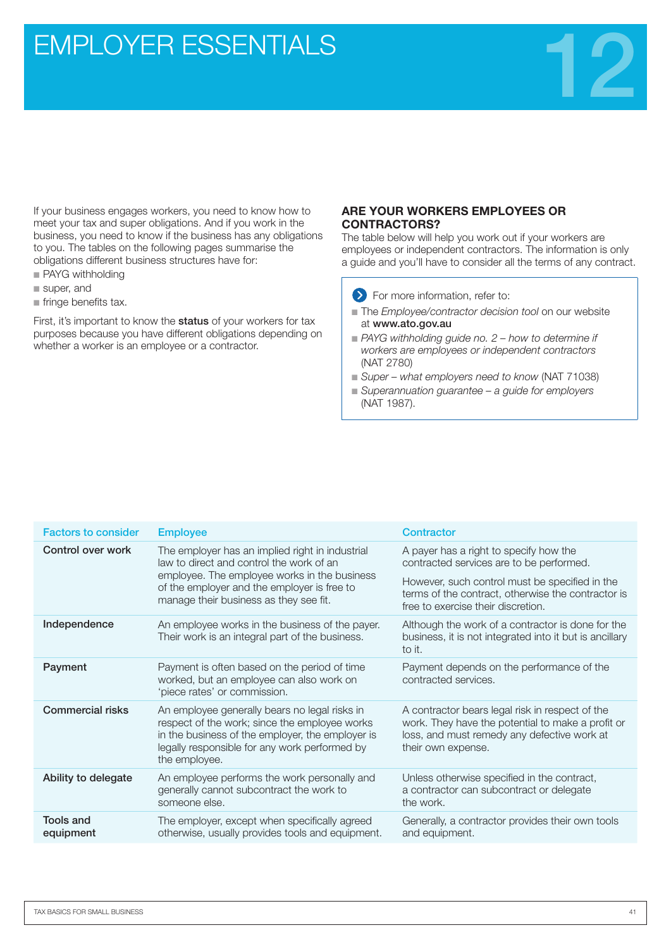## **EMPLOYER ESSENTIALS**



If your business engages workers, you need to know how to meet your tax and super obligations. And if you work in the business, you need to know if the business has any obligations to you. The tables on the following pages summarise the obligations different business structures have for:

- PAYG withholding
- super, and
- fringe benefits tax.

First, it's important to know the **status** of your workers for tax purposes because you have different obligations depending on whether a worker is an employee or a contractor.

#### **ARE YOUR WORKERS EMPLOYEES OR CONTRACTORS?**

The table below will help you work out if your workers are employees or independent contractors. The information is only a guide and you'll have to consider all the terms of any contract.

**Solution** For more information, refer to:

- The *Employee/contractor decision tool* on our website at www.ato.gov.au
- PAYG withholding guide no. 2 how to determine if *workers are employees or independent contractors* (NAT 2780)
- Super what employers need to know (NAT 71038)
- Superannuation guarantee a guide for employers (NAT 1987).

| <b>Factors to consider</b>    | <b>Employee</b>                                                                                                                                                                                                      | <b>Contractor</b>                                                                                                                                                         |
|-------------------------------|----------------------------------------------------------------------------------------------------------------------------------------------------------------------------------------------------------------------|---------------------------------------------------------------------------------------------------------------------------------------------------------------------------|
| Control over work             | The employer has an implied right in industrial<br>law to direct and control the work of an                                                                                                                          | A payer has a right to specify how the<br>contracted services are to be performed.                                                                                        |
|                               | employee. The employee works in the business<br>of the employer and the employer is free to<br>manage their business as they see fit.                                                                                | However, such control must be specified in the<br>terms of the contract, otherwise the contractor is<br>free to exercise their discretion.                                |
| Independence                  | An employee works in the business of the payer.<br>Their work is an integral part of the business.                                                                                                                   | Although the work of a contractor is done for the<br>business, it is not integrated into it but is ancillary<br>to it.                                                    |
| Payment                       | Payment is often based on the period of time<br>worked, but an employee can also work on<br>'piece rates' or commission.                                                                                             | Payment depends on the performance of the<br>contracted services.                                                                                                         |
| <b>Commercial risks</b>       | An employee generally bears no legal risks in<br>respect of the work; since the employee works<br>in the business of the employer, the employer is<br>legally responsible for any work performed by<br>the employee. | A contractor bears legal risk in respect of the<br>work. They have the potential to make a profit or<br>loss, and must remedy any defective work at<br>their own expense. |
| Ability to delegate           | An employee performs the work personally and<br>generally cannot subcontract the work to<br>someone else.                                                                                                            | Unless otherwise specified in the contract,<br>a contractor can subcontract or delegate<br>the work.                                                                      |
| <b>Tools and</b><br>equipment | The employer, except when specifically agreed<br>otherwise, usually provides tools and equipment.                                                                                                                    | Generally, a contractor provides their own tools<br>and equipment.                                                                                                        |
|                               |                                                                                                                                                                                                                      |                                                                                                                                                                           |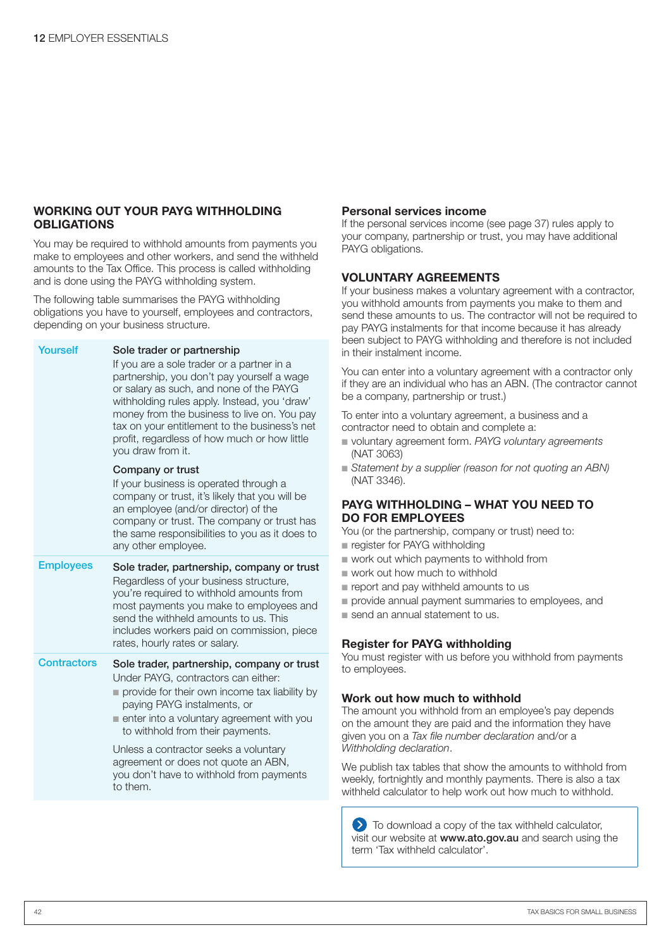#### **WORKING OUT YOUR PAYG WITHHOLDING OBLIGATIONS**

You may be required to withhold amounts from payments you make to employees and other workers, and send the withheld amounts to the Tax Office. This process is called withholding and is done using the PAYG withholding system.

The following table summarises the PAYG withholding obligations you have to yourself, employees and contractors, depending on your business structure.

| Yourself           | Sole trader or partnership                                                                                                                                                                                                                                                                                                                               |  |  |
|--------------------|----------------------------------------------------------------------------------------------------------------------------------------------------------------------------------------------------------------------------------------------------------------------------------------------------------------------------------------------------------|--|--|
|                    | If you are a sole trader or a partner in a<br>partnership, you don't pay yourself a wage<br>or salary as such, and none of the PAYG<br>withholding rules apply. Instead, you 'draw'<br>money from the business to live on. You pay<br>tax on your entitlement to the business's net<br>profit, regardless of how much or how little<br>you draw from it. |  |  |
|                    | Company or trust<br>If your business is operated through a<br>company or trust, it's likely that you will be<br>an employee (and/or director) of the<br>company or trust. The company or trust has<br>the same responsibilities to you as it does to<br>any other employee.                                                                              |  |  |
| <b>Employees</b>   | Sole trader, partnership, company or trust<br>Regardless of your business structure,<br>you're required to withhold amounts from<br>most payments you make to employees and<br>send the withheld amounts to us. This<br>includes workers paid on commission, piece<br>rates, hourly rates or salary.                                                     |  |  |
| <b>Contractors</b> | Sole trader, partnership, company or trust<br>Under PAYG, contractors can either:<br>provide for their own income tax liability by<br>paying PAYG instalments, or<br>enter into a voluntary agreement with you<br>to withhold from their payments.                                                                                                       |  |  |
|                    | Unless a contractor seeks a voluntary<br>agreement or does not quote an ABN,<br>you don't have to withhold from payments                                                                                                                                                                                                                                 |  |  |

to them.

#### **Personal services income**

If the personal services income (see page 37) rules apply to your company, partnership or trust, you may have additional PAYG obligations.

#### **VOLUNTARY AGREEMENTS**

If your business makes a voluntary agreement with a contractor, you withhold amounts from payments you make to them and send these amounts to us. The contractor will not be required to pay PAYG instalments for that income because it has already been subject to PAYG withholding and therefore is not included in their instalment income.

You can enter into a voluntary agreement with a contractor only if they are an individual who has an ABN. (The contractor cannot be a company, partnership or trust.)

To enter into a voluntary agreement, a business and a contractor need to obtain and complete a:

- voluntary agreement form. PAYG voluntary agreements (NAT 3063)
- Statement by a supplier (reason for not quoting an ABN) (NAT 3346).

#### **PAYG WITHHOLDING – WHAT YOU NEED TO DO FOR EMPLOYEES**

You (or the partnership, company or trust) need to: ■ register for PAYG withholding

- work out which payments to withhold from
- work out how much to withhold
- report and pay withheld amounts to us
- provide annual payment summaries to employees, and
- send an annual statement to us.

#### **Register for PAYG withholding**

You must register with us before you withhold from payments to employees.

#### **Work out how much to withhold**

The amount you withhold from an employee's pay depends on the amount they are paid and the information they have given you on a *Tax file number declaration* and/or a *Withholding declaration*.

We publish tax tables that show the amounts to withhold from weekly, fortnightly and monthly payments. There is also a tax withheld calculator to help work out how much to withhold.

 $\sum$  To download a copy of the tax withheld calculator, visit our website at www.ato.gov.au and search using the term 'Tax withheld calculator'.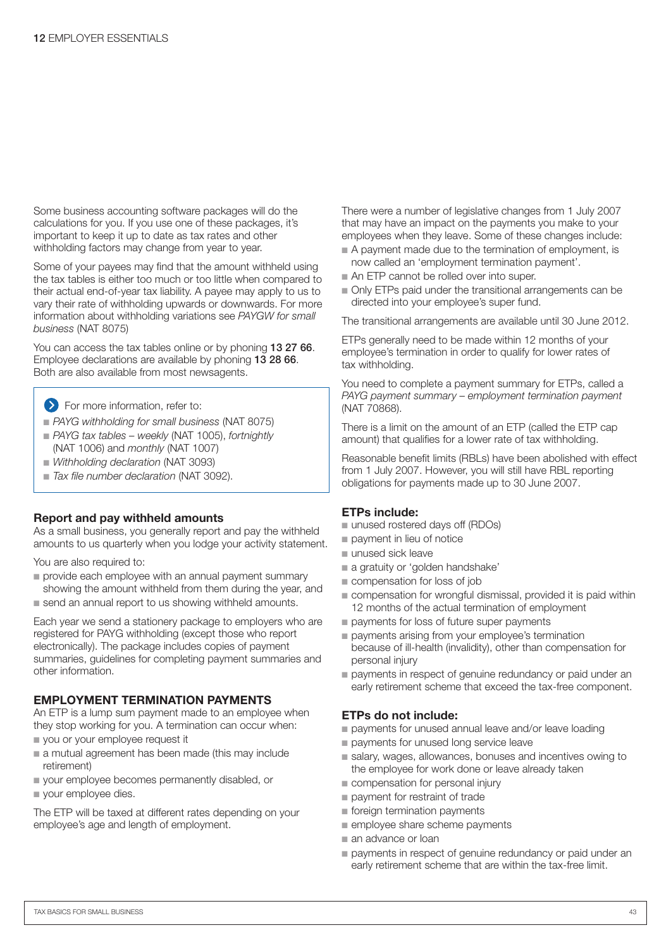Some business accounting software packages will do the calculations for you. If you use one of these packages, it's important to keep it up to date as tax rates and other withholding factors may change from year to year.

Some of your payees may find that the amount withheld using the tax tables is either too much or too little when compared to their actual end-of-year tax liability. A payee may apply to us to vary their rate of withholding upwards or downwards. For more information about withholding variations see *PAYGW for small business* (NAT 8075)

You can access the tax tables online or by phoning 13 27 66. Employee declarations are available by phoning 13 28 66. Both are also available from most newsagents.

- **S** For more information, refer to:
- PAYG withholding for small business (NAT 8075)
- PAYG tax tables weekly (NAT 1005), fortnightly (NAT 1006) and *monthly* (NAT 1007)
- *Withholding declaration* (NAT 3093)
- *Tax file number declaration* (NAT 3092).

#### **Report and pay withheld amounts**

As a small business, you generally report and pay the withheld amounts to us quarterly when you lodge your activity statement.

You are also required to:

- provide each employee with an annual payment summary showing the amount withheld from them during the year, and
- send an annual report to us showing withheld amounts.

Each year we send a stationery package to employers who are registered for PAYG withholding (except those who report electronically). The package includes copies of payment summaries, guidelines for completing payment summaries and other information.

#### **EMPLOYMENT TERMINATION PAYMENTS**

An ETP is a lump sum payment made to an employee when they stop working for you. A termination can occur when:

- you or your employee request it
- a mutual agreement has been made (this may include retirement)
- your employee becomes permanently disabled, or
- your employee dies. ■

The ETP will be taxed at different rates depending on your employee's age and length of employment.

There were a number of legislative changes from 1 July 2007 that may have an impact on the payments you make to your employees when they leave. Some of these changes include:

- A payment made due to the termination of employment, is now called an 'employment termination payment'.
- An ETP cannot be rolled over into super.
- Only ETPs paid under the transitional arrangements can be directed into your employee's super fund.

The transitional arrangements are available until 30 June 2012.

ETPs generally need to be made within 12 months of your employee's termination in order to qualify for lower rates of tax withholding.

You need to complete a payment summary for ETPs, called a *PAYG payment summary – employment termination payment* (NAT 70868).

There is a limit on the amount of an ETP (called the ETP cap amount) that qualifies for a lower rate of tax withholding.

Reasonable benefit limits (RBLs) have been abolished with effect from 1 July 2007. However, you will still have RBL reporting obligations for payments made up to 30 June 2007.

#### **ETPs include:**

- unused rostered days off (RDOs)
- payment in lieu of notice
- unused sick leave
- a gratuity or 'golden handshake'
- compensation for loss of job
- compensation for wrongful dismissal, provided it is paid within 12 months of the actual termination of employment
- payments for loss of future super payments
- payments arising from your employee's termination because of ill-health (invalidity), other than compensation for personal injury
- payments in respect of genuine redundancy or paid under an early retirement scheme that exceed the tax-free component.

#### **ETPs do not include:**

- payments for unused annual leave and/or leave loading
- payments for unused long service leave
- salary, wages, allowances, bonuses and incentives owing to the employee for work done or leave already taken
- compensation for personal injury
- payment for restraint of trade
- foreign termination payments
- employee share scheme payments
- an advance or loan
- payments in respect of genuine redundancy or paid under an early retirement scheme that are within the tax-free limit.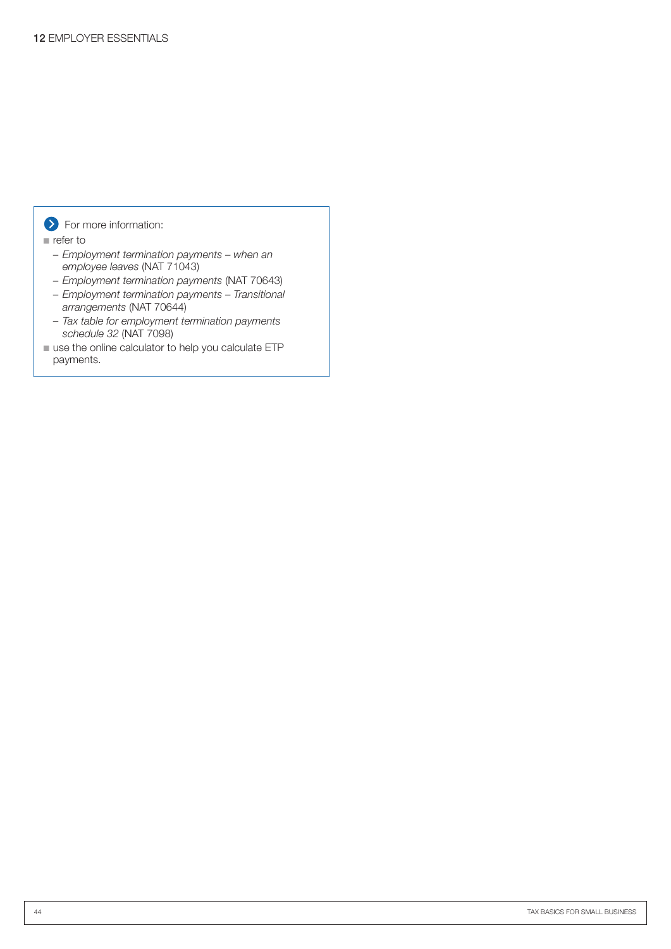#### **S** For more information:

■ refer to

- *Employment termination payments when an employee leaves* (NAT 71043)
- *Employment termination payments* (NAT 70643)
- *Employment termination payments Transitional arrangements* (NAT 70644)
- *Tax table for employment termination payments schedule 32* (NAT 7098)
- use the online calculator to help you calculate ETP payments.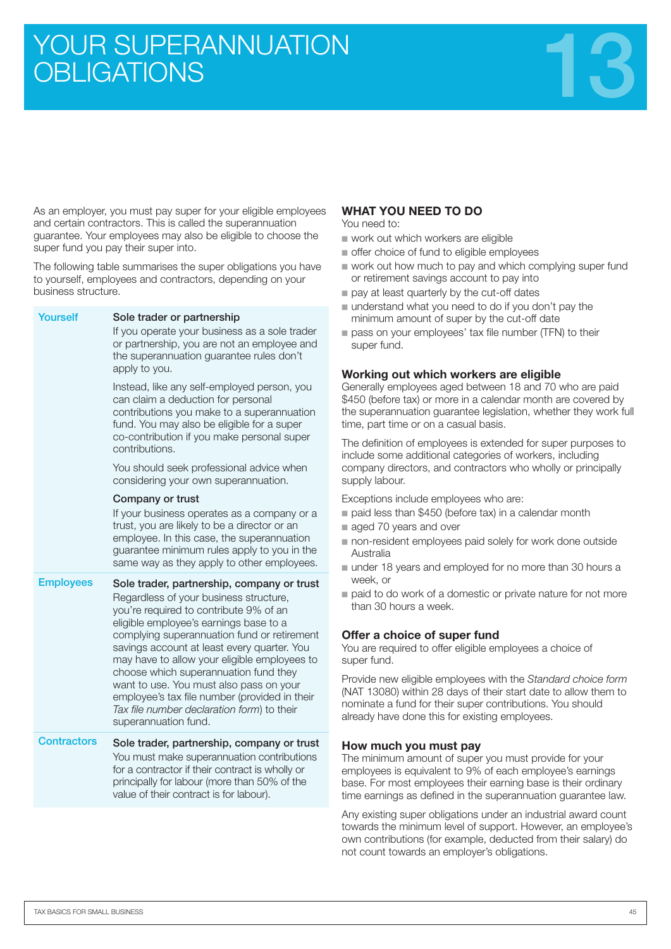# YOUR SUPERANNUATION<br>OBLIGATIONS



As an employer, you must pay super for your eligible employees and certain contractors. This is called the superannuation guarantee. Your employees may also be eligible to choose the super fund you pay their super into.

The following table summarises the super obligations you have to yourself, employees and contractors, depending on your business structure.

| Yourself           | Sole trader or partnership<br>If you operate your business as a sole trader<br>or partnership, you are not an employee and<br>the superannuation guarantee rules don't<br>apply to you.                                                                                                                                                                                                                                                                                                                                           |
|--------------------|-----------------------------------------------------------------------------------------------------------------------------------------------------------------------------------------------------------------------------------------------------------------------------------------------------------------------------------------------------------------------------------------------------------------------------------------------------------------------------------------------------------------------------------|
|                    | Instead, like any self-employed person, you<br>can claim a deduction for personal<br>contributions you make to a superannuation<br>fund. You may also be eligible for a super<br>co-contribution if you make personal super<br>contributions.                                                                                                                                                                                                                                                                                     |
|                    | You should seek professional advice when<br>considering your own superannuation.                                                                                                                                                                                                                                                                                                                                                                                                                                                  |
|                    | Company or trust<br>If your business operates as a company or a<br>trust, you are likely to be a director or an<br>employee. In this case, the superannuation<br>guarantee minimum rules apply to you in the<br>same way as they apply to other employees.                                                                                                                                                                                                                                                                        |
| <b>Employees</b>   | Sole trader, partnership, company or trust<br>Regardless of your business structure,<br>you're required to contribute 9% of an<br>eligible employee's earnings base to a<br>complying superannuation fund or retirement<br>savings account at least every quarter. You<br>may have to allow your eligible employees to<br>choose which superannuation fund they<br>want to use. You must also pass on your<br>employee's tax file number (provided in their<br>Tax file number declaration form) to their<br>superannuation fund. |
| <b>Contractors</b> | Sole trader, partnership, company or trust<br>You must make superannuation contributions<br>for a contractor if their contract is wholly or<br>principally for labour (more than 50% of the<br>value of their contract is for labour).                                                                                                                                                                                                                                                                                            |

#### **WHAT YOU NEED TO DO**

You need to:

- work out which workers are eligible
- offer choice of fund to eligible employees
- work out how much to pay and which complying super fund or retirement savings account to pay into
- pay at least quarterly by the cut-off dates
- understand what you need to do if you don't pay the minimum amount of super by the cut-off date
- pass on your employees' tax file number (TFN) to their super fund.

#### **Working out which workers are eligible**

Generally employees aged between 18 and 70 who are paid \$450 (before tax) or more in a calendar month are covered by the superannuation guarantee legislation, whether they work full time, part time or on a casual basis.

The definition of employees is extended for super purposes to include some additional categories of workers, including company directors, and contractors who wholly or principally supply labour.

Exceptions include employees who are:

- paid less than \$450 (before tax) in a calendar month
- aged 70 years and over
- non-resident employees paid solely for work done outside Australia
- under 18 years and employed for no more than 30 hours a week, or
- paid to do work of a domestic or private nature for not more than 30 hours a week.

#### **Offer a choice of super fund**

You are required to offer eligible employees a choice of super fund.

Provide new eligible employees with the *Standard choice form* (NAT 13080) within 28 days of their start date to allow them to nominate a fund for their super contributions. You should already have done this for existing employees.

#### **How much you must pay**

The minimum amount of super you must provide for your employees is equivalent to 9% of each employee's earnings base. For most employees their earning base is their ordinary time earnings as defined in the superannuation guarantee law.

Any existing super obligations under an industrial award count towards the minimum level of support. However, an employee's own contributions (for example, deducted from their salary) do not count towards an employer's obligations.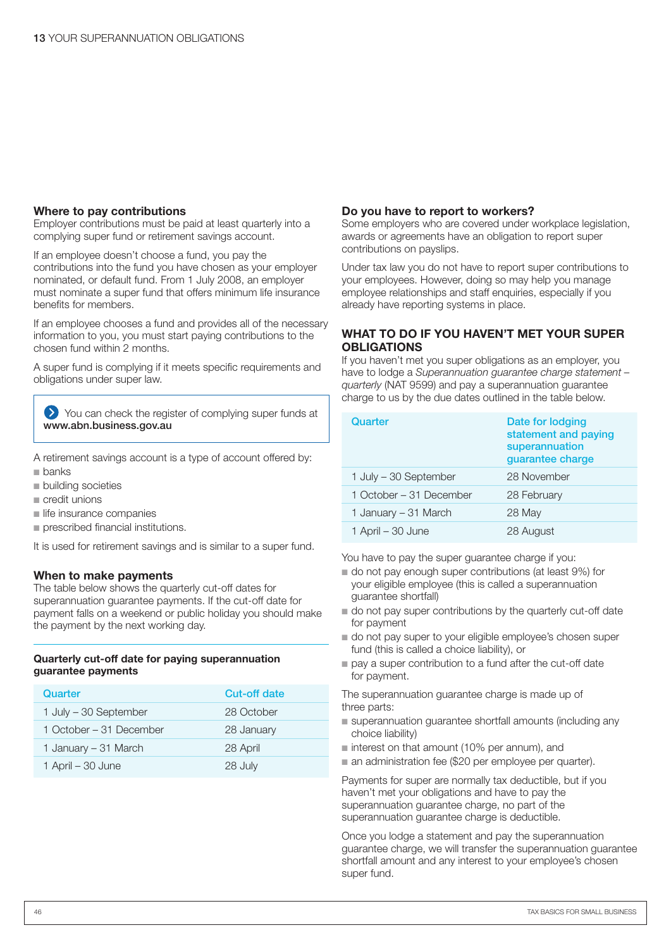#### **Where to pay contributions**

Employer contributions must be paid at least quarterly into a complying super fund or retirement savings account.

If an employee doesn't choose a fund, you pay the contributions into the fund you have chosen as your employer nominated, or default fund. From 1 July 2008, an employer must nominate a super fund that offers minimum life insurance benefits for members.

If an employee chooses a fund and provides all of the necessary information to you, you must start paying contributions to the chosen fund within 2 months.

A super fund is complying if it meets specific requirements and obligations under super law.

You can check the register of complying super funds at www.abn.business.gov.au

- A retirement savings account is a type of account offered by:
- banks ■
- building societies
- credit unions
- life insurance companies
- prescribed financial institutions.

It is used for retirement savings and is similar to a super fund.

#### **When to make payments**

The table below shows the quarterly cut-off dates for superannuation guarantee payments. If the cut-off date for payment falls on a weekend or public holiday you should make the payment by the next working day.

#### **Quarterly cut-off date for paying superannuation guarantee payments**

| Quarter                 | <b>Cut-off date</b> |
|-------------------------|---------------------|
| 1 July - 30 September   | 28 October          |
| 1 October – 31 December | 28 January          |
| 1 January – 31 March    | 28 April            |
| 1 April – 30 June       | 28 July             |

#### **Do you have to report to workers?**

Some employers who are covered under workplace legislation, awards or agreements have an obligation to report super contributions on payslips.

Under tax law you do not have to report super contributions to your employees. However, doing so may help you manage employee relationships and staff enquiries, especially if you already have reporting systems in place.

#### **WHAT TO DO IF YOU HAVEN'T MET YOUR SUPER OBLIGATIONS**

If you haven't met you super obligations as an employer, you have to lodge a *Superannuation guarantee charge statement – quarterly* (NAT 9599) and pay a superannuation guarantee charge to us by the due dates outlined in the table below.

| Quarter                 | Date for lodging<br>statement and paying<br>superannuation<br>quarantee charge |
|-------------------------|--------------------------------------------------------------------------------|
| 1 July - 30 September   | 28 November                                                                    |
| 1 October – 31 December | 28 February                                                                    |
| 1 January – 31 March    | 28 May                                                                         |
| 1 April – 30 June       | 28 August                                                                      |

You have to pay the super guarantee charge if you:

- do not pay enough super contributions (at least 9%) for your eligible employee (this is called a superannuation guarantee shortfall)
- do not pay super contributions by the quarterly cut-off date for payment
- do not pay super to your eligible employee's chosen super fund (this is called a choice liability), or
- pay a super contribution to a fund after the cut-off date for payment.

The superannuation guarantee charge is made up of three parts:

- superannuation guarantee shortfall amounts (including any choice liability)
- interest on that amount (10% per annum), and
- an administration fee (\$20 per employee per quarter).

Payments for super are normally tax deductible, but if you haven't met your obligations and have to pay the superannuation guarantee charge, no part of the superannuation guarantee charge is deductible.

Once you lodge a statement and pay the superannuation guarantee charge, we will transfer the superannuation guarantee shortfall amount and any interest to your employee's chosen super fund.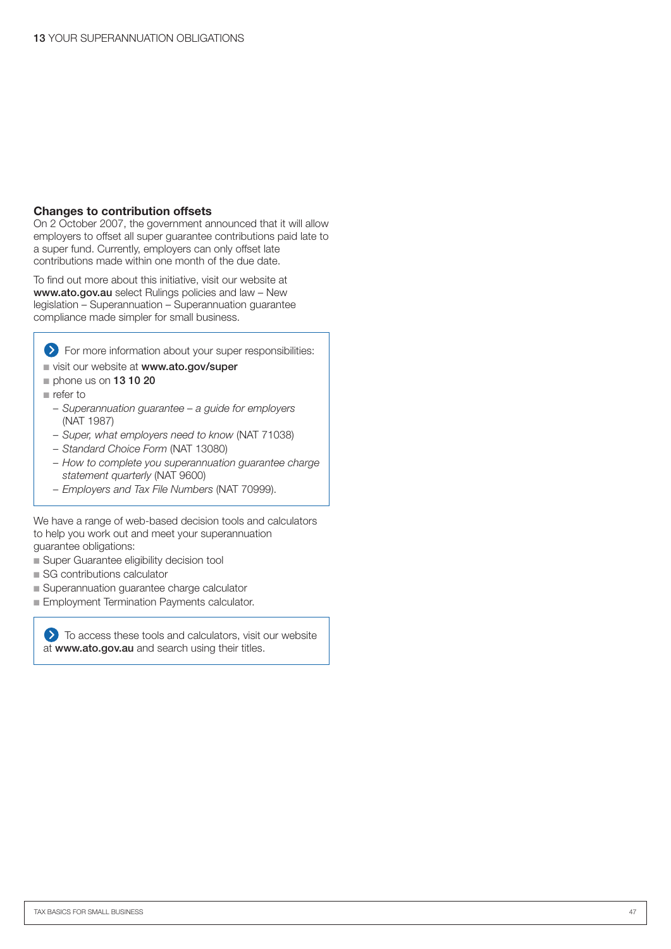#### **Changes to contribution offsets**

On 2 October 2007, the government announced that it will allow employers to offset all super guarantee contributions paid late to a super fund. Currently, employers can only offset late contributions made within one month of the due date.

To find out more about this initiative, visit our website at www.ato.gov.au select Rulings policies and law - New legislation – Superannuation – Superannuation guarantee compliance made simpler for small business.

For more information about your super responsibilities:

- visit our website at www.ato.gov/super
- phone us on **13 10 20**
- refer to
	- *Superannuation guarantee a guide for employers*  (NAT 1987)
	- *Super, what employers need to know* (NAT 71038)
	- *Standard Choice Form* (NAT 13080)
	- *How to complete you superannuation guarantee charge statement quarterly* (NAT 9600)
	- *Employers and Tax File Numbers* (NAT 70999).

We have a range of web-based decision tools and calculators to help you work out and meet your superannuation guarantee obligations:

- Super Guarantee eligibility decision tool
- SG contributions calculator
- Superannuation guarantee charge calculator
- Employment Termination Payments calculator.

 $\sum$  To access these tools and calculators, visit our website at www.ato.gov.au and search using their titles.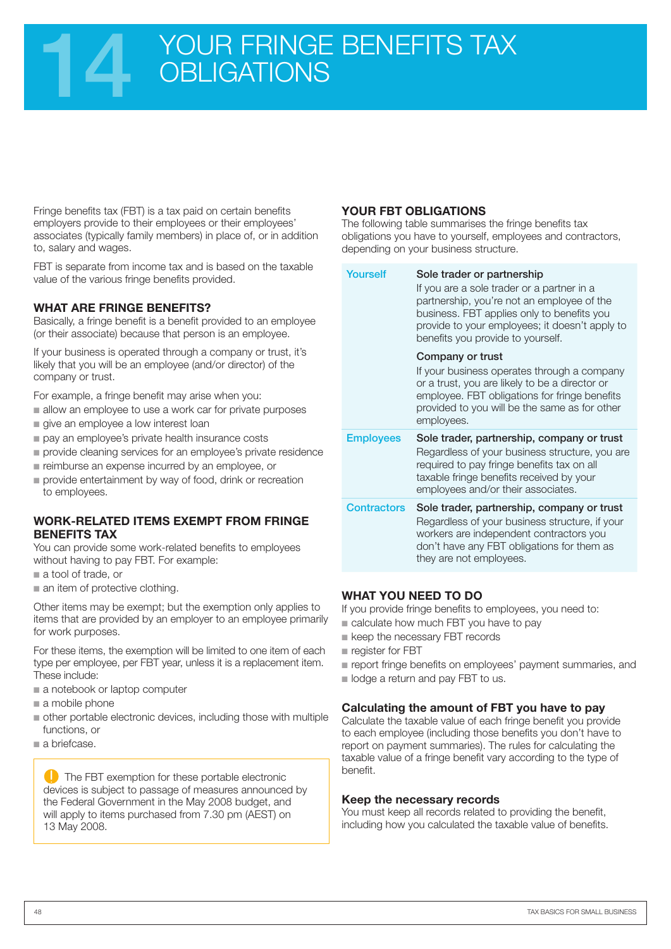## YOUR FRINGE BENEFITS TAX **OBLIGATIONS**

Fringe benefits tax (FBT) is a tax paid on certain benefits employers provide to their employees or their employees' associates (typically family members) in place of, or in addition to, salary and wages.

FBT is separate from income tax and is based on the taxable value of the various fringe benefits provided.

#### **WHAT ARE FRINGE BENEFITS?**

Basically, a fringe benefit is a benefit provided to an employee (or their associate) because that person is an employee.

If your business is operated through a company or trust, it's likely that you will be an employee (and/or director) of the company or trust.

For example, a fringe benefit may arise when you:

- allow an employee to use a work car for private purposes
- give an employee a low interest loan
- pay an employee's private health insurance costs
- provide cleaning services for an employee's private residence
- reimburse an expense incurred by an employee, or
- provide entertainment by way of food, drink or recreation to employees.

#### **WORK-RELATED ITEMS EXEMPT FROM FRINGE BENEFITS TAX**

You can provide some work-related benefits to employees without having to pay FBT. For example:

- a tool of trade, or
- an item of protective clothing.

Other items may be exempt; but the exemption only applies to items that are provided by an employer to an employee primarily for work purposes.

For these items, the exemption will be limited to one item of each type per employee, per FBT year, unless it is a replacement item. These include:

- a notebook or laptop computer
- a mobile phone
- other portable electronic devices, including those with multiple functions, or
- a briefcase.

**C** The FBT exemption for these portable electronic devices is subject to passage of measures announced by the Federal Government in the May 2008 budget, and will apply to items purchased from 7.30 pm (AEST) on 13 May 2008.

#### **YOUR FBT OBLIGATIONS**

The following table summarises the fringe benefits tax obligations you have to yourself, employees and contractors, depending on your business structure.

| Yourself           | Sole trader or partnership<br>If you are a sole trader or a partner in a<br>partnership, you're not an employee of the<br>business. FBT applies only to benefits you<br>provide to your employees; it doesn't apply to<br>benefits you provide to yourself. |
|--------------------|-------------------------------------------------------------------------------------------------------------------------------------------------------------------------------------------------------------------------------------------------------------|
|                    | Company or trust<br>If your business operates through a company<br>or a trust, you are likely to be a director or<br>employee. FBT obligations for fringe benefits<br>provided to you will be the same as for other<br>employees.                           |
| <b>Employees</b>   | Sole trader, partnership, company or trust<br>Regardless of your business structure, you are<br>required to pay fringe benefits tax on all<br>taxable fringe benefits received by your<br>employees and/or their associates.                                |
| <b>Contractors</b> | Sole trader, partnership, company or trust<br>Regardless of your business structure, if your<br>workers are independent contractors you<br>don't have any FBT obligations for them as                                                                       |

#### **WHAT YOU NEED TO DO**

If you provide fringe benefits to employees, you need to:

- calculate how much FBT you have to pay
- keep the necessary FBT records
	- register for FBT
- report fringe benefits on employees' payment summaries, and
- **Dealing 1** lodge a return and pay FBT to us.

#### **Calculating the amount of FBT you have to pay**

Calculate the taxable value of each fringe benefit you provide to each employee (including those benefits you don't have to report on payment summaries). The rules for calculating the taxable value of a fringe benefit vary according to the type of benefit.

#### **Keep the necessary records**

You must keep all records related to providing the benefit, including how you calculated the taxable value of benefits.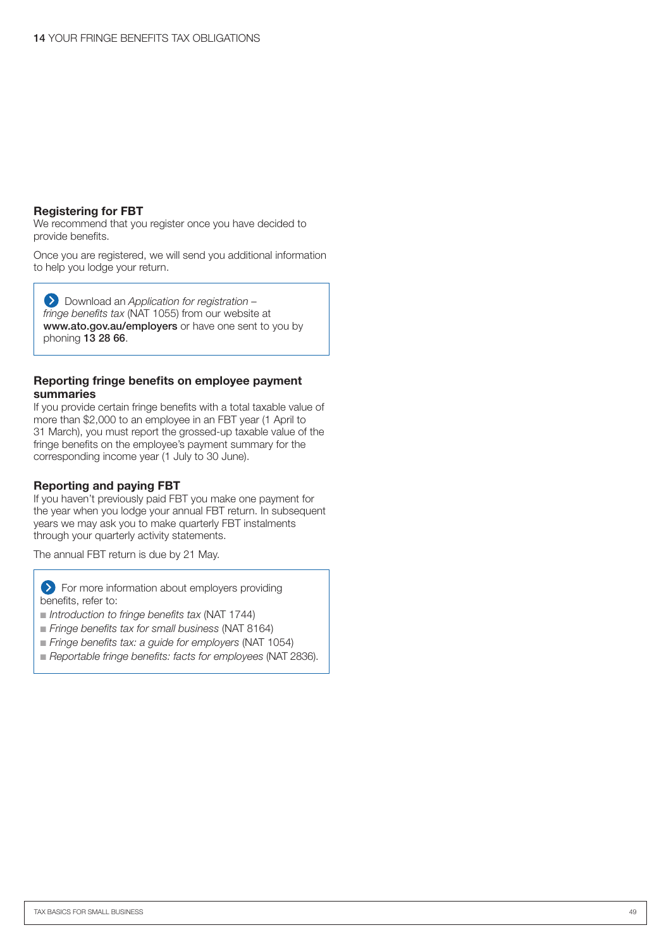#### **Registering for FBT**

We recommend that you register once you have decided to provide benefits.

Once you are registered, we will send you additional information to help you lodge your return.

Download an *Application for registration – fringe benefits tax* (NAT 1055) from our website at www.ato.gov.au/employers or have one sent to you by phoning 13 28 66.

#### **Reporting fringe benefits on employee payment summaries**

If you provide certain fringe benefits with a total taxable value of more than \$2,000 to an employee in an FBT year (1 April to 31 March), you must report the grossed-up taxable value of the fringe benefits on the employee's payment summary for the corresponding income year (1 July to 30 June).

#### **Reporting and paying FBT**

If you haven't previously paid FBT you make one payment for the year when you lodge your annual FBT return. In subsequent years we may ask you to make quarterly FBT instalments through your quarterly activity statements.

The annual FBT return is due by 21 May.

**EX** For more information about employers providing benefits, refer to:

- *Introduction to fringe benefits tax* (NAT 1744)
- Fringe benefits tax for small business (NAT 8164)
- *Fringe benefits tax: a guide for employers* (NAT 1054)
- Reportable fringe benefits: facts for employees (NAT 2836).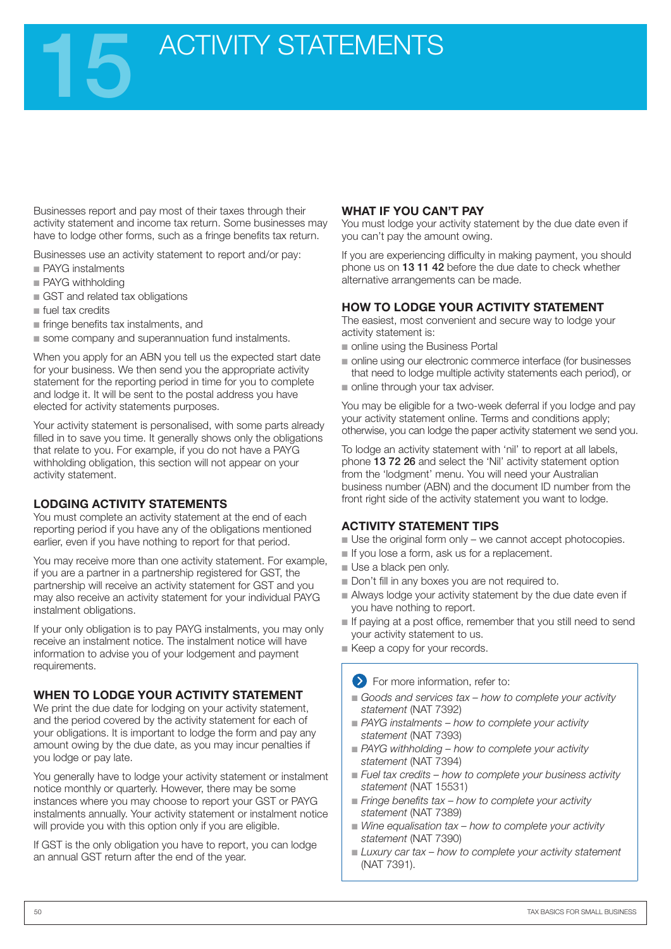## ACTIVITY STATEMENTS

Businesses report and pay most of their taxes through their activity statement and income tax return. Some businesses may have to lodge other forms, such as a fringe benefits tax return.

Businesses use an activity statement to report and/or pay:

- PAYG instalments
- PAYG withholding
- GST and related tax obligations
- fuel tax credits
- fringe benefits tax instalments, and
- some company and superannuation fund instalments.

When you apply for an ABN you tell us the expected start date for your business. We then send you the appropriate activity statement for the reporting period in time for you to complete and lodge it. It will be sent to the postal address you have elected for activity statements purposes.

Your activity statement is personalised, with some parts already filled in to save you time. It generally shows only the obligations that relate to you. For example, if you do not have a PAYG withholding obligation, this section will not appear on your activity statement.

#### **LODGING ACTIVITY STATEMENTS**

You must complete an activity statement at the end of each reporting period if you have any of the obligations mentioned earlier, even if you have nothing to report for that period.

You may receive more than one activity statement. For example, if you are a partner in a partnership registered for GST, the partnership will receive an activity statement for GST and you may also receive an activity statement for your individual PAYG instalment obligations.

If your only obligation is to pay PAYG instalments, you may only receive an instalment notice. The instalment notice will have information to advise you of your lodgement and payment requirements.

#### **WHEN TO LODGE YOUR ACTIVITY STATEMENT**

We print the due date for lodging on your activity statement, and the period covered by the activity statement for each of your obligations. It is important to lodge the form and pay any amount owing by the due date, as you may incur penalties if you lodge or pay late.

You generally have to lodge your activity statement or instalment notice monthly or quarterly. However, there may be some instances where you may choose to report your GST or PAYG instalments annually. Your activity statement or instalment notice will provide you with this option only if you are eligible.

If GST is the only obligation you have to report, you can lodge an annual GST return after the end of the year.

#### **WHAT IF YOU CAN'T PAY**

You must lodge your activity statement by the due date even if you can't pay the amount owing.

If you are experiencing difficulty in making payment, you should phone us on 13 11 42 before the due date to check whether alternative arrangements can be made.

#### **HOW TO LODGE YOUR ACTIVITY STATEMENT**

The easiest, most convenient and secure way to lodge your activity statement is:

- online using the Business Portal
- online using our electronic commerce interface (for businesses that need to lodge multiple activity statements each period), or
- online through your tax adviser.

You may be eligible for a two-week deferral if you lodge and pay your activity statement online. Terms and conditions apply; otherwise, you can lodge the paper activity statement we send you.

To lodge an activity statement with 'nil' to report at all labels, phone 13 72 26 and select the 'Nil' activity statement option from the 'lodgment' menu. You will need your Australian business number (ABN) and the document ID number from the front right side of the activity statement you want to lodge.

#### **ACTIVITY STATEMENT TIPS**

- Use the original form only we cannot accept photocopies.
- If you lose a form, ask us for a replacement.
- Use a black pen only. ■
- Don't fill in any boxes you are not required to.
- Always lodge your activity statement by the due date even if you have nothing to report.
- If paying at a post office, remember that you still need to send your activity statement to us.
- Keep a copy for your records.

**S** For more information, refer to:

- Goods and services tax how to complete your activity *statement* (NAT 7392)
- PAYG instalments how to complete your activity *statement* (NAT 7393)
- PAYG withholding how to complete your activity *statement* (NAT 7394)
- Fuel tax credits how to complete your business activity *statement* (NAT 15531)
- Fringe benefits tax how to complete your activity *statement* (NAT 7389)
- Wine equalisation tax how to complete your activity *statement* (NAT 7390)
- Luxury car tax how to complete your activity statement (NAT 7391).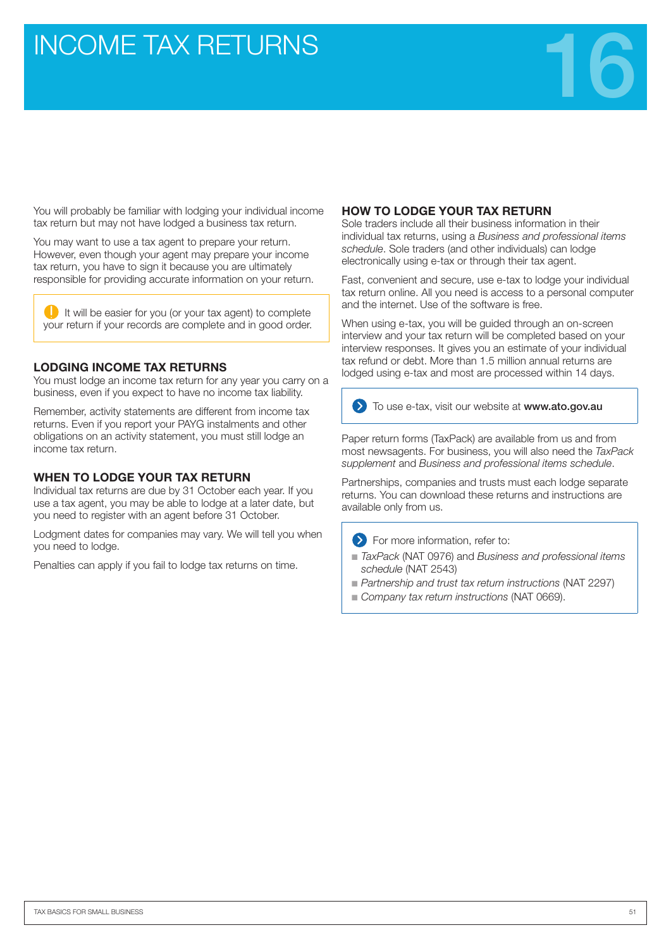## **INCOME TAX RETURNS**



You will probably be familiar with lodging your individual income tax return but may not have lodged a business tax return.

You may want to use a tax agent to prepare your return. However, even though your agent may prepare your income tax return, you have to sign it because you are ultimately responsible for providing accurate information on your return.

 $\Box$  It will be easier for you (or your tax agent) to complete your return if your records are complete and in good order.

#### **LODGING INCOME TAX RETURNS**

You must lodge an income tax return for any year you carry on a business, even if you expect to have no income tax liability.

Remember, activity statements are different from income tax returns. Even if you report your PAYG instalments and other obligations on an activity statement, you must still lodge an income tax return.

#### **WHEN TO LODGE YOUR TAX RETURN**

Individual tax returns are due by 31 October each year. If you use a tax agent, you may be able to lodge at a later date, but you need to register with an agent before 31 October.

Lodgment dates for companies may vary. We will tell you when you need to lodge.

Penalties can apply if you fail to lodge tax returns on time.

#### **HOW TO LODGE YOUR TAX RETURN**

Sole traders include all their business information in their individual tax returns, using a *Business and professional items schedule*. Sole traders (and other individuals) can lodge electronically using e-tax or through their tax agent.

Fast, convenient and secure, use e-tax to lodge your individual tax return online. All you need is access to a personal computer and the internet. Use of the software is free.

When using e-tax, you will be guided through an on-screen interview and your tax return will be completed based on your interview responses. It gives you an estimate of your individual tax refund or debt. More than 1.5 million annual returns are lodged using e-tax and most are processed within 14 days.



**D** To use e-tax, visit our website at www.ato.gov.au

Paper return forms (TaxPack) are available from us and from most newsagents. For business, you will also need the *TaxPack supplement* and *Business and professional items schedule*.

Partnerships, companies and trusts must each lodge separate returns. You can download these returns and instructions are available only from us.

**EXECUTE:** For more information, refer to:

- TaxPack (NAT 0976) and Business and professional items *schedule* (NAT 2543)
- *Partnership and trust tax return instructions* (NAT 2297)
- Company tax return instructions (NAT 0669).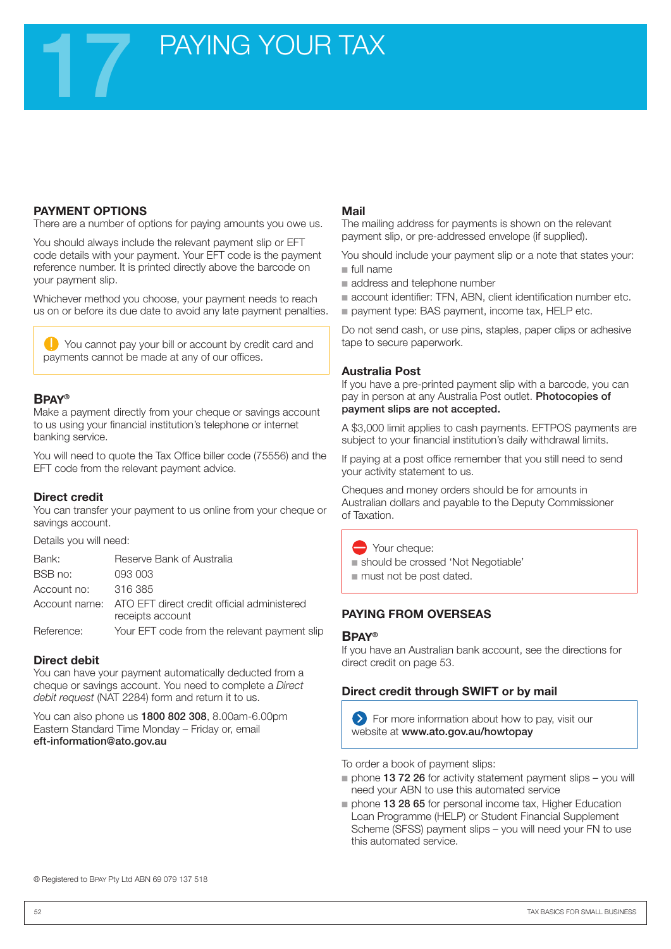## **PAYING YOUR TAX**

#### **PAYMENT OPTIONS**

There are a number of options for paying amounts you owe us.

You should always include the relevant payment slip or EFT code details with your payment. Your EFT code is the payment reference number. It is printed directly above the barcode on your payment slip.

Whichever method you choose, your payment needs to reach us on or before its due date to avoid any late payment penalties.

You cannot pay your bill or account by credit card and payments cannot be made at any of our offices.

#### **Bpay®**

Make a payment directly from your cheque or savings account to us using your financial institution's telephone or internet banking service.

You will need to quote the Tax Office biller code (75556) and the EFT code from the relevant payment advice.

#### **Direct credit**

You can transfer your payment to us online from your cheque or savings account.

Details you will need:

| Bank:       | Reserve Bank of Australia                                                     |
|-------------|-------------------------------------------------------------------------------|
| BSB no:     | 093 003                                                                       |
| Account no: | 316 385                                                                       |
|             | Account name: ATO EFT direct credit official administered<br>receipts account |
| Reference:  | Your EFT code from the relevant payment slip                                  |

#### **Direct debit**

You can have your payment automatically deducted from a cheque or savings account. You need to complete a *Direct debit request* (NAT 2284) form and return it to us.

You can also phone us 1800 802 308, 8.00am-6.00pm Eastern Standard Time Monday – Friday or, email eft-information@ato.gov.au

#### **Mail**

The mailing address for payments is shown on the relevant payment slip, or pre-addressed envelope (if supplied).

You should include your payment slip or a note that states your: ■ full name

- address and telephone number
- account identifier: TFN, ABN, client identification number etc.
- payment type: BAS payment, income tax, HELP etc.

Do not send cash, or use pins, staples, paper clips or adhesive tape to secure paperwork.

#### **Australia Post**

If you have a pre-printed payment slip with a barcode, you can pay in person at any Australia Post outlet. Photocopies of payment slips are not accepted.

A \$3,000 limit applies to cash payments. EFTPOS payments are subject to your financial institution's daily withdrawal limits.

If paying at a post office remember that you still need to send your activity statement to us.

Cheques and money orders should be for amounts in Australian dollars and payable to the Deputy Commissioner of Taxation.

 $\rightarrow$  Your cheque:

- should be crossed 'Not Negotiable'
- must not be post dated.

#### **PAYING FROM OVERSEAS**

#### **Bpay®**

If you have an Australian bank account, see the directions for direct credit on page 53.

#### **Direct credit through SWIFT or by mail**

**Example 2** For more information about how to pay, visit our website at www.ato.gov.au/howtopay

To order a book of payment slips:

- phone 13 72 26 for activity statement payment slips you will need your ABN to use this automated service
- phone 13 28 65 for personal income tax, Higher Education Loan Programme (HELP) or Student Financial Supplement Scheme (SFSS) payment slips – you will need your FN to use this automated service.

® Registered to BPAY Pty Ltd ABN 69 079 137 518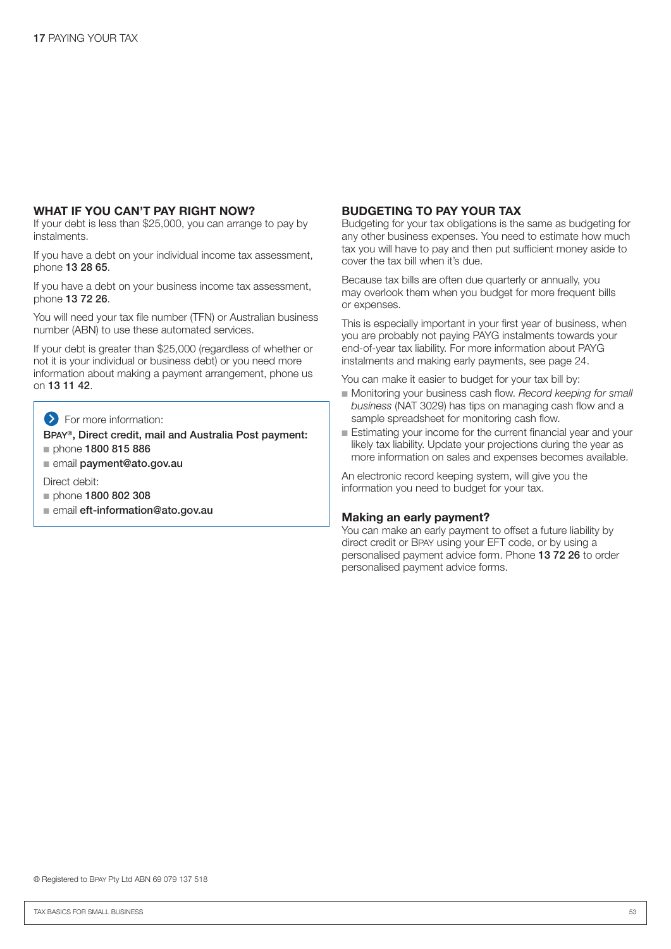#### **WHAT IF YOU CAN'T PAY RIGHT NOW?**

If your debt is less than \$25,000, you can arrange to pay by instalments.

If you have a debt on your individual income tax assessment, phone 13 28 65.

If you have a debt on your business income tax assessment, phone 13 72 26.

You will need your tax file number (TFN) or Australian business number (ABN) to use these automated services.

If your debt is greater than \$25,000 (regardless of whether or not it is your individual or business debt) or you need more information about making a payment arrangement, phone us on 13 11 42.

#### **S** For more information:

Bpay®, Direct credit, mail and Australia Post payment: phone 1800 815 886

■ email payment@ato.gov.au

Direct debit:

- phone 1800 802 308
- email eft-information@ato.gov.au

#### **BUDGETING TO PAY YOUR TAX**

Budgeting for your tax obligations is the same as budgeting for any other business expenses. You need to estimate how much tax you will have to pay and then put sufficient money aside to cover the tax bill when it's due.

Because tax bills are often due quarterly or annually, you may overlook them when you budget for more frequent bills or expenses.

This is especially important in your first year of business, when you are probably not paying PAYG instalments towards your end-of-year tax liability. For more information about PAYG instalments and making early payments, see page 24.

You can make it easier to budget for your tax bill by:

- Monitoring your business cash flow. *Record keeping for small business* (NAT 3029) has tips on managing cash flow and a sample spreadsheet for monitoring cash flow.
- Estimating your income for the current financial year and your likely tax liability. Update your projections during the year as more information on sales and expenses becomes available.

An electronic record keeping system, will give you the information you need to budget for your tax.

#### **Making an early payment?**

You can make an early payment to offset a future liability by direct credit or BPAY using your EFT code, or by using a personalised payment advice form. Phone 13 72 26 to order personalised payment advice forms.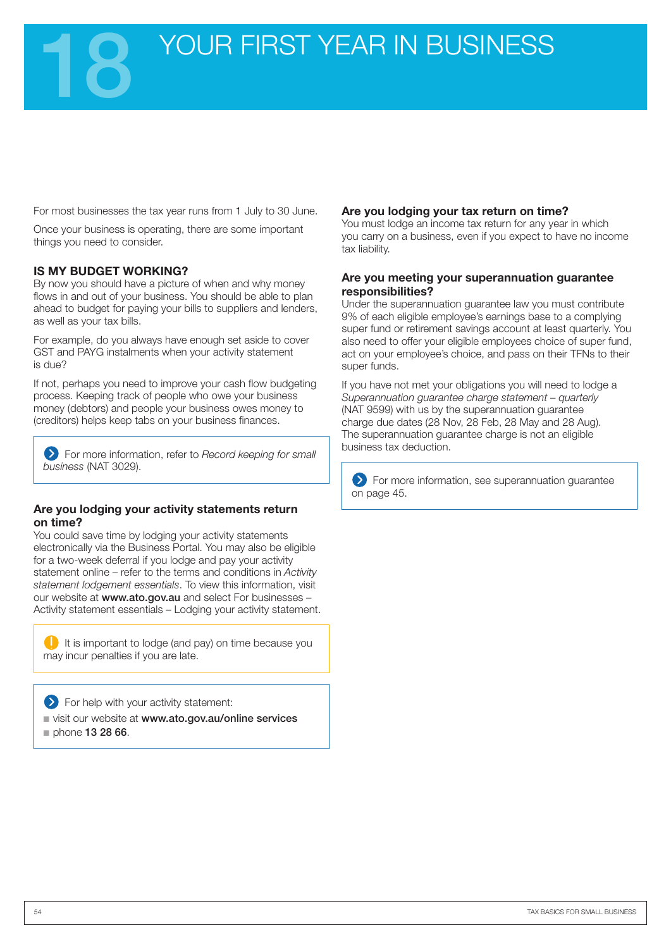For most businesses the tax year runs from 1 July to 30 June.

Once your business is operating, there are some important things you need to consider.

#### **Is my budget working?**

By now you should have a picture of when and why money flows in and out of your business. You should be able to plan ahead to budget for paying your bills to suppliers and lenders, as well as your tax bills.

For example, do you always have enough set aside to cover GST and PAYG instalments when your activity statement is due?

If not, perhaps you need to improve your cash flow budgeting process. Keeping track of people who owe your business money (debtors) and people your business owes money to (creditors) helps keep tabs on your business finances.

For more information, refer to *Record keeping for small business* (NAT 3029).

#### **Are you lodging your activity statements return on time?**

You could save time by lodging your activity statements electronically via the Business Portal. You may also be eligible for a two-week deferral if you lodge and pay your activity statement online – refer to the terms and conditions in *Activity statement lodgement essentials*. To view this information, visit our website at www.ato.gov.au and select For businesses -Activity statement essentials – Lodging your activity statement.

 $\Box$  It is important to lodge (and pay) on time because you may incur penalties if you are late.

**S** For help with your activity statement:

■ visit our website at www.ato.gov.au/online services

phone 13 28 66.

#### **Are you lodging your tax return on time?**

You must lodge an income tax return for any year in which you carry on a business, even if you expect to have no income tax liability.

#### **Are you meeting your superannuation guarantee responsibilities?**

Under the superannuation guarantee law you must contribute 9% of each eligible employee's earnings base to a complying super fund or retirement savings account at least quarterly. You also need to offer your eligible employees choice of super fund, act on your employee's choice, and pass on their TFNs to their super funds.

If you have not met your obligations you will need to lodge a *Superannuation guarantee charge statement – quarterly*  (NAT 9599) with us by the superannuation guarantee charge due dates (28 Nov, 28 Feb, 28 May and 28 Aug). The superannuation guarantee charge is not an eligible business tax deduction.

For more information, see superannuation guarantee on page 45.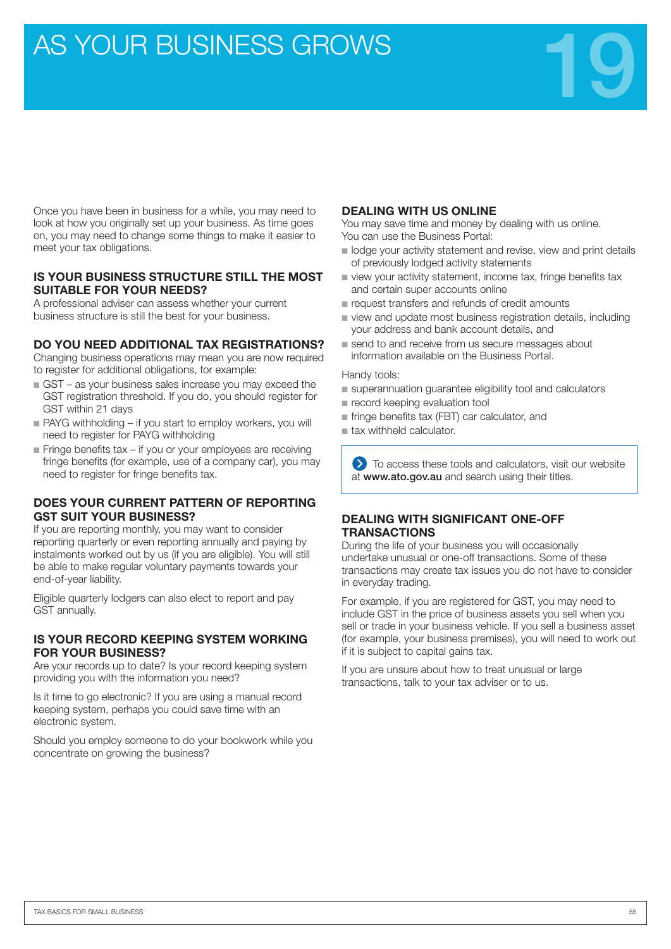## AS YOUR BUSINESS GROWS



Once you have been in business for a while, you may need to look at how you originally set up your business. As time goes on, you may need to change some things to make it easier to meet your tax obligations.

#### **IS YOUR BUSINESS STRUCTURE STILL THE MOST SUITABLE FOR YOUR NEEDS?**

A professional adviser can assess whether your current business structure is still the best for your business.

#### **DO YOU NEED ADDITIONAL TAX REGISTRATIONS?**

Changing business operations may mean you are now required to register for additional obligations, for example:

- GST as your business sales increase you may exceed the GST registration threshold. If you do, you should register for GST within 21 days
- PAYG withholding if you start to employ workers, you will need to register for PAYG withholding
- Fringe benefits tax if you or your employees are receiving fringe benefits (for example, use of a company car), you may need to register for fringe benefits tax.

#### **DOES YOUR CURRENT PATTERN OF REPORTING GST SUIT YOUR BUSINESS?**

If you are reporting monthly, you may want to consider reporting quarterly or even reporting annually and paying by instalments worked out by us (if you are eligible). You will still be able to make regular voluntary payments towards your end-of-year liability.

Eligible quarterly lodgers can also elect to report and pay GST annually.

#### **IS YOUR RECORD KEEPING SYSTEM WORKING FOR YOUR BUSINESS?**

Are your records up to date? Is your record keeping system providing you with the information you need?

Is it time to go electronic? If you are using a manual record keeping system, perhaps you could save time with an electronic system.

Should you employ someone to do your bookwork while you concentrate on growing the business?

#### **DEALING WITH US ONLINE**

You may save time and money by dealing with us online. You can use the Business Portal:

- lodge your activity statement and revise, view and print details of previously lodged activity statements
- view your activity statement, income tax, fringe benefits tax and certain super accounts online
- request transfers and refunds of credit amounts
- view and update most business registration details, including your address and bank account details, and
- send to and receive from us secure messages about information available on the Business Portal.

Handy tools:

- superannuation guarantee eligibility tool and calculators
- record keeping evaluation tool
- fringe benefits tax (FBT) car calculator, and
- tax withheld calculator.

 $\sum$  To access these tools and calculators, visit our website at www.ato.gov.au and search using their titles.

#### **DEALING WITH SIGNIFICANT ONE-OFF TRANSACTIONS**

During the life of your business you will occasionally undertake unusual or one-off transactions. Some of these transactions may create tax issues you do not have to consider in everyday trading.

For example, if you are registered for GST, you may need to include GST in the price of business assets you sell when you sell or trade in your business vehicle. If you sell a business asset (for example, your business premises), you will need to work out if it is subject to capital gains tax.

If you are unsure about how to treat unusual or large transactions, talk to your tax adviser or to us.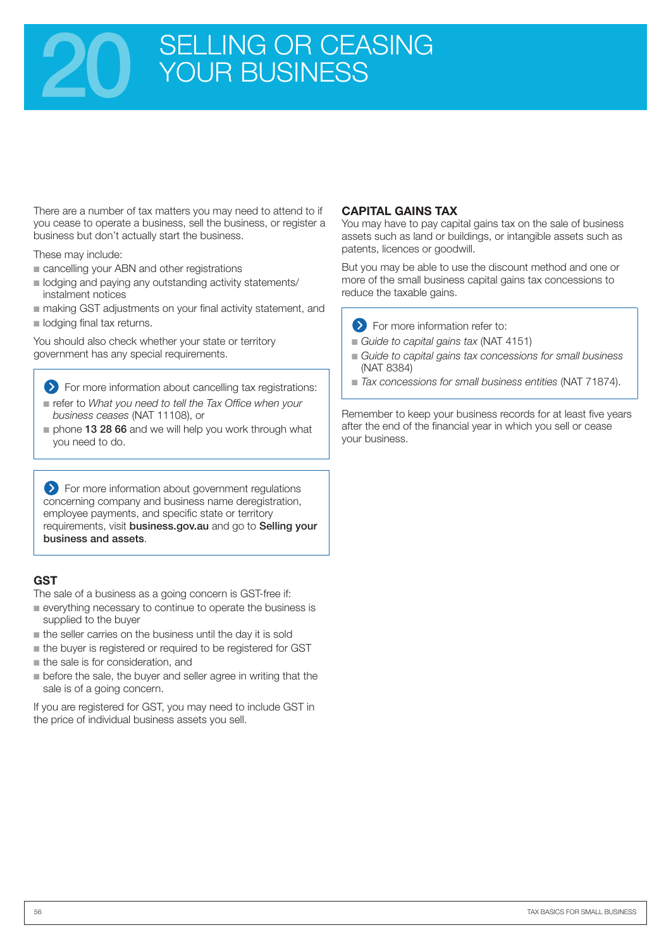## SELLING OR CEASING YOUR BUSINESS

There are a number of tax matters you may need to attend to if you cease to operate a business, sell the business, or register a business but don't actually start the business.

These may include:

- cancelling your ABN and other registrations
- lodging and paying any outstanding activity statements/ instalment notices
- making GST adjustments on your final activity statement, and ■ lodging final tax returns.

You should also check whether your state or territory government has any special requirements.

For more information about cancelling tax registrations:

- refer to What you need to tell the Tax Office when your *business ceases* (NAT 11108), or
- phone 13 28 66 and we will help you work through what you need to do.

**EX** For more information about government regulations concerning company and business name deregistration, employee payments, and specific state or territory requirements, visit business.gov.au and go to Selling your business and assets.

#### **GST**

The sale of a business as a going concern is GST-free if:

- everything necessary to continue to operate the business is supplied to the buyer
- the seller carries on the business until the day it is sold
- the buyer is registered or required to be registered for GST
- the sale is for consideration, and
- before the sale, the buyer and seller agree in writing that the sale is of a going concern.

If you are registered for GST, you may need to include GST in the price of individual business assets you sell.

#### **CAPITAL GAINS TAX**

You may have to pay capital gains tax on the sale of business assets such as land or buildings, or intangible assets such as patents, licences or goodwill.

But you may be able to use the discount method and one or more of the small business capital gains tax concessions to reduce the taxable gains.



- **EXECUTE:** For more information refer to:
- *Guide to capital gains tax (NAT 4151)*
- Guide to capital gains tax concessions for small business (NAT 8384)
- *Tax concessions for small business entities* (NAT 71874).

Remember to keep your business records for at least five years after the end of the financial year in which you sell or cease your business.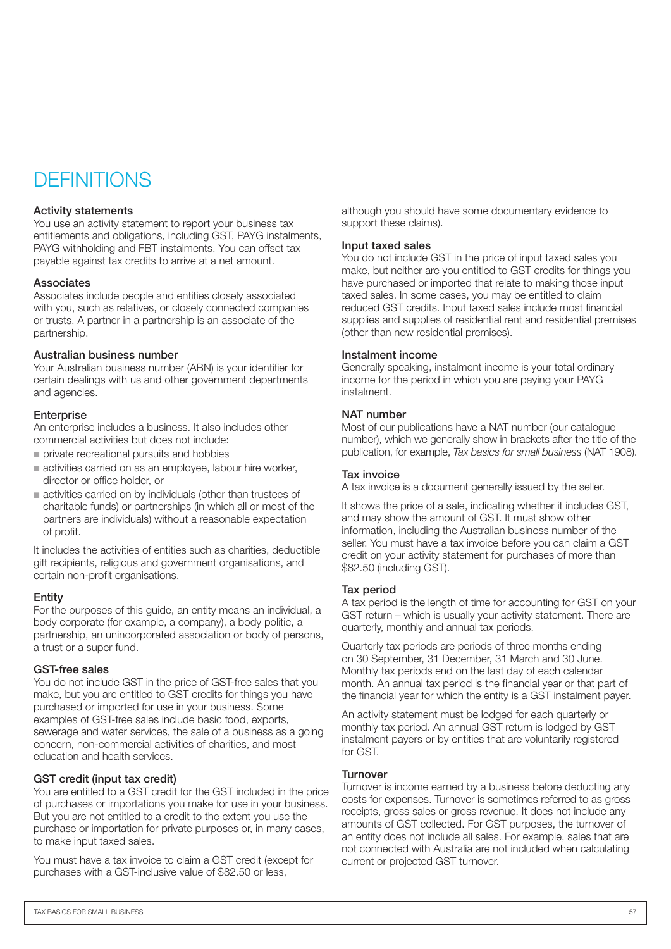### **DEFINITIONS**

#### Activity statements

You use an activity statement to report your business tax entitlements and obligations, including GST, PAYG instalments, PAYG withholding and FBT instalments. You can offset tax payable against tax credits to arrive at a net amount.

#### Associates

Associates include people and entities closely associated with you, such as relatives, or closely connected companies or trusts. A partner in a partnership is an associate of the partnership.

#### Australian business number

Your Australian business number (ABN) is your identifier for certain dealings with us and other government departments and agencies.

#### **Enterprise**

An enterprise includes a business. It also includes other commercial activities but does not include:

- private recreational pursuits and hobbies
- activities carried on as an employee, labour hire worker, director or office holder, or
- activities carried on by individuals (other than trustees of charitable funds) or partnerships (in which all or most of the partners are individuals) without a reasonable expectation of profit.

It includes the activities of entities such as charities, deductible gift recipients, religious and government organisations, and certain non-profit organisations.

#### **Entity**

For the purposes of this guide, an entity means an individual, a body corporate (for example, a company), a body politic, a partnership, an unincorporated association or body of persons, a trust or a super fund.

#### GST-free sales

You do not include GST in the price of GST-free sales that you make, but you are entitled to GST credits for things you have purchased or imported for use in your business. Some examples of GST-free sales include basic food, exports, sewerage and water services, the sale of a business as a going concern, non-commercial activities of charities, and most education and health services.

#### GST credit (input tax credit)

You are entitled to a GST credit for the GST included in the price of purchases or importations you make for use in your business. But you are not entitled to a credit to the extent you use the purchase or importation for private purposes or, in many cases, to make input taxed sales.

You must have a tax invoice to claim a GST credit (except for purchases with a GST-inclusive value of \$82.50 or less,

although you should have some documentary evidence to support these claims).

#### Input taxed sales

You do not include GST in the price of input taxed sales you make, but neither are you entitled to GST credits for things you have purchased or imported that relate to making those input taxed sales. In some cases, you may be entitled to claim reduced GST credits. Input taxed sales include most financial supplies and supplies of residential rent and residential premises (other than new residential premises).

#### Instalment income

Generally speaking, instalment income is your total ordinary income for the period in which you are paying your PAYG instalment.

#### NAT number

Most of our publications have a NAT number (our catalogue number), which we generally show in brackets after the title of the publication, for example, *Tax basics for small business* (NAT 1908).

#### Tax invoice

A tax invoice is a document generally issued by the seller.

It shows the price of a sale, indicating whether it includes GST, and may show the amount of GST. It must show other information, including the Australian business number of the seller. You must have a tax invoice before you can claim a GST credit on your activity statement for purchases of more than \$82.50 (including GST).

#### Tax period

A tax period is the length of time for accounting for GST on your GST return – which is usually your activity statement. There are quarterly, monthly and annual tax periods.

Quarterly tax periods are periods of three months ending on 30 September, 31 December, 31 March and 30 June. Monthly tax periods end on the last day of each calendar month. An annual tax period is the financial year or that part of the financial year for which the entity is a GST instalment payer.

An activity statement must be lodged for each quarterly or monthly tax period. An annual GST return is lodged by GST instalment payers or by entities that are voluntarily registered for GST.

#### **Turnover**

Turnover is income earned by a business before deducting any costs for expenses. Turnover is sometimes referred to as gross receipts, gross sales or gross revenue. It does not include any amounts of GST collected. For GST purposes, the turnover of an entity does not include all sales. For example, sales that are not connected with Australia are not included when calculating current or projected GST turnover.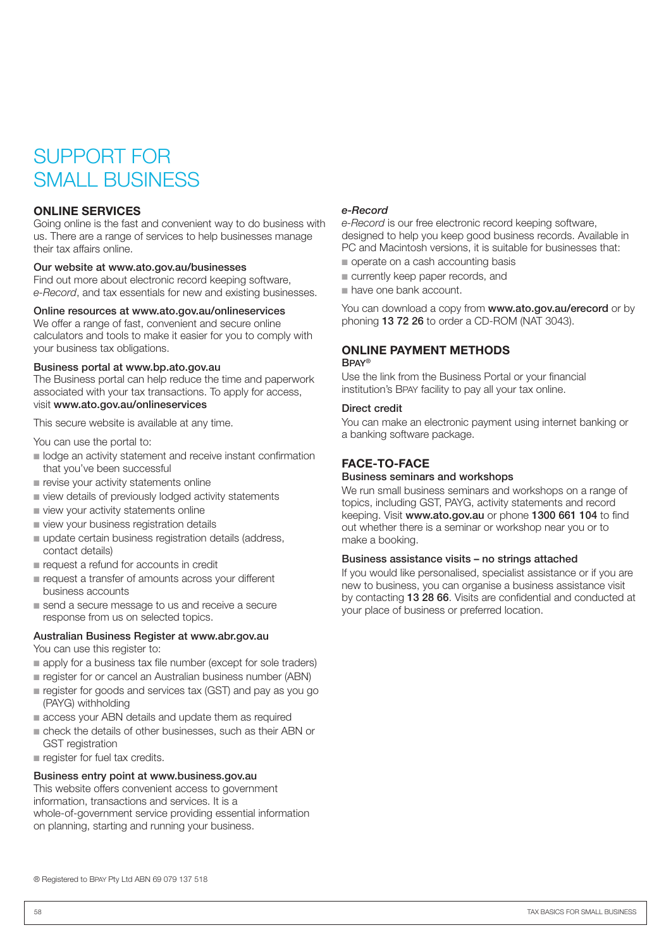## SUPPORT FOR SMALL BUSINESS

#### **ONLINE SERVICES**

Going online is the fast and convenient way to do business with us. There are a range of services to help businesses manage their tax affairs online.

#### Our website at www.ato.gov.au/businesses

Find out more about electronic record keeping software, *e-Record*, and tax essentials for new and existing businesses.

#### Online resources at www.ato.gov.au/onlineservices

We offer a range of fast, convenient and secure online calculators and tools to make it easier for you to comply with your business tax obligations.

#### Business portal at www.bp.ato.gov.au

The Business portal can help reduce the time and paperwork associated with your tax transactions. To apply for access, visit www.ato.gov.au/onlineservices

This secure website is available at any time.

You can use the portal to:

- lodge an activity statement and receive instant confirmation that you've been successful
- revise your activity statements online
- view details of previously lodged activity statements
- view your activity statements online
- view your business registration details
- update certain business registration details (address, contact details)
- request a refund for accounts in credit
- request a transfer of amounts across your different business accounts
- send a secure message to us and receive a secure response from us on selected topics.

#### Australian Business Register at www.abr.gov.au

You can use this register to:

- apply for a business tax file number (except for sole traders)
- register for or cancel an Australian business number (ABN)
- register for goods and services tax (GST) and pay as you go (PAYG) withholding
- access your ABN details and update them as required
- check the details of other businesses, such as their ABN or GST registration
- register for fuel tax credits.

#### Business entry point at www.business.gov.au

This website offers convenient access to government information, transactions and services. It is a whole-of-government service providing essential information on planning, starting and running your business.

#### *e-Record*

*e-Record* is our free electronic record keeping software, designed to help you keep good business records. Available in PC and Macintosh versions, it is suitable for businesses that:

- operate on a cash accounting basis
- currently keep paper records, and
- have one bank account. ■

You can download a copy from www.ato.gov.au/erecord or by phoning 13 72 26 to order a CD-ROM (NAT 3043).

#### **ONLINE PAYMENT METHODS** Bpay®

Use the link from the Business Portal or your financial institution's Bpay facility to pay all your tax online.

#### Direct credit

You can make an electronic payment using internet banking or a banking software package.

#### **FACE-TO-FACE**

#### Business seminars and workshops

We run small business seminars and workshops on a range of topics, including GST, PAYG, activity statements and record keeping. Visit www.ato.gov.au or phone 1300 661 104 to find out whether there is a seminar or workshop near you or to make a booking.

#### Business assistance visits – no strings attached

If you would like personalised, specialist assistance or if you are new to business, you can organise a business assistance visit by contacting 13 28 66. Visits are confidential and conducted at your place of business or preferred location.

® Registered to BPAY Pty Ltd ABN 69 079 137 518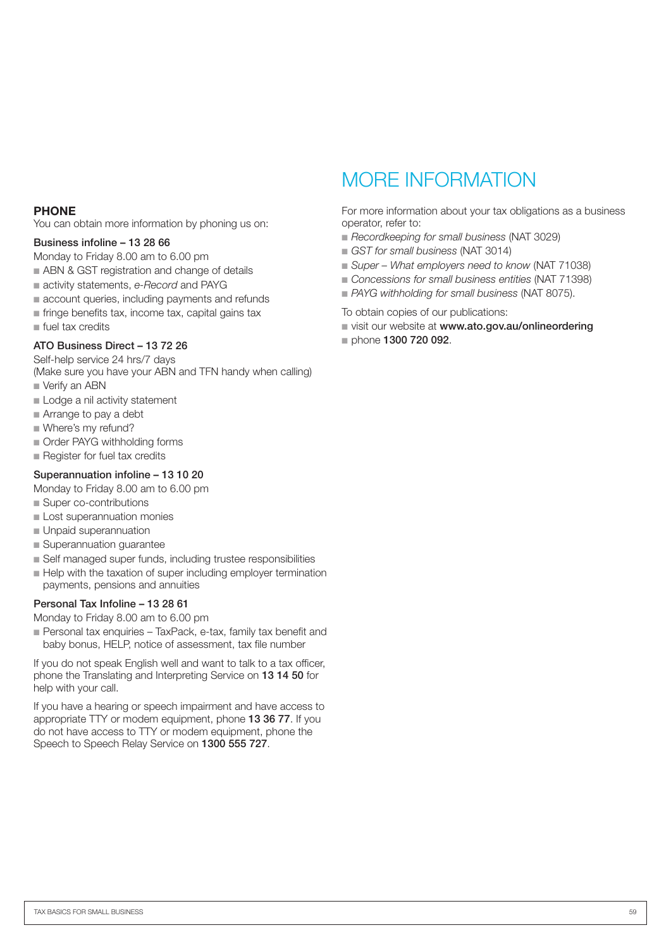#### **PHONE**

You can obtain more information by phoning us on:

#### Business infoline – 13 28 66

Monday to Friday 8.00 am to 6.00 pm

- ABN & GST registration and change of details
- activity statements, e-Record and PAYG
- account queries, including payments and refunds
- fringe benefits tax, income tax, capital gains tax
- fuel tax credits

#### ATO Business Direct – 13 72 26

Self-help service 24 hrs/7 days (Make sure you have your ABN and TFN handy when calling)

- Verify an ABN
- Lodge a nil activity statement
- Arrange to pay a debt
- Where's my refund?
- Order PAYG withholding forms
- Register for fuel tax credits

#### Superannuation infoline – 13 10 20

Monday to Friday 8.00 am to 6.00 pm

- Super co-contributions
- Lost superannuation monies
- Unpaid superannuation
- Superannuation guarantee
- Self managed super funds, including trustee responsibilities
- Help with the taxation of super including employer termination payments, pensions and annuities

#### Personal Tax Infoline – 13 28 61

Monday to Friday 8.00 am to 6.00 pm

■ Personal tax enquiries - TaxPack, e-tax, family tax benefit and baby bonus, HELP, notice of assessment, tax file number

If you do not speak English well and want to talk to a tax officer, phone the Translating and Interpreting Service on 13 14 50 for help with your call.

If you have a hearing or speech impairment and have access to appropriate TTY or modem equipment, phone 13 36 77. If you do not have access to TTY or modem equipment, phone the Speech to Speech Relay Service on 1300 555 727.

### MORE INFORMATION

For more information about your tax obligations as a business operator, refer to:

- Recordkeeping for small business (NAT 3029)
- *GST for small business* (NAT 3014)
- Super What employers need to know (NAT 71038)
- Concessions for small business entities (NAT 71398)
- PAYG withholding for small business (NAT 8075).

To obtain copies of our publications:

- visit our website at www.ato.gov.au/onlineordering
- phone 1300 720 092.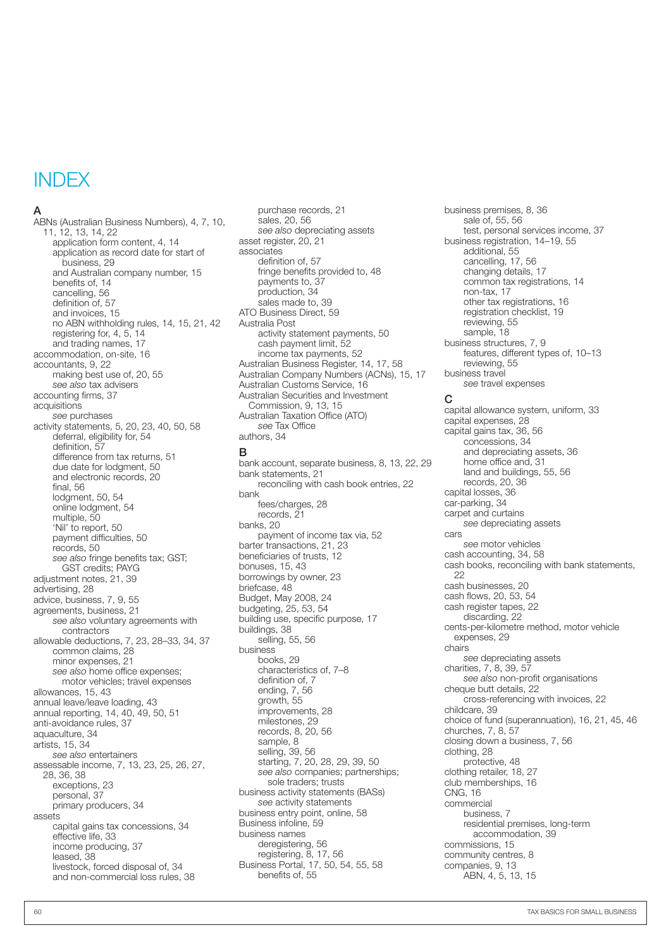#### **INDEX**

#### A

ABNs (Australian Business Numbers), 4, 7, 10, 11, 12, 13, 14, 22 application form content, 4, 14 application as record date for start of business, 29 and Australian company number, 15 benefits of, 14 cancelling, 56 definition of, 57 and invoices, 15 no ABN withholding rules, 14, 15, 21, 42 registering for, 4, 5, 14 and trading names, 17 accommodation, on-site, 16 accountants, 9, 22 making best use of, 20, 55 *see also* tax advisers accounting firms, 37 acquisitions *see* purchases activity statements, 5, 20, 23, 40, 50, 58 deferral, eligibility for, 54 definition, 57 difference from tax returns, 51 due date for lodgment, 50 and electronic records, 20 final, 56 lodgment, 50, 54 online lodgment, 54 multiple, 50 'Nil' to report, 50 payment difficulties, 50 records, 50 *see also* fringe benefits tax; GST; GST credits; PAYG adjustment notes, 21, 39 advertising, 28 advice, business, 7, 9, 55 agreements, business, 21 *see also* voluntary agreements with contractors allowable deductions, 7, 23, 28–33, 34, 37 common claims, 28 minor expenses, 21 *see also* home office expenses; motor vehicles; travel expenses allowances, 15, 43 annual leave/leave loading, 43 annual reporting, 14, 40, 49, 50, 51 anti-avoidance rules, 37 aquaculture, 34 artists, 15, 34 *see also* entertainers assessable income, 7, 13, 23, 25, 26, 27, 28, 36, 38 exceptions, 23 personal. 37 primary producers, 34 assets capital gains tax concessions, 34 effective life, 33 income producing, 37 leased, 38 livestock, forced disposal of, 34 and non-commercial loss rules, 38

purchase records, 21 sales, 20, 56 *see also* depreciating assets asset register, 20, 21 associates definition of, 57 fringe benefits provided to, 48 payments to, 37 production, 34 sales made to, 39 ATO Business Direct, 59 Australia Post activity statement payments, 50 cash payment limit, 52 income tax payments, 52 Australian Business Register, 14, 17, 58 Australian Company Numbers (ACNs), 15, 17 Australian Customs Service, 16 Australian Securities and Investment Commission, 9, 13, 15 Australian Taxation Office (ATO) *see* Tax Office authors, 34

#### B

bank account, separate business, 8, 13, 22, 29 bank statements, 21 reconciling with cash book entries, 22 bank fees/charges, 28 records, 21 banks, 20 payment of income tax via, 52 barter transactions, 21, 23 beneficiaries of trusts, 12 bonuses, 15, 43 borrowings by owner, 23 briefcase, 48 Budget, May 2008, 24 budgeting, 25, 53, 54 building use, specific purpose, 17 buildings, 38 selling, 55, 56 business books, 29 characteristics of, 7–8 definition of, 7 ending, 7, 56 growth, 55 improvements, 28 milestones, 29 records, 8, 20, 56 sample, 8 selling, 39, 56 starting, 7, 20, 28, 29, 39, 50 *see also* companies; partnerships; sole traders; trusts business activity statements (BASs) *see* activity statements business entry point, online, 58 Business infoline, 59 business names deregistering, 56 registering, 8, 17, 56 Business Portal, 17, 50, 54, 55, 58 benefits of, 55

business premises, 8, 36 sale of, 55, 56 test, personal services income, 37 business registration, 14–19, 55 additional, 55 cancelling, 17, 56 changing details, 17 common tax registrations, 14 non-tax, 17 other tax registrations, 16 registration checklist, 19 reviewing, 55 sample, 18 business structures, 7, 9 features, different types of, 10–13 reviewing, 55 business travel *see* travel expenses

#### C

capital allowance system, uniform, 33 capital expenses, 28 capital gains tax, 36, 56 concessions, 34 and depreciating assets, 36 home office and, 31 land and buildings, 55, 56 records, 20, 36 capital losses, 36 car-parking, 34 carpet and curtains *see* depreciating assets cars *see* motor vehicles cash accounting, 34, 58 cash books, reconciling with bank statements, 22 cash businesses, 20 cash flows, 20, 53, 54 cash register tapes, 22 discarding, 22 cents-per-kilometre method, motor vehicle expenses, 29 chairs *see* depreciating assets charities, 7, 8, 39, 57 *see also* non-profit organisations cheque butt details, 22 cross-referencing with invoices, 22 childcare, 39 choice of fund (superannuation), 16, 21, 45, 46 churches, 7, 8, 57 closing down a business, 7, 56 clothing, 28 protective, 48 clothing retailer, 18, 27 club memberships, 16 CNG, 16 commercial business, 7 residential premises, long-term accommodation, 39 commissions, 15 community centres, 8 companies, 9, 13 ABN, 4, 5, 13, 15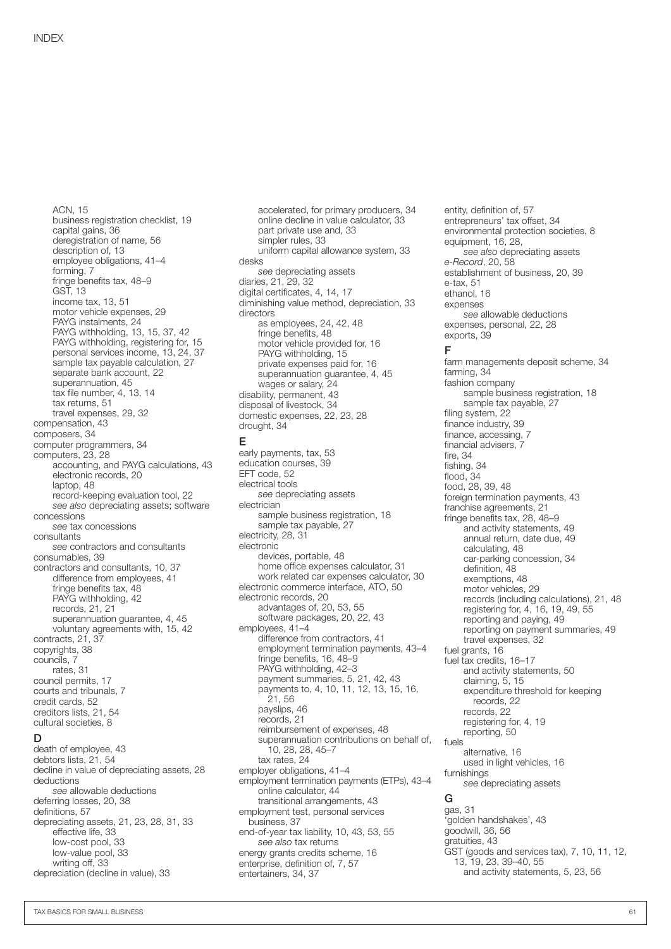ACN, 15 business registration checklist, 19 capital gains, 36 deregistration of name, 56 description of, 13 employee obligations, 41–4 forming, 7 fringe benefits tax, 48–9 GST, 13 income tax, 13, 51 motor vehicle expenses, 29 PAYG instalments, 24 PAYG withholding, 13, 15, 37, 42 PAYG withholding, registering for, 15 personal services income, 13, 24, 37 sample tax payable calculation, 27 separate bank account, 22 superannuation, 45 tax file number, 4, 13, 14 tax returns, 51 travel expenses, 29, 32 compensation, 43 composers, 34 computer programmers, 34 computers, 23, 28 accounting, and PAYG calculations, 43 electronic records, 20 laptop, 48 record-keeping evaluation tool, 22 *see also* depreciating assets; software concessions *see* tax concessions consultants *see* contractors and consultants consumables, 39 contractors and consultants, 10, 37 difference from employees, 41 fringe benefits tax, 48 PAYG withholding, 42 records, 21, 21 superannuation guarantee, 4, 45 voluntary agreements with, 15, 42 contracts, 21, 37 copyrights, 38 councils, 7 rates, 31 council permits, 17 courts and tribunals, 7 credit cards, 52 creditors lists, 21, 54 cultural societies, 8

#### D

death of employee, 43 debtors lists, 21, 54 decline in value of depreciating assets, 28 deductions *see* allowable deductions deferring losses, 20, 38 definitions, 57 depreciating assets, 21, 23, 28, 31, 33 effective life, 33 low-cost pool, 33 low-value pool, 33 writing off, 33 depreciation (decline in value), 33

accelerated, for primary producers, 34 online decline in value calculator, 33 part private use and, 33 simpler rules, 33 uniform capital allowance system, 33 desks *see* depreciating assets diaries, 21, 29, 32 digital certificates, 4, 14, 17 diminishing value method, depreciation, 33 directors as employees, 24, 42, 48 fringe benefits, 48 motor vehicle provided for, 16 PAYG withholding, 15 private expenses paid for, 16 superannuation guarantee, 4, 45 wages or salary, 24 disability, permanent, 43 disposal of livestock, 34 domestic expenses, 22, 23, 28 drought, 34 early payments, tax, 53

#### E

education courses, 39 EFT code, 52 electrical tools *see* depreciating assets electrician sample business registration, 18 sample tax payable, 27 electricity, 28, 31 electronic devices, portable, 48 home office expenses calculator, 31 work related car expenses calculator, 30 electronic commerce interface, ATO, 50 electronic records, 20 advantages of, 20, 53, 55 software packages, 20, 22, 43 employees, 41–4 difference from contractors, 41 employment termination payments, 43–4 fringe benefits, 16, 48–9 PAYG withholding, 42–3 payment summaries, 5, 21, 42, 43 payments to, 4, 10, 11, 12, 13, 15, 16, 21, 56 payslips, 46 records, 21 reimbursement of expenses, 48 superannuation contributions on behalf of, 10, 28, 28, 45–7 tax rates, 24 employer obligations, 41–4 employment termination payments (ETPs), 43–4 online calculator, 44 transitional arrangements, 43 employment test, personal services business, 37 end-of-year tax liability, 10, 43, 53, 55 *see also* tax returns energy grants credits scheme, 16 enterprise, definition of, 7, 57 entertainers, 34, 37

entity, definition of, 57 entrepreneurs' tax offset, 34 environmental protection societies, 8 equipment, 16, 28, *see also* depreciating assets *e-Record*, 20, 58 establishment of business, 20, 39 e-tax, 51 ethanol, 16 expenses *see* allowable deductions expenses, personal, 22, 28 exports, 39 F farm managements deposit scheme, 34 farming, 34 fashion company sample business registration, 18 sample tax payable, 27 filing system, 22 finance industry, 39 finance, accessing, 7 financial advisers, 7 fire, 34 fishing, 34 flood, 34 food, 28, 39, 48 foreign termination payments, 43 franchise agreements, 21 fringe benefits tax, 28, 48–9 and activity statements, 49 annual return, date due, 49 calculating, 48 car-parking concession, 34 definition, 48 exemptions, 48 motor vehicles, 29 records (including calculations), 21, 48 registering for, 4, 16, 19, 49, 55 reporting and paying, 49 reporting on payment summaries, 49 travel expenses, 32 fuel grants, 16 fuel tax credits, 16–17 and activity statements, 50 claiming, 5, 15 expenditure threshold for keeping records, 22 records, 22 registering for, 4, 19 reporting, 50 fuels alternative, 16 used in light vehicles, 16 furnishings *see* depreciating assets G gas, 31 'golden handshakes', 43 goodwill, 36, 56 gratuities, 43 GST (goods and services tax), 7, 10, 11, 12, 13, 19, 23, 39–40, 55

and activity statements, 5, 23, 56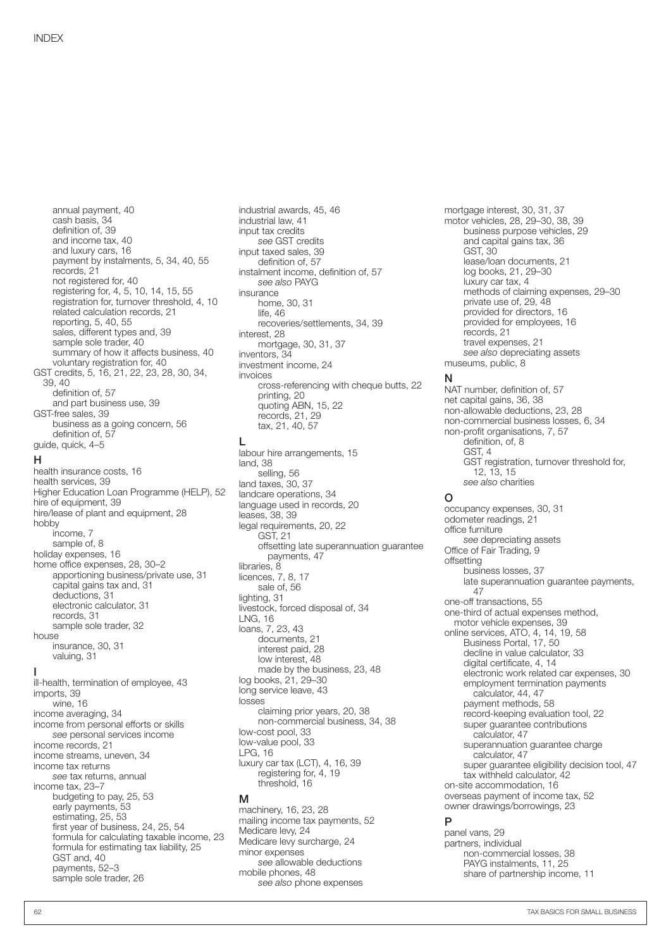annual payment, 40 cash basis, 34 definition of, 39 and income tax, 40 and luxury cars, 16 payment by instalments, 5, 34, 40, 55 records, 21 not registered for, 40 registering for, 4, 5, 10, 14, 15, 55 registration for, turnover threshold, 4, 10 related calculation records, 21 reporting, 5, 40, 55 sales, different types and, 39 sample sole trader, 40 summary of how it affects business, 40 voluntary registration for, 40 GST credits, 5, 16, 21, 22, 23, 28, 30, 34, 39, 40 definition of, 57 and part business use, 39 GST-free sales, 39 business as a going concern, 56 definition of, 57 guide, quick, 4–5

#### H

health insurance costs, 16 health services, 39 Higher Education Loan Programme (HELP), 52 hire of equipment, 39 hire/lease of plant and equipment, 28 hobby income, 7 sample of, 8 holiday expenses, 16 home office expenses, 28, 30–2 apportioning business/private use, 31 capital gains tax and, 31 deductions, 31 electronic calculator, 31 records, 31 sample sole trader, 32 house insurance, 30, 31 valuing, 31 I

ill-health, termination of employee, 43 imports, 39 wine, 16 income averaging, 34 income from personal efforts or skills *see* personal services income income records, 21 income streams, uneven, 34 income tax returns *see* tax returns, annual income tax, 23–7 budgeting to pay, 25, 53 early payments, 53 estimating, 25, 53 first year of business, 24, 25, 54 formula for calculating taxable income, 23 formula for estimating tax liability, 25 GST and, 40 payments, 52–3 sample sole trader, 26

industrial awards, 45, 46 industrial law, 41 input tax credits *see* GST credits input taxed sales, 39 definition of, 57 instalment income, definition of, 57 *see also* PAYG insurance home, 30, 31 life, 46 recoveries/settlements, 34, 39 interest, 28 mortgage, 30, 31, 37 inventors, 34 investment income, 24 invoices cross-referencing with cheque butts, 22 printing, 20 quoting ABN, 15, 22 records, 21, 29 tax, 21, 40, 57  $\mathbf{L}$ labour hire arrangements, 15 land, 38 selling, 56 land taxes, 30, 37 landcare operations, 34 language used in records, 20 leases, 38, 39 legal requirements, 20, 22 GST, 21 offsetting late superannuation guarantee payments, 47 libraries, 8 licences, 7, 8, 17 sale of, 56 lighting, 31 livestock, forced disposal of, 34 LNG, 16 loans, 7, 23, 43 documents, 21 interest paid, 28 low interest, 48 made by the business, 23, 48 log books, 21, 29–30 long service leave, 43 losses claiming prior years, 20, 38 non-commercial business, 34, 38 low-cost pool, 33 low-value pool, 33 LPG, 16 luxury car tax (LCT), 4, 16, 39 registering for, 4, 19 threshold, 16 M

machinery, 16, 23, 28 mailing income tax payments, 52 Medicare levy, 24 Medicare levy surcharge, 24 minor expenses *see* allowable deductions mobile phones, 48 *see also* phone expenses

mortgage interest, 30, 31, 37 motor vehicles, 28, 29–30, 38, 39 business purpose vehicles, 29 and capital gains tax, 36 GST, 30 lease/loan documents, 21 log books, 21, 29–30 luxury car tax, 4 methods of claiming expenses, 29–30 private use of, 29, 48 provided for directors, 16 provided for employees, 16 records, 21 travel expenses, 21 *see also* depreciating assets museums, public, 8

#### N

NAT number, definition of, 57 net capital gains, 36, 38 non-allowable deductions, 23, 28 non-commercial business losses, 6, 34 non-profit organisations, 7, 57 definition, of, 8 GST, 4 GST registration, turnover threshold for, 12, 13, 15 *see also* charities

#### O

occupancy expenses, 30, 31 odometer readings, 21 office furniture *see* depreciating assets Office of Fair Trading, 9 offsetting business losses, 37 late superannuation guarantee payments, 47 one-off transactions, 55 one-third of actual expenses method, motor vehicle expenses, 39 online services, ATO, 4, 14, 19, 58 Business Portal, 17, 50 decline in value calculator, 33 digital certificate, 4, 14 electronic work related car expenses, 30 employment termination payments calculator, 44, 47 payment methods, 58 record-keeping evaluation tool, 22 super guarantee contributions calculator, 47 superannuation guarantee charge calculator, 47 super guarantee eligibility decision tool, 47 tax withheld calculator, 42 on-site accommodation, 16 overseas payment of income tax, 52 owner drawings/borrowings, 23 P

panel vans, 29 partners, individual non-commercial losses, 38 PAYG instalments, 11, 25 share of partnership income, 11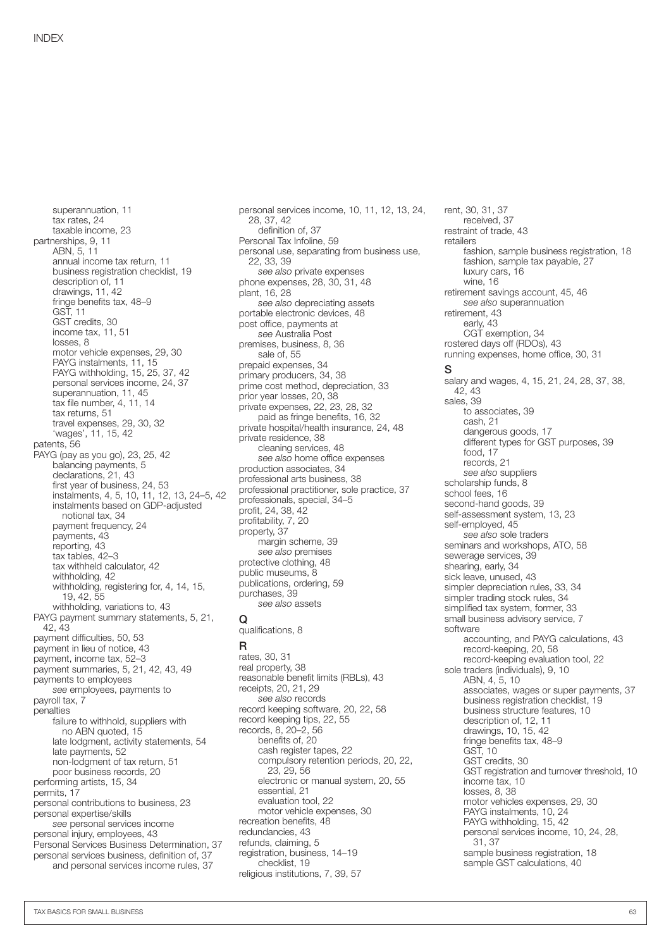superannuation, 11 tax rates, 24 taxable income, 23 partnerships, 9, 11 ABN, 5, 11 annual income tax return, 11 business registration checklist, 19 description of, 11 drawings, 11, 42 fringe benefits tax, 48–9 GST, 11 GST credits, 30 income tax, 11, 51 losses, 8 motor vehicle expenses, 29, 30 PAYG instalments, 11, 15 PAYG withholding, 15, 25, 37, 42 personal services income, 24, 37 superannuation, 11, 45 tax file number, 4, 11, 14 tax returns, 51 travel expenses, 29, 30, 32 'wages', 11, 15, 42 patents, 56 PAYG (pay as you go), 23, 25, 42 balancing payments, 5 declarations, 21, 43 first year of business, 24, 53 instalments, 4, 5, 10, 11, 12, 13, 24–5, 42 instalments based on GDP‑adjusted notional tax, 34 payment frequency, 24 payments, 43 reporting, 43 tax tables, 42–3 tax withheld calculator, 42 withholding, 42 withholding, registering for, 4, 14, 15, 19, 42, 55 withholding, variations to, 43 PAYG payment summary statements, 5, 21, 42, 43 payment difficulties, 50, 53 payment in lieu of notice, 43 payment, income tax, 52–3 payment summaries, 5, 21, 42, 43, 49 payments to employees *see* employees, payments to payroll tax, 7 penalties failure to withhold, suppliers with no ABN quoted, 15 late lodgment, activity statements, 54 late payments, 52 non-lodgment of tax return, 51 poor business records, 20 performing artists, 15, 34 permits, 17 personal contributions to business, 23 personal expertise/skills *see* personal services income personal injury, employees, 43 Personal Services Business Determination, 37 personal services business, definition of, 37 and personal services income rules, 37

personal services income, 10, 11, 12, 13, 24, 28, 37, 42 definition of, 37 Personal Tax Infoline, 59 personal use, separating from business use, 22, 33, 39 *see also* private expenses phone expenses, 28, 30, 31, 48 plant, 16, 28 *see also* depreciating assets portable electronic devices, 48 post office, payments at *see* Australia Post premises, business, 8, 36 sale of, 55 prepaid expenses, 34 primary producers, 34, 38 prime cost method, depreciation, 33 prior year losses, 20, 38 private expenses, 22, 23, 28, 32 paid as fringe benefits, 16, 32 private hospital/health insurance, 24, 48 private residence, 38 cleaning services, 48 *see also* home office expenses production associates, 34 professional arts business, 38 professional practitioner, sole practice, 37 professionals, special, 34–5 profit, 24, 38, 42 profitability, 7, 20 property, 37 margin scheme, 39 *see also* premises protective clothing, 48 public museums, 8 publications, ordering, 59 purchases, 39 *see also* assets

#### Q qualifications, 8

R rates, 30, 31 real property, 38 reasonable benefit limits (RBLs), 43 receipts, 20, 21, 29 *see also* records record keeping software, 20, 22, 58 record keeping tips, 22, 55 records, 8, 20–2, 56 benefits of, 20 cash register tapes, 22 compulsory retention periods, 20, 22, 23, 29, 56 electronic or manual system, 20, 55 essential, 21 evaluation tool, 22 motor vehicle expenses, 30 recreation benefits, 48 redundancies, 43 refunds, claiming, 5 registration, business, 14–19 checklist, 19 religious institutions, 7, 39, 57

rent, 30, 31, 37 received, 37 restraint of trade, 43 retailers fashion, sample business registration, 18 fashion, sample tax payable, 27 luxury cars, 16 wine, 16 retirement savings account, 45, 46 *see also* superannuation retirement, 43 early, 43 CGT exemption, 34 rostered days off (RDOs), 43 running expenses, home office, 30, 31 S salary and wages, 4, 15, 21, 24, 28, 37, 38, 42, 43 sales, 39 to associates, 39 cash, 21 dangerous goods, 17 different types for GST purposes, 39 food, 17 records, 21 *see also* suppliers scholarship funds, 8 school fees, 16 second-hand goods, 39 self-assessment system, 13, 23 self-employed, 45 *see also* sole traders seminars and workshops, ATO, 58 sewerage services, 39 shearing, early, 34 sick leave, unused, 43 simpler depreciation rules, 33, 34 simpler trading stock rules, 34 simplified tax system, former, 33 small business advisory service, 7 software accounting, and PAYG calculations, 43 record-keeping, 20, 58 record-keeping evaluation tool, 22 sole traders (individuals), 9, 10 ABN, 4, 5, 10 associates, wages or super payments, 37 business registration checklist, 19 business structure features, 10 description of, 12, 11 drawings, 10, 15, 42 fringe benefits tax, 48–9  $GS\bar{T}$ , 10 GST credits, 30 GST registration and turnover threshold, 10 income tax, 10 losses, 8, 38 motor vehicles expenses, 29, 30 PAYG instalments, 10, 24 PAYG withholding, 15, 42 personal services income, 10, 24, 28, 31, 37 sample business registration, 18 sample GST calculations, 40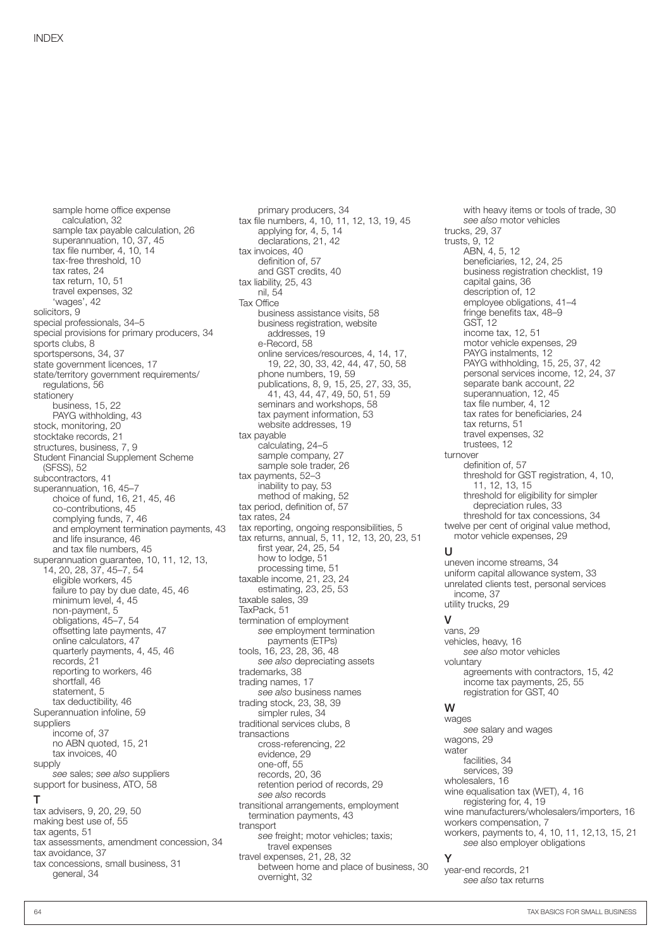sample home office expense calculation, 32 sample tax payable calculation, 26 superannuation, 10, 37, 45 tax file number, 4, 10, 14 tax-free threshold, 10 tax rates, 24 tax return, 10, 51 travel expenses, 32 'wages', 42 solicitors, 9 special professionals, 34–5 special provisions for primary producers, 34 sports clubs, 8 sportspersons, 34, 37 state government licences, 17 state/territory government requirements/ regulations, 56 stationery business, 15, 22 PAYG withholding, 43 stock, monitoring, 20 stocktake records, 21 structures, business, 7, 9 Student Financial Supplement Scheme (SFSS), 52 subcontractors, 41 superannuation, 16, 45-7 choice of fund, 16, 21, 45, 46 co-contributions, 45 complying funds, 7, 46 and employment termination payments, 43 and life insurance, 46 and tax file numbers, 45 superannuation guarantee, 10, 11, 12, 13, 14, 20, 28, 37, 45–7, 54 eligible workers, 45 failure to pay by due date, 45, 46 minimum level, 4, 45 non-payment, 5 obligations, 45–7, 54 offsetting late payments, 47 online calculators, 47 quarterly payments, 4, 45, 46 records, 21 reporting to workers, 46 shortfall, 46 statement, 5 tax deductibility, 46 Superannuation infoline, 59 suppliers income of, 37 no ABN quoted, 15, 21 tax invoices, 40 supply *see* sales; *see also* suppliers support for business, ATO, 58 T tax advisers, 9, 20, 29, 50 making best use of, 55 tax agents, 51 tax assessments, amendment concession, 34

primary producers, 34 tax file numbers, 4, 10, 11, 12, 13, 19, 45 applying for, 4, 5, 14 declarations, 21, 42 tax invoices, 40 definition of, 57 and GST credits, 40 tax liability, 25, 43 nil, 54 Tax Office business assistance visits, 58 business registration, website addresses, 19 e-Record, 58 online services/resources, 4, 14, 17, 19, 22, 30, 33, 42, 44, 47, 50, 58 phone numbers, 19, 59 publications, 8, 9, 15, 25, 27, 33, 35, 41, 43, 44, 47, 49, 50, 51, 59 seminars and workshops, 58 tax payment information, 53 website addresses, 19 tax payable calculating, 24–5 sample company, 27 sample sole trader, 26 tax payments, 52–3 inability to pay, 53 method of making, 52 tax period, definition of, 57 tax rates, 24 tax reporting, ongoing responsibilities, 5 tax returns, annual, 5, 11, 12, 13, 20, 23, 51 first year, 24, 25, 54 how to lodge, 51 processing time, 51 taxable income, 21, 23, 24 estimating, 23, 25, 53 taxable sales, 39 TaxPack, 51 termination of employment *see* employment termination payments (ETPs) tools, 16, 23, 28, 36, 48 *see also* depreciating assets trademarks, 38 trading names, 17 *see also* business names trading stock, 23, 38, 39 simpler rules, 34 traditional services clubs, 8 transactions cross-referencing, 22 evidence, 29 one-off, 55 records, 20, 36 retention period of records, 29 *see also* records transitional arrangements, employment termination payments, 43 transport *see* freight; motor vehicles; taxis; travel expenses travel expenses, 21, 28, 32 between home and place of business, 30 overnight, 32

with heavy items or tools of trade, 30 *see also* motor vehicles trucks, 29, 37 trusts, 9, 12 ABN, 4, 5, 12 beneficiaries, 12, 24, 25 business registration checklist, 19 capital gains, 36 description of, 12 employee obligations, 41–4 fringe benefits tax, 48–9 GST, 12 income tax, 12, 51 motor vehicle expenses, 29 PAYG instalments, 12 PAYG withholding, 15, 25, 37, 42 personal services income, 12, 24, 37 separate bank account, 22 superannuation, 12, 45 tax file number, 4, 12 tax rates for beneficiaries, 24 tax returns, 51 travel expenses, 32 trustees, 12 turnover definition of, 57 threshold for GST registration, 4, 10, 11, 12, 13, 15 threshold for eligibility for simpler depreciation rules, 33 threshold for tax concessions, 34 twelve per cent of original value method, motor vehicle expenses, 29

#### U

uneven income streams, 34 uniform capital allowance system, 33 unrelated clients test, personal services income, 37 utility trucks, 29

#### V

vans, 29 vehicles, heavy, 16 *see also* motor vehicles voluntary agreements with contractors, 15, 42 income tax payments, 25, 55 registration for GST, 40 W

wages *see* salary and wages wagons, 29 water facilities, 34 services, 39 wholesalers, 16 wine equalisation tax (WET), 4, 16 registering for, 4, 19 wine manufacturers/wholesalers/importers, 16 workers compensation, 7 workers, payments to, 4, 10, 11, 12,13, 15, 21 *see* also employer obligations Y

year-end records, 21 *see also* tax returns

tax avoidance, 37

general, 34

tax concessions, small business, 31